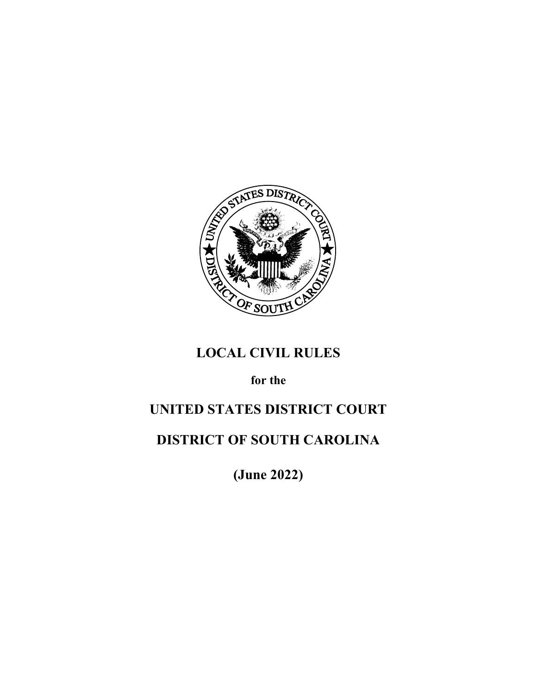

## **LOCAL CIVIL RULES**

**for the**

# **UNITED STATES DISTRICT COURT**

# **DISTRICT OF SOUTH CAROLINA**

**(June 2022)**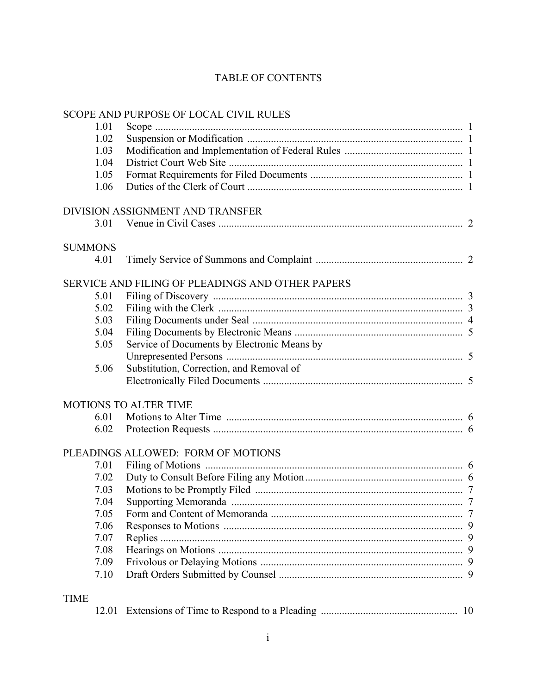### TABLE OF CONTENTS

|                |       | SCOPE AND PURPOSE OF LOCAL CIVIL RULES           |  |
|----------------|-------|--------------------------------------------------|--|
|                | 1.01  |                                                  |  |
|                | 1.02  |                                                  |  |
|                | 1.03  |                                                  |  |
|                | 1.04  |                                                  |  |
|                | 1.05  |                                                  |  |
|                | 1.06  |                                                  |  |
|                |       | DIVISION ASSIGNMENT AND TRANSFER                 |  |
|                | 3.01  |                                                  |  |
| <b>SUMMONS</b> |       |                                                  |  |
|                | 4.01  |                                                  |  |
|                |       | SERVICE AND FILING OF PLEADINGS AND OTHER PAPERS |  |
|                | 5.01  |                                                  |  |
|                | 5.02  |                                                  |  |
|                | 5.03  |                                                  |  |
|                | 5.04  |                                                  |  |
|                | 5.05  | Service of Documents by Electronic Means by      |  |
|                |       |                                                  |  |
|                | 5.06  | Substitution, Correction, and Removal of         |  |
|                |       |                                                  |  |
|                |       | <b>MOTIONS TO ALTER TIME</b>                     |  |
|                | 6.01  |                                                  |  |
|                | 6.02  |                                                  |  |
|                |       | PLEADINGS ALLOWED: FORM OF MOTIONS               |  |
|                | 7.01  |                                                  |  |
|                | 7.02  |                                                  |  |
|                | 7.03  |                                                  |  |
|                | 7.04  |                                                  |  |
|                | 7.05  |                                                  |  |
|                | 7.06  |                                                  |  |
|                | 7.07  |                                                  |  |
|                | 7.08  |                                                  |  |
|                | 7.09  |                                                  |  |
|                | 7.10  |                                                  |  |
| <b>TIME</b>    |       |                                                  |  |
|                | 12.01 |                                                  |  |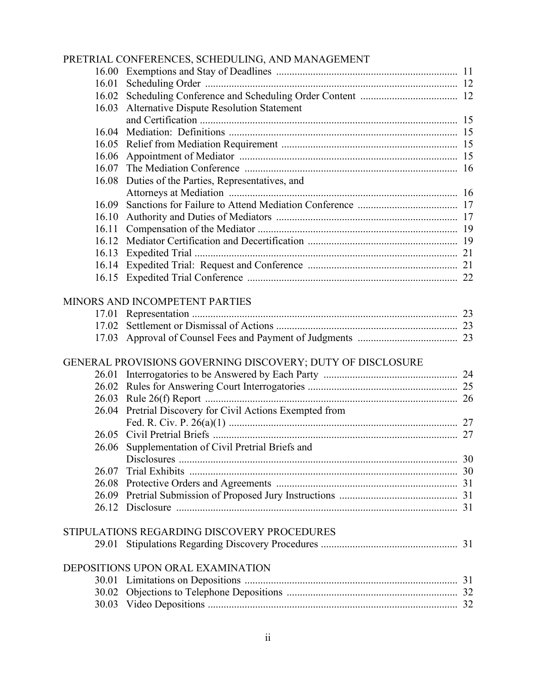## PRETRIAL CONFERENCES, SCHEDULING, AND MANAGEMENT

|       | 16.03 Alternative Dispute Resolution Statement             |  |
|-------|------------------------------------------------------------|--|
|       |                                                            |  |
| 16.04 |                                                            |  |
|       |                                                            |  |
|       |                                                            |  |
|       |                                                            |  |
|       | 16.08 Duties of the Parties, Representatives, and          |  |
|       |                                                            |  |
| 16.09 |                                                            |  |
|       |                                                            |  |
|       |                                                            |  |
|       |                                                            |  |
|       |                                                            |  |
|       |                                                            |  |
|       |                                                            |  |
|       |                                                            |  |
|       | MINORS AND INCOMPETENT PARTIES                             |  |
|       |                                                            |  |
|       |                                                            |  |
|       |                                                            |  |
|       |                                                            |  |
|       | GENERAL PROVISIONS GOVERNING DISCOVERY; DUTY OF DISCLOSURE |  |
|       |                                                            |  |
|       |                                                            |  |
|       |                                                            |  |
|       | 26.04 Pretrial Discovery for Civil Actions Exempted from   |  |
|       |                                                            |  |
|       |                                                            |  |
|       | 26.06 Supplementation of Civil Pretrial Briefs and         |  |
|       |                                                            |  |
| 26.07 |                                                            |  |
|       |                                                            |  |
|       |                                                            |  |
|       |                                                            |  |
|       |                                                            |  |
|       | STIPULATIONS REGARDING DISCOVERY PROCEDURES                |  |
|       |                                                            |  |
|       |                                                            |  |
|       | DEPOSITIONS UPON ORAL EXAMINATION                          |  |
| 30.01 |                                                            |  |
|       |                                                            |  |
|       |                                                            |  |
|       |                                                            |  |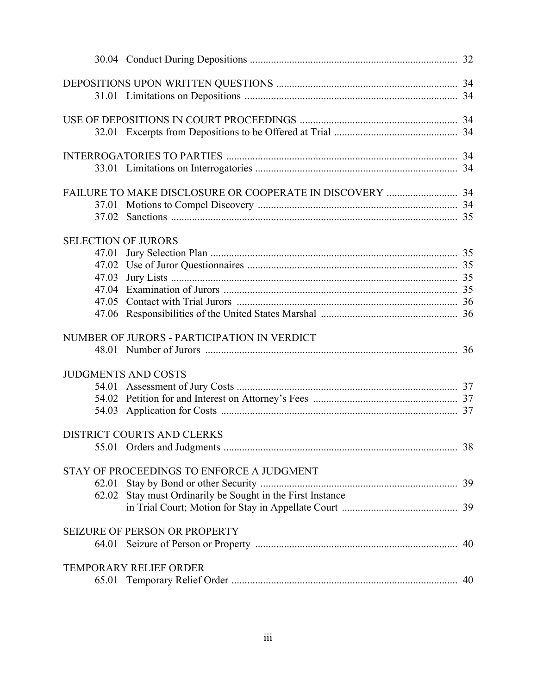| <b>SELECTION OF JURORS</b> |                                                            |    |
|----------------------------|------------------------------------------------------------|----|
|                            |                                                            |    |
|                            |                                                            |    |
| 47.03                      |                                                            |    |
|                            |                                                            |    |
|                            |                                                            |    |
|                            |                                                            |    |
|                            | NUMBER OF JURORS - PARTICIPATION IN VERDICT                |    |
|                            |                                                            |    |
|                            | <b>JUDGMENTS AND COSTS</b>                                 |    |
|                            |                                                            |    |
|                            |                                                            |    |
|                            |                                                            |    |
|                            |                                                            |    |
|                            | DISTRICT COURTS AND CLERKS                                 |    |
|                            |                                                            | 38 |
|                            | STAY OF PROCEEDINGS TO ENFORCE A JUDGMENT                  |    |
| 62.01                      |                                                            |    |
|                            | 62.02 Stay must Ordinarily be Sought in the First Instance |    |
|                            |                                                            |    |
|                            | <b>SEIZURE OF PERSON OR PROPERTY</b>                       |    |
|                            |                                                            |    |
|                            |                                                            |    |
|                            | <b>TEMPORARY RELIEF ORDER</b>                              |    |
|                            |                                                            |    |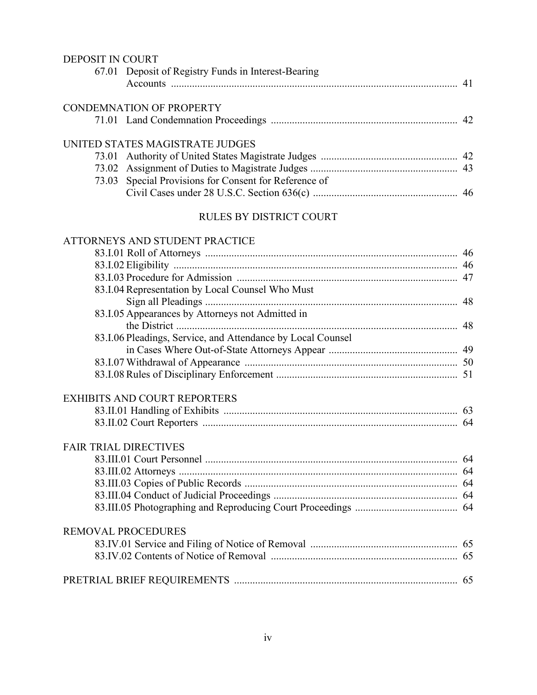| <b>DEPOSIT IN COURT</b> |                                                       |  |
|-------------------------|-------------------------------------------------------|--|
|                         | 67.01 Deposit of Registry Funds in Interest-Bearing   |  |
|                         |                                                       |  |
|                         | <b>CONDEMNATION OF PROPERTY</b>                       |  |
|                         |                                                       |  |
|                         | UNITED STATES MAGISTRATE JUDGES                       |  |
|                         |                                                       |  |
|                         |                                                       |  |
|                         | 73.03 Special Provisions for Consent for Reference of |  |
|                         |                                                       |  |
|                         | nuu ny njemien count                                  |  |

### RULES BY DISTRICT COURT

### ATTORNEYS AND STUDENT PRACTICE

| 83.I.04 Representation by Local Counsel Who Must            |  |
|-------------------------------------------------------------|--|
|                                                             |  |
| 83.I.05 Appearances by Attorneys not Admitted in            |  |
|                                                             |  |
| 83.I.06 Pleadings, Service, and Attendance by Local Counsel |  |
|                                                             |  |
|                                                             |  |
|                                                             |  |
|                                                             |  |
| EXHIBITS AND COURT REPORTERS                                |  |
|                                                             |  |
|                                                             |  |
| <b>FAIR TRIAL DIRECTIVES</b>                                |  |
|                                                             |  |
|                                                             |  |
|                                                             |  |
|                                                             |  |
|                                                             |  |
| <b>REMOVAL PROCEDURES</b>                                   |  |
|                                                             |  |
|                                                             |  |
|                                                             |  |
|                                                             |  |
|                                                             |  |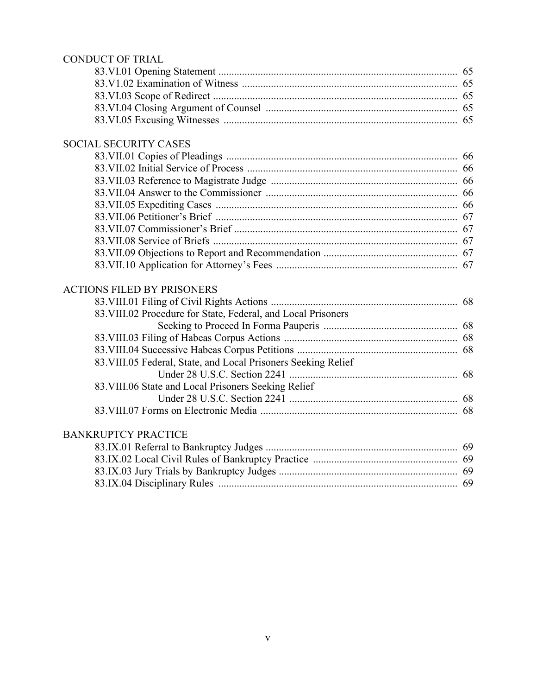| <b>CONDUCT OF TRIAL</b>                                        |  |
|----------------------------------------------------------------|--|
|                                                                |  |
|                                                                |  |
|                                                                |  |
|                                                                |  |
|                                                                |  |
| <b>SOCIAL SECURITY CASES</b>                                   |  |
|                                                                |  |
|                                                                |  |
|                                                                |  |
|                                                                |  |
|                                                                |  |
|                                                                |  |
|                                                                |  |
|                                                                |  |
|                                                                |  |
|                                                                |  |
| <b>ACTIONS FILED BY PRISONERS</b>                              |  |
|                                                                |  |
| 83. VIII.02 Procedure for State, Federal, and Local Prisoners  |  |
|                                                                |  |
|                                                                |  |
|                                                                |  |
| 83. VIII.05 Federal, State, and Local Prisoners Seeking Relief |  |
|                                                                |  |
| 83. VIII.06 State and Local Prisoners Seeking Relief           |  |
|                                                                |  |
|                                                                |  |
| <b>BANKRUPTCY PRACTICE</b>                                     |  |
|                                                                |  |
|                                                                |  |
|                                                                |  |
|                                                                |  |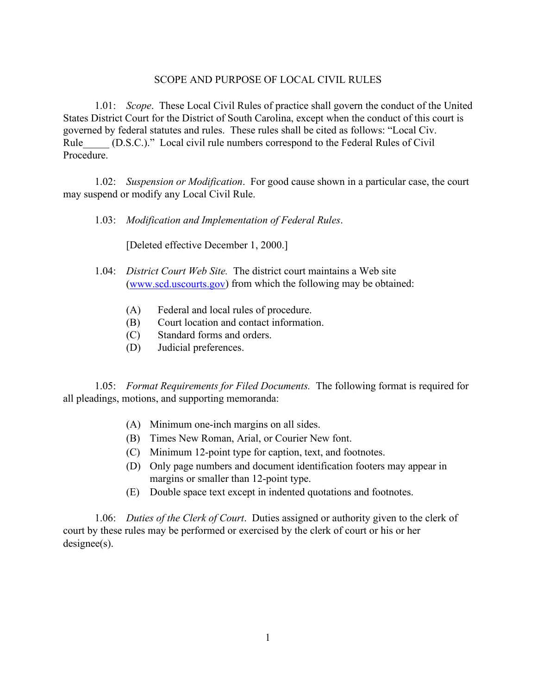#### SCOPE AND PURPOSE OF LOCAL CIVIL RULES

1.01: *Scope*. These Local Civil Rules of practice shall govern the conduct of the United States District Court for the District of South Carolina, except when the conduct of this court is governed by federal statutes and rules. These rules shall be cited as follows: "Local Civ. Rule (D.S.C.)." Local civil rule numbers correspond to the Federal Rules of Civil Procedure.

1.02: *Suspension or Modification*. For good cause shown in a particular case, the court may suspend or modify any Local Civil Rule.

1.03: *Modification and Implementation of Federal Rules*.

[Deleted effective December 1, 2000.]

- 1.04: *District Court Web Site.* The district court maintains a Web site [\(www.scd.uscourts.gov\)](http://www.scd.uscourts.gov/) from which the following may be obtained:
	- (A) Federal and local rules of procedure.
	- (B) Court location and contact information.
	- (C) Standard forms and orders.
	- (D) Judicial preferences.

1.05: *Format Requirements for Filed Documents.* The following format is required for all pleadings, motions, and supporting memoranda:

- (A) Minimum one-inch margins on all sides.
- (B) Times New Roman, Arial, or Courier New font.
- (C) Minimum 12-point type for caption, text, and footnotes.
- (D) Only page numbers and document identification footers may appear in margins or smaller than 12-point type.
- (E) Double space text except in indented quotations and footnotes.

1.06: *Duties of the Clerk of Court*. Duties assigned or authority given to the clerk of court by these rules may be performed or exercised by the clerk of court or his or her designee(s).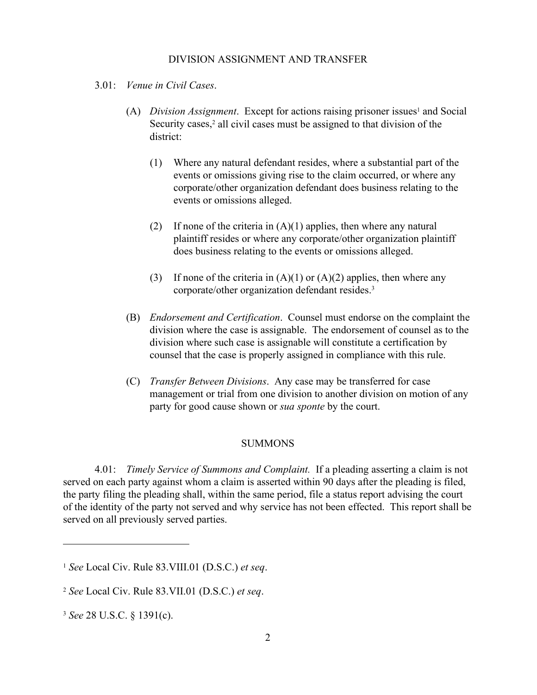#### DIVISION ASSIGNMENT AND TRANSFER

- 3.01: *Venue in Civil Cases*.
	- (A) *Division Assignment*. Except for actions raising prisoner issues<sup>1</sup> and Social Security cases,<sup>2</sup> all civil cases must be assigned to that division of the district:
		- (1) Where any natural defendant resides, where a substantial part of the events or omissions giving rise to the claim occurred, or where any corporate/other organization defendant does business relating to the events or omissions alleged.
		- (2) If none of the criteria in  $(A)(1)$  applies, then where any natural plaintiff resides or where any corporate/other organization plaintiff does business relating to the events or omissions alleged.
		- (3) If none of the criteria in  $(A)(1)$  or  $(A)(2)$  applies, then where any corporate/other organization defendant resides.3
	- (B) *Endorsement and Certification*. Counsel must endorse on the complaint the division where the case is assignable. The endorsement of counsel as to the division where such case is assignable will constitute a certification by counsel that the case is properly assigned in compliance with this rule.
	- (C) *Transfer Between Divisions*. Any case may be transferred for case management or trial from one division to another division on motion of any party for good cause shown or *sua sponte* by the court.

#### SUMMONS

4.01: *Timely Service of Summons and Complaint.* If a pleading asserting a claim is not served on each party against whom a claim is asserted within 90 days after the pleading is filed, the party filing the pleading shall, within the same period, file a status report advising the court of the identity of the party not served and why service has not been effected. This report shall be served on all previously served parties.

<sup>1</sup> *See* Local Civ. Rule 83.VIII.01 (D.S.C.) *et seq*.

<sup>2</sup> *See* Local Civ. Rule 83.VII.01 (D.S.C.) *et seq*.

<sup>3</sup> *See* 28 U.S.C. § 1391(c).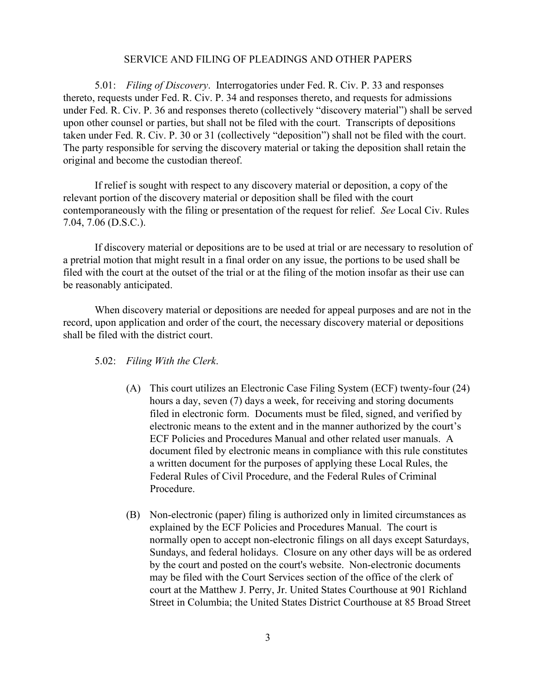#### SERVICE AND FILING OF PLEADINGS AND OTHER PAPERS

5.01: *Filing of Discovery*. Interrogatories under Fed. R. Civ. P. 33 and responses thereto, requests under Fed. R. Civ. P. 34 and responses thereto, and requests for admissions under Fed. R. Civ. P. 36 and responses thereto (collectively "discovery material") shall be served upon other counsel or parties, but shall not be filed with the court. Transcripts of depositions taken under Fed. R. Civ. P. 30 or 31 (collectively "deposition") shall not be filed with the court. The party responsible for serving the discovery material or taking the deposition shall retain the original and become the custodian thereof.

If relief is sought with respect to any discovery material or deposition, a copy of the relevant portion of the discovery material or deposition shall be filed with the court contemporaneously with the filing or presentation of the request for relief. *See* Local Civ. Rules 7.04, 7.06 (D.S.C.).

If discovery material or depositions are to be used at trial or are necessary to resolution of a pretrial motion that might result in a final order on any issue, the portions to be used shall be filed with the court at the outset of the trial or at the filing of the motion insofar as their use can be reasonably anticipated.

When discovery material or depositions are needed for appeal purposes and are not in the record, upon application and order of the court, the necessary discovery material or depositions shall be filed with the district court.

#### 5.02: *Filing With the Clerk*.

- (A) This court utilizes an Electronic Case Filing System (ECF) twenty-four (24) hours a day, seven (7) days a week, for receiving and storing documents filed in electronic form. Documents must be filed, signed, and verified by electronic means to the extent and in the manner authorized by the court's ECF Policies and Procedures Manual and other related user manuals. A document filed by electronic means in compliance with this rule constitutes a written document for the purposes of applying these Local Rules, the Federal Rules of Civil Procedure, and the Federal Rules of Criminal Procedure.
- (B) Non-electronic (paper) filing is authorized only in limited circumstances as explained by the ECF Policies and Procedures Manual. The court is normally open to accept non-electronic filings on all days except Saturdays, Sundays, and federal holidays. Closure on any other days will be as ordered by the court and posted on the court's website. Non-electronic documents may be filed with the Court Services section of the office of the clerk of court at the Matthew J. Perry, Jr. United States Courthouse at 901 Richland Street in Columbia; the United States District Courthouse at 85 Broad Street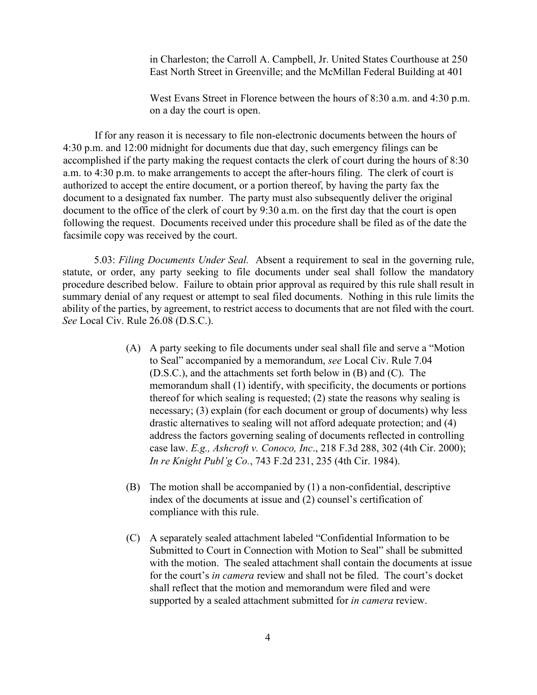in Charleston; the Carroll A. Campbell, Jr. United States Courthouse at 250 East North Street in Greenville; and the McMillan Federal Building at 401

West Evans Street in Florence between the hours of 8:30 a.m. and 4:30 p.m. on a day the court is open.

If for any reason it is necessary to file non-electronic documents between the hours of 4:30 p.m. and 12:00 midnight for documents due that day, such emergency filings can be accomplished if the party making the request contacts the clerk of court during the hours of 8:30 a.m. to 4:30 p.m. to make arrangements to accept the after-hours filing. The clerk of court is authorized to accept the entire document, or a portion thereof, by having the party fax the document to a designated fax number. The party must also subsequently deliver the original document to the office of the clerk of court by 9:30 a.m. on the first day that the court is open following the request. Documents received under this procedure shall be filed as of the date the facsimile copy was received by the court.

5.03: *Filing Documents Under Seal.* Absent a requirement to seal in the governing rule, statute, or order, any party seeking to file documents under seal shall follow the mandatory procedure described below. Failure to obtain prior approval as required by this rule shall result in summary denial of any request or attempt to seal filed documents. Nothing in this rule limits the ability of the parties, by agreement, to restrict access to documents that are not filed with the court. *See* Local Civ. Rule 26.08 (D.S.C.).

- (A) A party seeking to file documents under seal shall file and serve a "Motion to Seal" accompanied by a memorandum, *see* Local Civ. Rule 7.04 (D.S.C.), and the attachments set forth below in (B) and (C). The memorandum shall (1) identify, with specificity, the documents or portions thereof for which sealing is requested; (2) state the reasons why sealing is necessary; (3) explain (for each document or group of documents) why less drastic alternatives to sealing will not afford adequate protection; and (4) address the factors governing sealing of documents reflected in controlling case law. *E.g., Ashcroft v. Conoco, Inc*., 218 F.3d 288, 302 (4th Cir. 2000); *In re Knight Publ'g Co.*, 743 F.2d 231, 235 (4th Cir. 1984).
- (B) The motion shall be accompanied by (1) a non-confidential, descriptive index of the documents at issue and (2) counsel's certification of compliance with this rule.
- (C) A separately sealed attachment labeled "Confidential Information to be Submitted to Court in Connection with Motion to Seal" shall be submitted with the motion. The sealed attachment shall contain the documents at issue for the court's *in camera* review and shall not be filed. The court's docket shall reflect that the motion and memorandum were filed and were supported by a sealed attachment submitted for *in camera* review.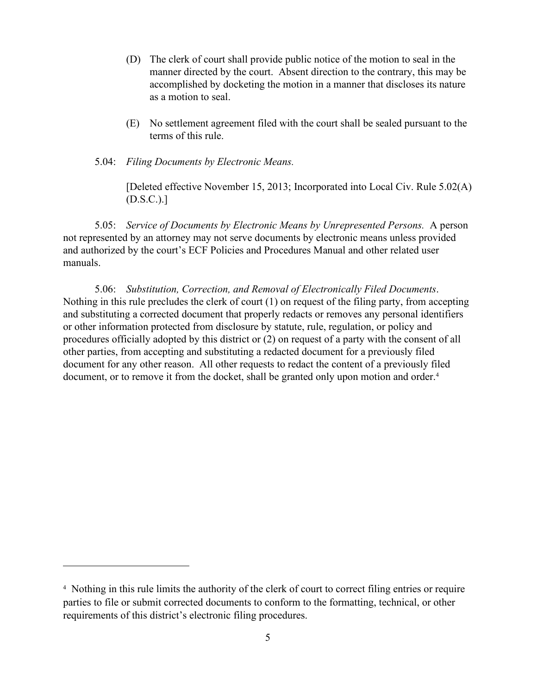- (D) The clerk of court shall provide public notice of the motion to seal in the manner directed by the court. Absent direction to the contrary, this may be accomplished by docketing the motion in a manner that discloses its nature as a motion to seal.
- (E) No settlement agreement filed with the court shall be sealed pursuant to the terms of this rule.
- 5.04: *Filing Documents by Electronic Means.*

[Deleted effective November 15, 2013; Incorporated into Local Civ. Rule 5.02(A) (D.S.C.).]

5.05: *Service of Documents by Electronic Means by Unrepresented Persons.* A person not represented by an attorney may not serve documents by electronic means unless provided and authorized by the court's ECF Policies and Procedures Manual and other related user manuals.

5.06: *Substitution, Correction, and Removal of Electronically Filed Documents*. Nothing in this rule precludes the clerk of court (1) on request of the filing party, from accepting and substituting a corrected document that properly redacts or removes any personal identifiers or other information protected from disclosure by statute, rule, regulation, or policy and procedures officially adopted by this district or (2) on request of a party with the consent of all other parties, from accepting and substituting a redacted document for a previously filed document for any other reason. All other requests to redact the content of a previously filed document, or to remove it from the docket, shall be granted only upon motion and order.<sup>4</sup>

<sup>4</sup> Nothing in this rule limits the authority of the clerk of court to correct filing entries or require parties to file or submit corrected documents to conform to the formatting, technical, or other requirements of this district's electronic filing procedures.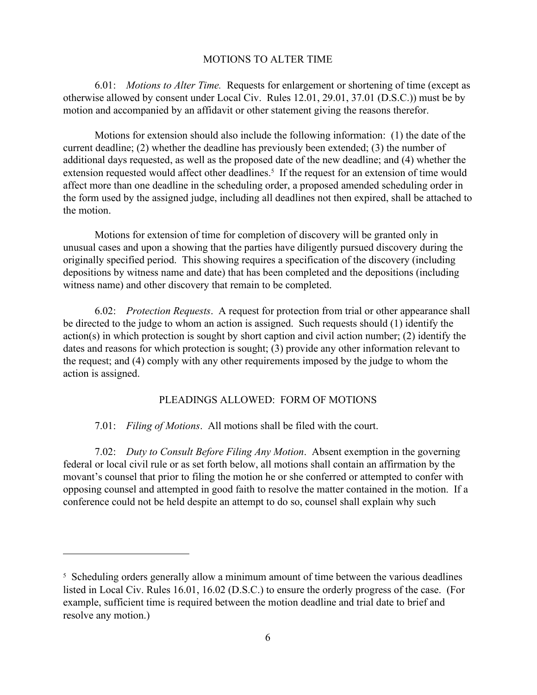#### MOTIONS TO ALTER TIME

6.01: *Motions to Alter Time.* Requests for enlargement or shortening of time (except as otherwise allowed by consent under Local Civ. Rules 12.01, 29.01, 37.01 (D.S.C.)) must be by motion and accompanied by an affidavit or other statement giving the reasons therefor.

Motions for extension should also include the following information: (1) the date of the current deadline; (2) whether the deadline has previously been extended; (3) the number of additional days requested, as well as the proposed date of the new deadline; and (4) whether the extension requested would affect other deadlines.<sup>5</sup> If the request for an extension of time would affect more than one deadline in the scheduling order, a proposed amended scheduling order in the form used by the assigned judge, including all deadlines not then expired, shall be attached to the motion.

Motions for extension of time for completion of discovery will be granted only in unusual cases and upon a showing that the parties have diligently pursued discovery during the originally specified period. This showing requires a specification of the discovery (including depositions by witness name and date) that has been completed and the depositions (including witness name) and other discovery that remain to be completed.

6.02: *Protection Requests*. A request for protection from trial or other appearance shall be directed to the judge to whom an action is assigned. Such requests should (1) identify the action(s) in which protection is sought by short caption and civil action number; (2) identify the dates and reasons for which protection is sought; (3) provide any other information relevant to the request; and (4) comply with any other requirements imposed by the judge to whom the action is assigned.

#### PLEADINGS ALLOWED: FORM OF MOTIONS

7.01: *Filing of Motions*. All motions shall be filed with the court.

7.02: *Duty to Consult Before Filing Any Motion*. Absent exemption in the governing federal or local civil rule or as set forth below, all motions shall contain an affirmation by the movant's counsel that prior to filing the motion he or she conferred or attempted to confer with opposing counsel and attempted in good faith to resolve the matter contained in the motion. If a conference could not be held despite an attempt to do so, counsel shall explain why such

<sup>&</sup>lt;sup>5</sup> Scheduling orders generally allow a minimum amount of time between the various deadlines listed in Local Civ. Rules 16.01, 16.02 (D.S.C.) to ensure the orderly progress of the case. (For example, sufficient time is required between the motion deadline and trial date to brief and resolve any motion.)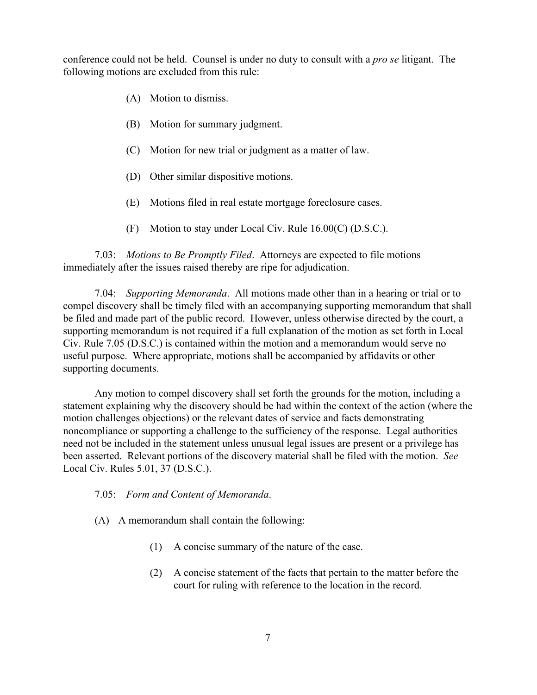conference could not be held. Counsel is under no duty to consult with a *pro se* litigant. The following motions are excluded from this rule:

- (A) Motion to dismiss.
- (B) Motion for summary judgment.
- (C) Motion for new trial or judgment as a matter of law.
- (D) Other similar dispositive motions.
- (E) Motions filed in real estate mortgage foreclosure cases.
- (F) Motion to stay under Local Civ. Rule 16.00(C) (D.S.C.).

7.03: *Motions to Be Promptly Filed*. Attorneys are expected to file motions immediately after the issues raised thereby are ripe for adjudication.

7.04: *Supporting Memoranda*. All motions made other than in a hearing or trial or to compel discovery shall be timely filed with an accompanying supporting memorandum that shall be filed and made part of the public record. However, unless otherwise directed by the court, a supporting memorandum is not required if a full explanation of the motion as set forth in Local Civ. Rule 7.05 (D.S.C.) is contained within the motion and a memorandum would serve no useful purpose. Where appropriate, motions shall be accompanied by affidavits or other supporting documents.

Any motion to compel discovery shall set forth the grounds for the motion, including a statement explaining why the discovery should be had within the context of the action (where the motion challenges objections) or the relevant dates of service and facts demonstrating noncompliance or supporting a challenge to the sufficiency of the response. Legal authorities need not be included in the statement unless unusual legal issues are present or a privilege has been asserted. Relevant portions of the discovery material shall be filed with the motion. *See*  Local Civ. Rules 5.01, 37 (D.S.C.).

7.05: *Form and Content of Memoranda*.

- (A) A memorandum shall contain the following:
	- (1) A concise summary of the nature of the case.
	- (2) A concise statement of the facts that pertain to the matter before the court for ruling with reference to the location in the record.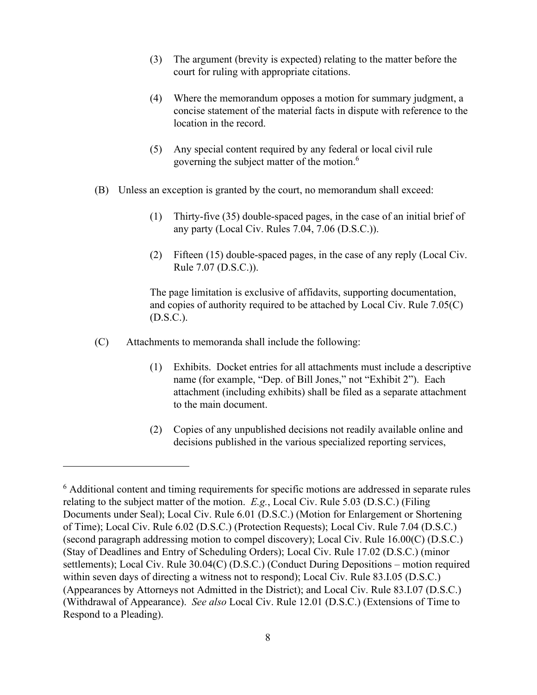- (3) The argument (brevity is expected) relating to the matter before the court for ruling with appropriate citations.
- (4) Where the memorandum opposes a motion for summary judgment, a concise statement of the material facts in dispute with reference to the location in the record.
- (5) Any special content required by any federal or local civil rule governing the subject matter of the motion.<sup>6</sup>
- (B) Unless an exception is granted by the court, no memorandum shall exceed:
	- (1) Thirty-five (35) double-spaced pages, in the case of an initial brief of any party (Local Civ. Rules 7.04, 7.06 (D.S.C.)).
	- (2) Fifteen (15) double-spaced pages, in the case of any reply (Local Civ. Rule 7.07 (D.S.C.)).

The page limitation is exclusive of affidavits, supporting documentation, and copies of authority required to be attached by Local Civ. Rule 7.05(C) (D.S.C.).

- (C) Attachments to memoranda shall include the following:
	- (1) Exhibits. Docket entries for all attachments must include a descriptive name (for example, "Dep. of Bill Jones," not "Exhibit 2"). Each attachment (including exhibits) shall be filed as a separate attachment to the main document.
	- (2) Copies of any unpublished decisions not readily available online and decisions published in the various specialized reporting services,

<sup>&</sup>lt;sup>6</sup> Additional content and timing requirements for specific motions are addressed in separate rules relating to the subject matter of the motion. *E.g.*, Local Civ. Rule 5.03 (D.S.C.) (Filing Documents under Seal); Local Civ. Rule 6.01 (D.S.C.) (Motion for Enlargement or Shortening of Time); Local Civ. Rule 6.02 (D.S.C.) (Protection Requests); Local Civ. Rule 7.04 (D.S.C.) (second paragraph addressing motion to compel discovery); Local Civ. Rule 16.00(C) (D.S.C.) (Stay of Deadlines and Entry of Scheduling Orders); Local Civ. Rule 17.02 (D.S.C.) (minor settlements); Local Civ. Rule 30.04(C) (D.S.C.) (Conduct During Depositions – motion required within seven days of directing a witness not to respond); Local Civ. Rule 83.I.05 (D.S.C.) (Appearances by Attorneys not Admitted in the District); and Local Civ. Rule 83.I.07 (D.S.C.) (Withdrawal of Appearance). *See also* Local Civ. Rule 12.01 (D.S.C.) (Extensions of Time to Respond to a Pleading).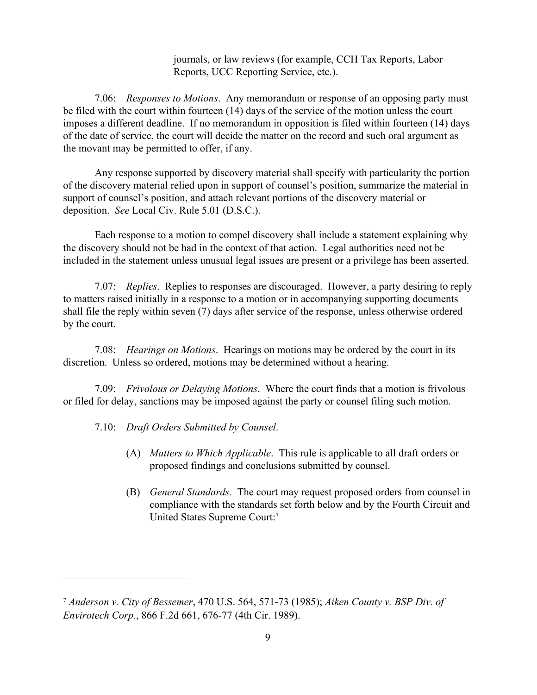journals, or law reviews (for example, CCH Tax Reports, Labor Reports, UCC Reporting Service, etc.).

7.06: *Responses to Motions*. Any memorandum or response of an opposing party must be filed with the court within fourteen (14) days of the service of the motion unless the court imposes a different deadline. If no memorandum in opposition is filed within fourteen (14) days of the date of service, the court will decide the matter on the record and such oral argument as the movant may be permitted to offer, if any.

Any response supported by discovery material shall specify with particularity the portion of the discovery material relied upon in support of counsel's position, summarize the material in support of counsel's position, and attach relevant portions of the discovery material or deposition. *See* Local Civ. Rule 5.01 (D.S.C.).

Each response to a motion to compel discovery shall include a statement explaining why the discovery should not be had in the context of that action. Legal authorities need not be included in the statement unless unusual legal issues are present or a privilege has been asserted.

7.07: *Replies*. Replies to responses are discouraged. However, a party desiring to reply to matters raised initially in a response to a motion or in accompanying supporting documents shall file the reply within seven (7) days after service of the response, unless otherwise ordered by the court.

7.08: *Hearings on Motions*. Hearings on motions may be ordered by the court in its discretion. Unless so ordered, motions may be determined without a hearing.

7.09: *Frivolous or Delaying Motions*. Where the court finds that a motion is frivolous or filed for delay, sanctions may be imposed against the party or counsel filing such motion.

7.10: *Draft Orders Submitted by Counsel*.

- (A) *Matters to Which Applicable*. This rule is applicable to all draft orders or proposed findings and conclusions submitted by counsel.
- (B) *General Standards.* The court may request proposed orders from counsel in compliance with the standards set forth below and by the Fourth Circuit and United States Supreme Court:7

<sup>7</sup> *Anderson v. City of Bessemer*, 470 U.S. 564, 571-73 (1985); *Aiken County v. BSP Div. of Envirotech Corp.*, 866 F.2d 661, 676-77 (4th Cir. 1989).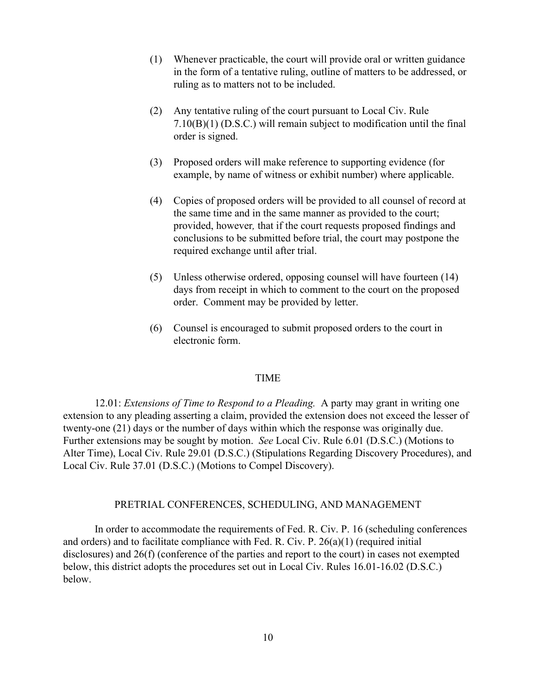- (1) Whenever practicable, the court will provide oral or written guidance in the form of a tentative ruling, outline of matters to be addressed, or ruling as to matters not to be included.
- (2) Any tentative ruling of the court pursuant to Local Civ. Rule 7.10(B)(1) (D.S.C.) will remain subject to modification until the final order is signed.
- (3) Proposed orders will make reference to supporting evidence (for example, by name of witness or exhibit number) where applicable.
- (4) Copies of proposed orders will be provided to all counsel of record at the same time and in the same manner as provided to the court; provided, however*,* that if the court requests proposed findings and conclusions to be submitted before trial, the court may postpone the required exchange until after trial.
- (5) Unless otherwise ordered, opposing counsel will have fourteen (14) days from receipt in which to comment to the court on the proposed order. Comment may be provided by letter.
- (6) Counsel is encouraged to submit proposed orders to the court in electronic form.

#### TIME

12.01: *Extensions of Time to Respond to a Pleading.* A party may grant in writing one extension to any pleading asserting a claim, provided the extension does not exceed the lesser of twenty-one (21) days or the number of days within which the response was originally due. Further extensions may be sought by motion. *See* Local Civ. Rule 6.01 (D.S.C.) (Motions to Alter Time), Local Civ. Rule 29.01 (D.S.C.) (Stipulations Regarding Discovery Procedures), and Local Civ. Rule 37.01 (D.S.C.) (Motions to Compel Discovery).

#### PRETRIAL CONFERENCES, SCHEDULING, AND MANAGEMENT

In order to accommodate the requirements of Fed. R. Civ. P. 16 (scheduling conferences and orders) and to facilitate compliance with Fed. R. Civ. P. 26(a)(1) (required initial disclosures) and 26(f) (conference of the parties and report to the court) in cases not exempted below, this district adopts the procedures set out in Local Civ. Rules 16.01-16.02 (D.S.C.) below.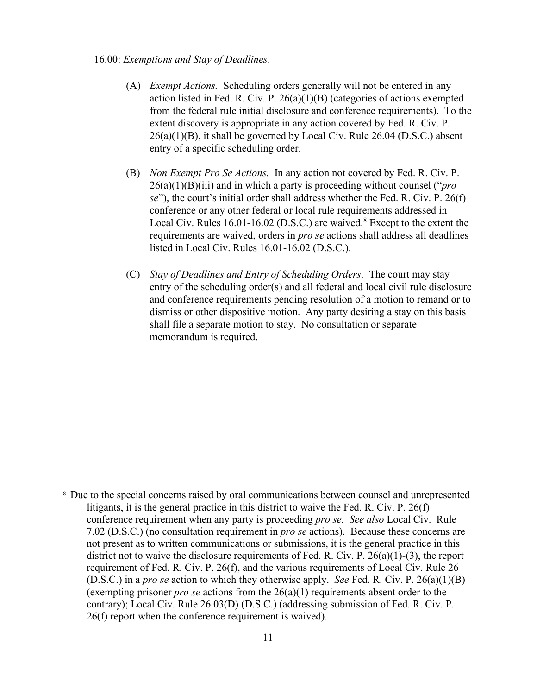#### 16.00: *Exemptions and Stay of Deadlines*.

- (A) *Exempt Actions.* Scheduling orders generally will not be entered in any action listed in Fed. R. Civ. P.  $26(a)(1)(B)$  (categories of actions exempted from the federal rule initial disclosure and conference requirements). To the extent discovery is appropriate in any action covered by Fed. R. Civ. P.  $26(a)(1)(B)$ , it shall be governed by Local Civ. Rule  $26.04$  (D.S.C.) absent entry of a specific scheduling order.
- (B) *Non Exempt Pro Se Actions.* In any action not covered by Fed. R. Civ. P. 26(a)(1)(B)(iii) and in which a party is proceeding without counsel ("*pro se*"), the court's initial order shall address whether the Fed. R. Civ. P. 26(f) conference or any other federal or local rule requirements addressed in Local Civ. Rules 16.01-16.02 (D.S.C.) are waived.<sup>8</sup> Except to the extent the requirements are waived, orders in *pro se* actions shall address all deadlines listed in Local Civ. Rules 16.01-16.02 (D.S.C.).
- (C) *Stay of Deadlines and Entry of Scheduling Orders*. The court may stay entry of the scheduling order(s) and all federal and local civil rule disclosure and conference requirements pending resolution of a motion to remand or to dismiss or other dispositive motion. Any party desiring a stay on this basis shall file a separate motion to stay. No consultation or separate memorandum is required.

<sup>&</sup>lt;sup>8</sup> Due to the special concerns raised by oral communications between counsel and unrepresented litigants, it is the general practice in this district to waive the Fed. R. Civ. P. 26(f) conference requirement when any party is proceeding *pro se. See also* Local Civ. Rule 7.02 (D.S.C.) (no consultation requirement in *pro se* actions). Because these concerns are not present as to written communications or submissions, it is the general practice in this district not to waive the disclosure requirements of Fed. R. Civ. P. 26(a)(1)-(3), the report requirement of Fed. R. Civ. P. 26(f), and the various requirements of Local Civ. Rule 26 (D.S.C.) in a *pro se* action to which they otherwise apply. *See* Fed. R. Civ. P. 26(a)(1)(B) (exempting prisoner *pro se* actions from the 26(a)(1) requirements absent order to the contrary); Local Civ. Rule 26.03(D) (D.S.C.) (addressing submission of Fed. R. Civ. P. 26(f) report when the conference requirement is waived).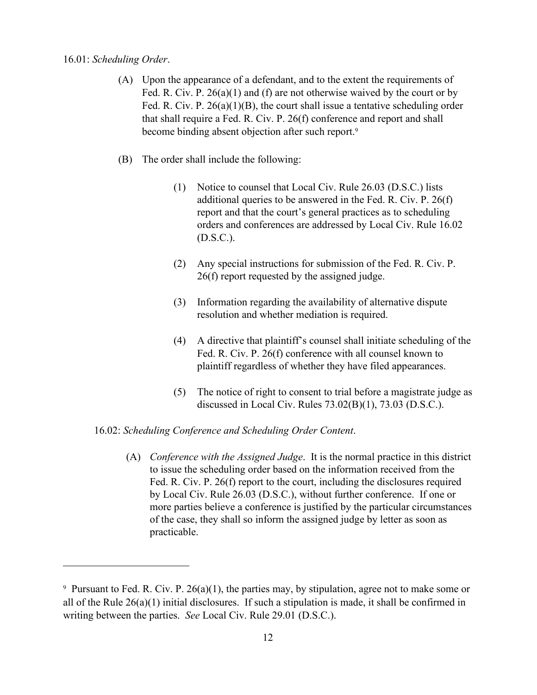#### 16.01: *Scheduling Order*.

- (A) Upon the appearance of a defendant, and to the extent the requirements of Fed. R. Civ. P.  $26(a)(1)$  and (f) are not otherwise waived by the court or by Fed. R. Civ. P. 26(a)(1)(B), the court shall issue a tentative scheduling order that shall require a Fed. R. Civ. P. 26(f) conference and report and shall become binding absent objection after such report.<sup>9</sup>
- (B) The order shall include the following:
	- (1) Notice to counsel that Local Civ. Rule 26.03 (D.S.C.) lists additional queries to be answered in the Fed. R. Civ. P. 26(f) report and that the court's general practices as to scheduling orders and conferences are addressed by Local Civ. Rule 16.02 (D.S.C.).
	- (2) Any special instructions for submission of the Fed. R. Civ. P. 26(f) report requested by the assigned judge.
	- (3) Information regarding the availability of alternative dispute resolution and whether mediation is required.
	- (4) A directive that plaintiff's counsel shall initiate scheduling of the Fed. R. Civ. P. 26(f) conference with all counsel known to plaintiff regardless of whether they have filed appearances.
	- (5) The notice of right to consent to trial before a magistrate judge as discussed in Local Civ. Rules 73.02(B)(1), 73.03 (D.S.C.).

#### 16.02: *Scheduling Conference and Scheduling Order Content*.

(A) *Conference with the Assigned Judge*. It is the normal practice in this district to issue the scheduling order based on the information received from the Fed. R. Civ. P. 26(f) report to the court, including the disclosures required by Local Civ. Rule 26.03 (D.S.C.), without further conference. If one or more parties believe a conference is justified by the particular circumstances of the case, they shall so inform the assigned judge by letter as soon as practicable.

<sup>&</sup>lt;sup>9</sup> Pursuant to Fed. R. Civ. P. 26(a)(1), the parties may, by stipulation, agree not to make some or all of the Rule 26(a)(1) initial disclosures. If such a stipulation is made, it shall be confirmed in writing between the parties. *See* Local Civ. Rule 29.01 (D.S.C.).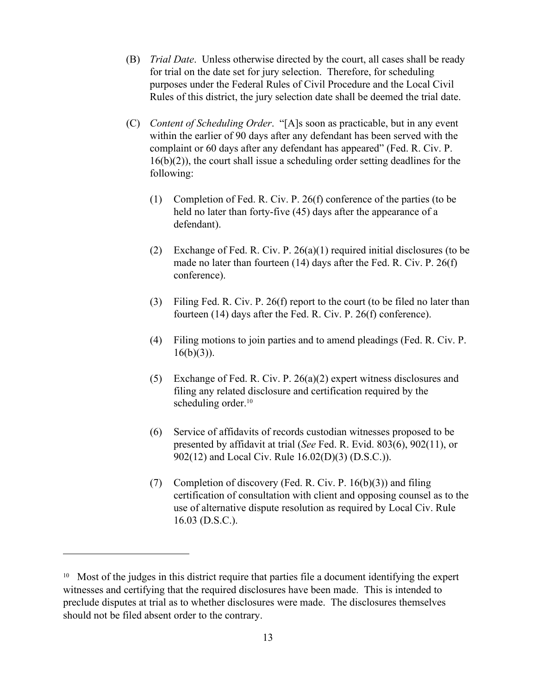- (B) *Trial Date*. Unless otherwise directed by the court, all cases shall be ready for trial on the date set for jury selection. Therefore, for scheduling purposes under the Federal Rules of Civil Procedure and the Local Civil Rules of this district, the jury selection date shall be deemed the trial date.
- (C) *Content of Scheduling Order*. "[A]s soon as practicable, but in any event within the earlier of 90 days after any defendant has been served with the complaint or 60 days after any defendant has appeared" (Fed. R. Civ. P. 16(b)(2)), the court shall issue a scheduling order setting deadlines for the following:
	- (1) Completion of Fed. R. Civ. P. 26(f) conference of the parties (to be held no later than forty-five (45) days after the appearance of a defendant).
	- (2) Exchange of Fed. R. Civ. P. 26(a)(1) required initial disclosures (to be made no later than fourteen (14) days after the Fed. R. Civ. P. 26(f) conference).
	- (3) Filing Fed. R. Civ. P. 26(f) report to the court (to be filed no later than fourteen (14) days after the Fed. R. Civ. P. 26(f) conference).
	- (4) Filing motions to join parties and to amend pleadings (Fed. R. Civ. P.  $16(b)(3)$ ).
	- (5) Exchange of Fed. R. Civ. P. 26(a)(2) expert witness disclosures and filing any related disclosure and certification required by the scheduling order.<sup>10</sup>
	- (6) Service of affidavits of records custodian witnesses proposed to be presented by affidavit at trial (*See* Fed. R. Evid. 803(6), 902(11), or 902(12) and Local Civ. Rule 16.02(D)(3) (D.S.C.)).
	- (7) Completion of discovery (Fed. R. Civ. P. 16(b)(3)) and filing certification of consultation with client and opposing counsel as to the use of alternative dispute resolution as required by Local Civ. Rule 16.03 (D.S.C.).

<sup>&</sup>lt;sup>10</sup> Most of the judges in this district require that parties file a document identifying the expert witnesses and certifying that the required disclosures have been made. This is intended to preclude disputes at trial as to whether disclosures were made. The disclosures themselves should not be filed absent order to the contrary.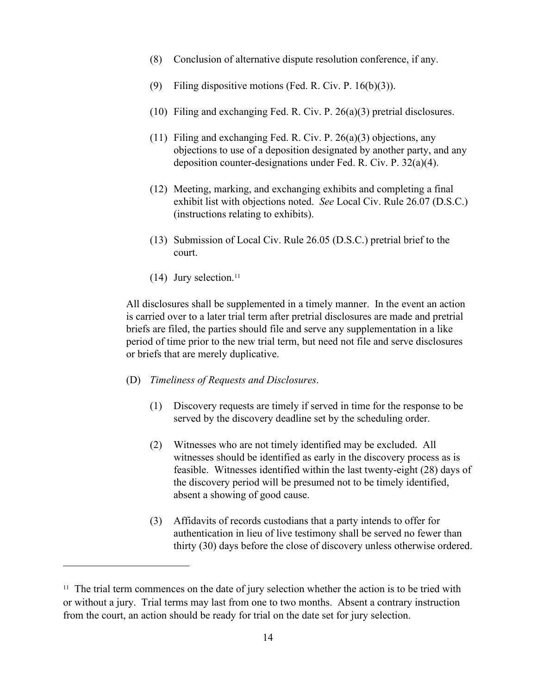- (8) Conclusion of alternative dispute resolution conference, if any.
- (9) Filing dispositive motions (Fed. R. Civ. P. 16(b)(3)).
- (10) Filing and exchanging Fed. R. Civ. P. 26(a)(3) pretrial disclosures.
- (11) Filing and exchanging Fed. R. Civ. P. 26(a)(3) objections, any objections to use of a deposition designated by another party, and any deposition counter-designations under Fed. R. Civ. P. 32(a)(4).
- (12) Meeting, marking, and exchanging exhibits and completing a final exhibit list with objections noted. *See* Local Civ. Rule 26.07 (D.S.C.) (instructions relating to exhibits).
- (13) Submission of Local Civ. Rule 26.05 (D.S.C.) pretrial brief to the court.
- $(14)$  Jury selection.<sup>11</sup>

All disclosures shall be supplemented in a timely manner. In the event an action is carried over to a later trial term after pretrial disclosures are made and pretrial briefs are filed, the parties should file and serve any supplementation in a like period of time prior to the new trial term, but need not file and serve disclosures or briefs that are merely duplicative.

#### (D) *Timeliness of Requests and Disclosures*.

- (1) Discovery requests are timely if served in time for the response to be served by the discovery deadline set by the scheduling order.
- (2) Witnesses who are not timely identified may be excluded. All witnesses should be identified as early in the discovery process as is feasible. Witnesses identified within the last twenty-eight (28) days of the discovery period will be presumed not to be timely identified, absent a showing of good cause.
- (3) Affidavits of records custodians that a party intends to offer for authentication in lieu of live testimony shall be served no fewer than thirty (30) days before the close of discovery unless otherwise ordered.

 $11$  The trial term commences on the date of jury selection whether the action is to be tried with or without a jury. Trial terms may last from one to two months. Absent a contrary instruction from the court, an action should be ready for trial on the date set for jury selection.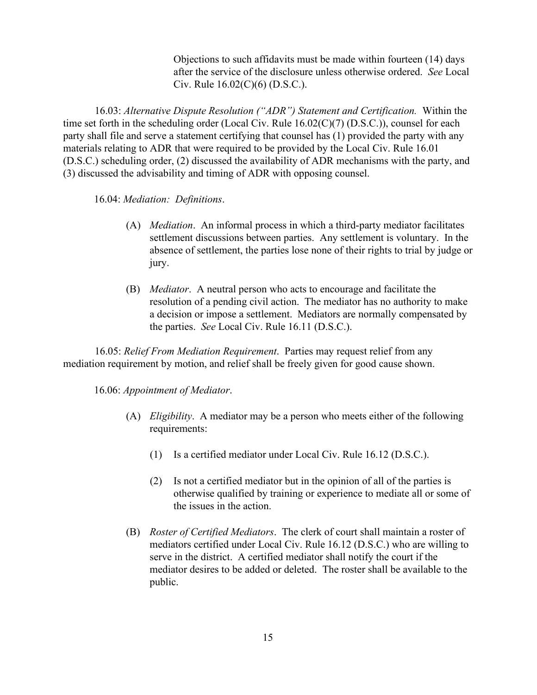Objections to such affidavits must be made within fourteen (14) days after the service of the disclosure unless otherwise ordered. *See* Local Civ. Rule  $16.02(C)(6)$  (D.S.C.).

16.03: *Alternative Dispute Resolution ("ADR") Statement and Certification.* Within the time set forth in the scheduling order (Local Civ. Rule 16.02(C)(7) (D.S.C.)), counsel for each party shall file and serve a statement certifying that counsel has (1) provided the party with any materials relating to ADR that were required to be provided by the Local Civ. Rule 16.01 (D.S.C.) scheduling order, (2) discussed the availability of ADR mechanisms with the party, and (3) discussed the advisability and timing of ADR with opposing counsel.

16.04: *Mediation: Definitions*.

- (A) *Mediation*. An informal process in which a third-party mediator facilitates settlement discussions between parties. Any settlement is voluntary. In the absence of settlement, the parties lose none of their rights to trial by judge or jury.
- (B) *Mediator*. A neutral person who acts to encourage and facilitate the resolution of a pending civil action. The mediator has no authority to make a decision or impose a settlement. Mediators are normally compensated by the parties. *See* Local Civ. Rule 16.11 (D.S.C.).

16.05: *Relief From Mediation Requirement*. Parties may request relief from any mediation requirement by motion, and relief shall be freely given for good cause shown.

16.06: *Appointment of Mediator*.

- (A) *Eligibility*. A mediator may be a person who meets either of the following requirements:
	- (1) Is a certified mediator under Local Civ. Rule 16.12 (D.S.C.).
	- (2) Is not a certified mediator but in the opinion of all of the parties is otherwise qualified by training or experience to mediate all or some of the issues in the action.
- (B) *Roster of Certified Mediators*. The clerk of court shall maintain a roster of mediators certified under Local Civ. Rule 16.12 (D.S.C.) who are willing to serve in the district. A certified mediator shall notify the court if the mediator desires to be added or deleted. The roster shall be available to the public.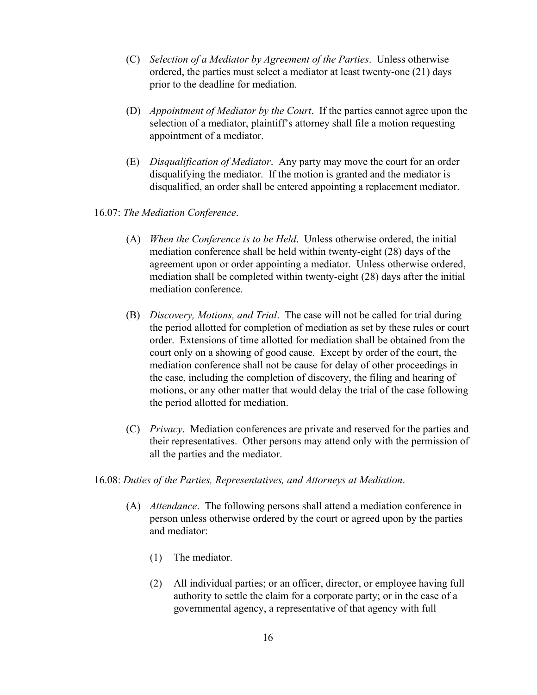- (C) *Selection of a Mediator by Agreement of the Parties*. Unless otherwise ordered, the parties must select a mediator at least twenty-one (21) days prior to the deadline for mediation.
- (D) *Appointment of Mediator by the Court*. If the parties cannot agree upon the selection of a mediator, plaintiff's attorney shall file a motion requesting appointment of a mediator.
- (E) *Disqualification of Mediator*. Any party may move the court for an order disqualifying the mediator. If the motion is granted and the mediator is disqualified, an order shall be entered appointing a replacement mediator.
- 16.07: *The Mediation Conference*.
	- (A) *When the Conference is to be Held*. Unless otherwise ordered, the initial mediation conference shall be held within twenty-eight (28) days of the agreement upon or order appointing a mediator. Unless otherwise ordered, mediation shall be completed within twenty-eight (28) days after the initial mediation conference.
	- (B) *Discovery, Motions, and Trial*. The case will not be called for trial during the period allotted for completion of mediation as set by these rules or court order. Extensions of time allotted for mediation shall be obtained from the court only on a showing of good cause. Except by order of the court, the mediation conference shall not be cause for delay of other proceedings in the case, including the completion of discovery, the filing and hearing of motions, or any other matter that would delay the trial of the case following the period allotted for mediation.
	- (C) *Privacy*. Mediation conferences are private and reserved for the parties and their representatives. Other persons may attend only with the permission of all the parties and the mediator.
- 16.08: *Duties of the Parties, Representatives, and Attorneys at Mediation*.
	- (A) *Attendance*. The following persons shall attend a mediation conference in person unless otherwise ordered by the court or agreed upon by the parties and mediator:
		- (1) The mediator.
		- (2) All individual parties; or an officer, director, or employee having full authority to settle the claim for a corporate party; or in the case of a governmental agency, a representative of that agency with full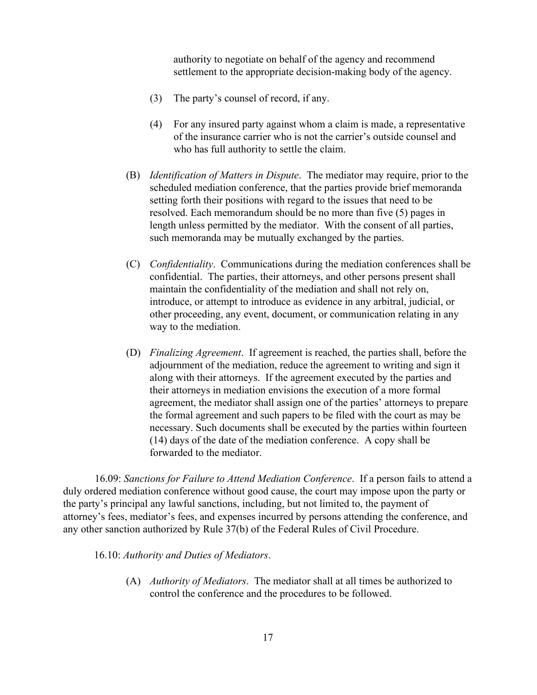authority to negotiate on behalf of the agency and recommend settlement to the appropriate decision-making body of the agency.

- (3) The party's counsel of record, if any.
- (4) For any insured party against whom a claim is made, a representative of the insurance carrier who is not the carrier's outside counsel and who has full authority to settle the claim.
- (B) *Identification of Matters in Dispute*. The mediator may require, prior to the scheduled mediation conference, that the parties provide brief memoranda setting forth their positions with regard to the issues that need to be resolved. Each memorandum should be no more than five (5) pages in length unless permitted by the mediator. With the consent of all parties, such memoranda may be mutually exchanged by the parties.
- (C) *Confidentiality*. Communications during the mediation conferences shall be confidential. The parties, their attorneys, and other persons present shall maintain the confidentiality of the mediation and shall not rely on, introduce, or attempt to introduce as evidence in any arbitral, judicial, or other proceeding, any event, document, or communication relating in any way to the mediation.
- (D) *Finalizing Agreement*. If agreement is reached, the parties shall, before the adjournment of the mediation, reduce the agreement to writing and sign it along with their attorneys. If the agreement executed by the parties and their attorneys in mediation envisions the execution of a more formal agreement, the mediator shall assign one of the parties' attorneys to prepare the formal agreement and such papers to be filed with the court as may be necessary. Such documents shall be executed by the parties within fourteen (14) days of the date of the mediation conference. A copy shall be forwarded to the mediator.

16.09: *Sanctions for Failure to Attend Mediation Conference*. If a person fails to attend a duly ordered mediation conference without good cause, the court may impose upon the party or the party's principal any lawful sanctions, including, but not limited to, the payment of attorney's fees, mediator's fees, and expenses incurred by persons attending the conference, and any other sanction authorized by Rule 37(b) of the Federal Rules of Civil Procedure.

16.10: *Authority and Duties of Mediators*.

(A) *Authority of Mediators*. The mediator shall at all times be authorized to control the conference and the procedures to be followed.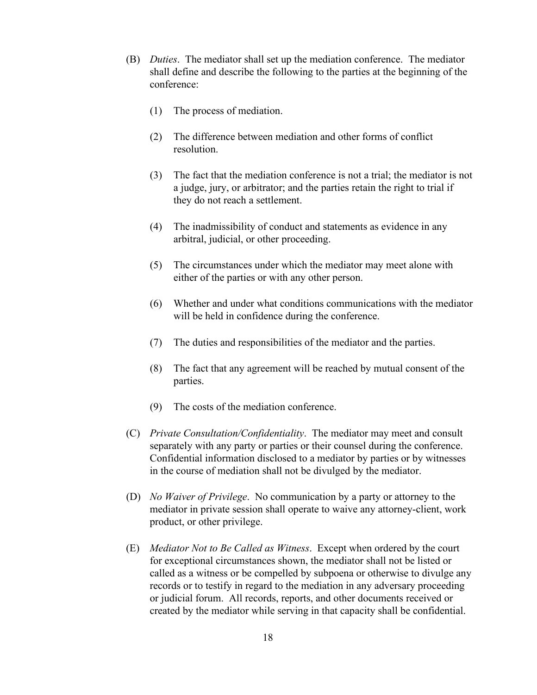- (B) *Duties*. The mediator shall set up the mediation conference. The mediator shall define and describe the following to the parties at the beginning of the conference:
	- (1) The process of mediation.
	- (2) The difference between mediation and other forms of conflict resolution.
	- (3) The fact that the mediation conference is not a trial; the mediator is not a judge, jury, or arbitrator; and the parties retain the right to trial if they do not reach a settlement.
	- (4) The inadmissibility of conduct and statements as evidence in any arbitral, judicial, or other proceeding.
	- (5) The circumstances under which the mediator may meet alone with either of the parties or with any other person.
	- (6) Whether and under what conditions communications with the mediator will be held in confidence during the conference.
	- (7) The duties and responsibilities of the mediator and the parties.
	- (8) The fact that any agreement will be reached by mutual consent of the parties.
	- (9) The costs of the mediation conference.
- (C) *Private Consultation/Confidentiality*. The mediator may meet and consult separately with any party or parties or their counsel during the conference. Confidential information disclosed to a mediator by parties or by witnesses in the course of mediation shall not be divulged by the mediator.
- (D) *No Waiver of Privilege*. No communication by a party or attorney to the mediator in private session shall operate to waive any attorney-client, work product, or other privilege.
- (E) *Mediator Not to Be Called as Witness*. Except when ordered by the court for exceptional circumstances shown, the mediator shall not be listed or called as a witness or be compelled by subpoena or otherwise to divulge any records or to testify in regard to the mediation in any adversary proceeding or judicial forum. All records, reports, and other documents received or created by the mediator while serving in that capacity shall be confidential.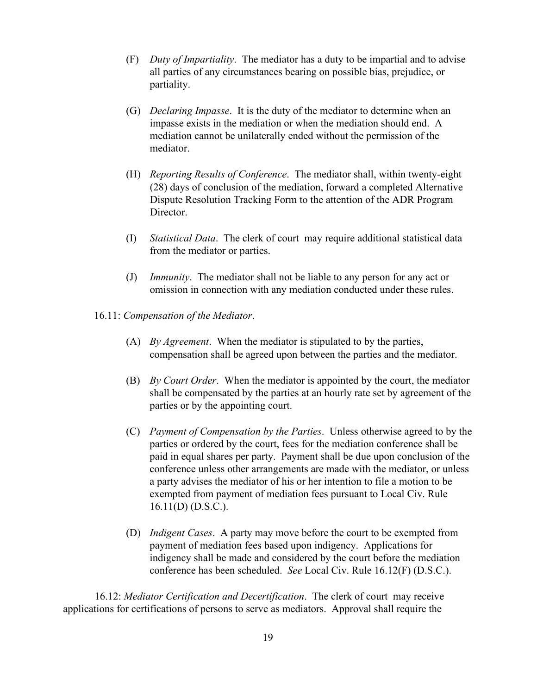- (F) *Duty of Impartiality*. The mediator has a duty to be impartial and to advise all parties of any circumstances bearing on possible bias, prejudice, or partiality.
- (G) *Declaring Impasse*. It is the duty of the mediator to determine when an impasse exists in the mediation or when the mediation should end. A mediation cannot be unilaterally ended without the permission of the mediator.
- (H) *Reporting Results of Conference*. The mediator shall, within twenty-eight (28) days of conclusion of the mediation, forward a completed Alternative Dispute Resolution Tracking Form to the attention of the ADR Program Director.
- (I) *Statistical Data*. The clerk of court may require additional statistical data from the mediator or parties.
- (J) *Immunity*. The mediator shall not be liable to any person for any act or omission in connection with any mediation conducted under these rules.
- 16.11: *Compensation of the Mediator*.
	- (A) *By Agreement*. When the mediator is stipulated to by the parties, compensation shall be agreed upon between the parties and the mediator.
	- (B) *By Court Order*. When the mediator is appointed by the court, the mediator shall be compensated by the parties at an hourly rate set by agreement of the parties or by the appointing court.
	- (C) *Payment of Compensation by the Parties*. Unless otherwise agreed to by the parties or ordered by the court, fees for the mediation conference shall be paid in equal shares per party. Payment shall be due upon conclusion of the conference unless other arrangements are made with the mediator, or unless a party advises the mediator of his or her intention to file a motion to be exempted from payment of mediation fees pursuant to Local Civ. Rule 16.11(D) (D.S.C.).
	- (D) *Indigent Cases*. A party may move before the court to be exempted from payment of mediation fees based upon indigency. Applications for indigency shall be made and considered by the court before the mediation conference has been scheduled. *See* Local Civ. Rule 16.12(F) (D.S.C.).

16.12: *Mediator Certification and Decertification*. The clerk of court may receive applications for certifications of persons to serve as mediators. Approval shall require the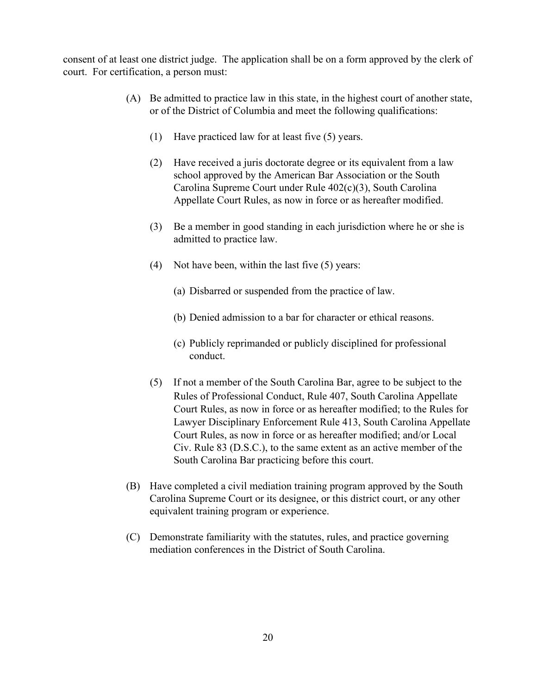consent of at least one district judge. The application shall be on a form approved by the clerk of court. For certification, a person must:

- (A) Be admitted to practice law in this state, in the highest court of another state, or of the District of Columbia and meet the following qualifications:
	- (1) Have practiced law for at least five (5) years.
	- (2) Have received a juris doctorate degree or its equivalent from a law school approved by the American Bar Association or the South Carolina Supreme Court under Rule 402(c)(3), South Carolina Appellate Court Rules, as now in force or as hereafter modified.
	- (3) Be a member in good standing in each jurisdiction where he or she is admitted to practice law.
	- (4) Not have been, within the last five (5) years:
		- (a) Disbarred or suspended from the practice of law.
		- (b) Denied admission to a bar for character or ethical reasons.
		- (c) Publicly reprimanded or publicly disciplined for professional conduct.
	- (5) If not a member of the South Carolina Bar, agree to be subject to the Rules of Professional Conduct, Rule 407, South Carolina Appellate Court Rules, as now in force or as hereafter modified; to the Rules for Lawyer Disciplinary Enforcement Rule 413, South Carolina Appellate Court Rules, as now in force or as hereafter modified; and/or Local Civ. Rule 83 (D.S.C.), to the same extent as an active member of the South Carolina Bar practicing before this court.
- (B) Have completed a civil mediation training program approved by the South Carolina Supreme Court or its designee, or this district court, or any other equivalent training program or experience.
- (C) Demonstrate familiarity with the statutes, rules, and practice governing mediation conferences in the District of South Carolina.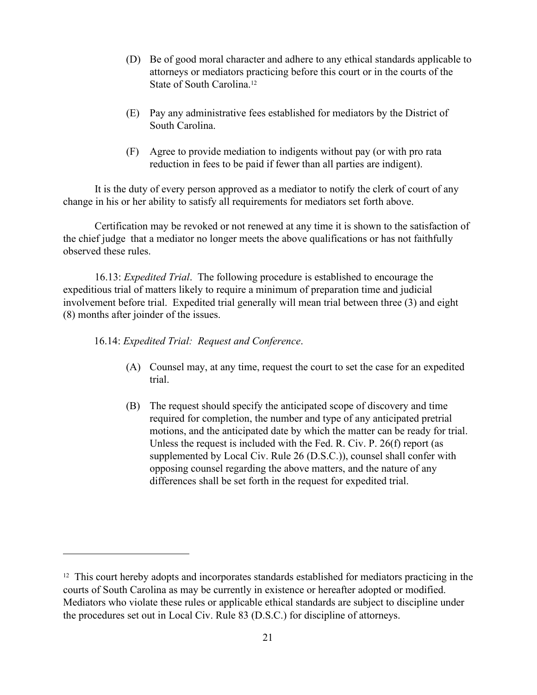- (D) Be of good moral character and adhere to any ethical standards applicable to attorneys or mediators practicing before this court or in the courts of the State of South Carolina.<sup>12</sup>
- (E) Pay any administrative fees established for mediators by the District of South Carolina.
- (F) Agree to provide mediation to indigents without pay (or with pro rata reduction in fees to be paid if fewer than all parties are indigent).

It is the duty of every person approved as a mediator to notify the clerk of court of any change in his or her ability to satisfy all requirements for mediators set forth above.

Certification may be revoked or not renewed at any time it is shown to the satisfaction of the chief judge that a mediator no longer meets the above qualifications or has not faithfully observed these rules.

16.13: *Expedited Trial*. The following procedure is established to encourage the expeditious trial of matters likely to require a minimum of preparation time and judicial involvement before trial. Expedited trial generally will mean trial between three (3) and eight (8) months after joinder of the issues.

16.14: *Expedited Trial: Request and Conference*.

- (A) Counsel may, at any time, request the court to set the case for an expedited trial.
- (B) The request should specify the anticipated scope of discovery and time required for completion, the number and type of any anticipated pretrial motions, and the anticipated date by which the matter can be ready for trial. Unless the request is included with the Fed. R. Civ. P. 26(f) report (as supplemented by Local Civ. Rule 26 (D.S.C.)), counsel shall confer with opposing counsel regarding the above matters, and the nature of any differences shall be set forth in the request for expedited trial.

<sup>&</sup>lt;sup>12</sup> This court hereby adopts and incorporates standards established for mediators practicing in the courts of South Carolina as may be currently in existence or hereafter adopted or modified. Mediators who violate these rules or applicable ethical standards are subject to discipline under the procedures set out in Local Civ. Rule 83 (D.S.C.) for discipline of attorneys.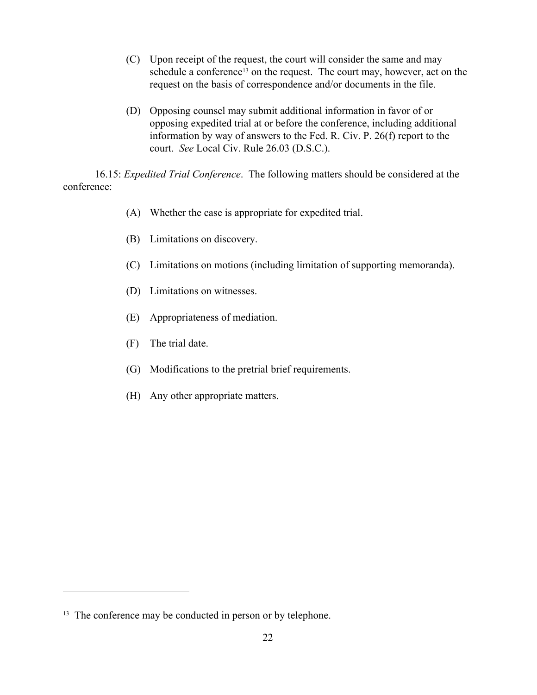- (C) Upon receipt of the request, the court will consider the same and may schedule a conference<sup>13</sup> on the request. The court may, however, act on the request on the basis of correspondence and/or documents in the file.
- (D) Opposing counsel may submit additional information in favor of or opposing expedited trial at or before the conference, including additional information by way of answers to the Fed. R. Civ. P. 26(f) report to the court. *See* Local Civ. Rule 26.03 (D.S.C.).

16.15: *Expedited Trial Conference*. The following matters should be considered at the conference:

- (A) Whether the case is appropriate for expedited trial.
- (B) Limitations on discovery.
- (C) Limitations on motions (including limitation of supporting memoranda).
- (D) Limitations on witnesses.
- (E) Appropriateness of mediation.
- (F) The trial date.
- (G) Modifications to the pretrial brief requirements.
- (H) Any other appropriate matters.

<sup>&</sup>lt;sup>13</sup> The conference may be conducted in person or by telephone.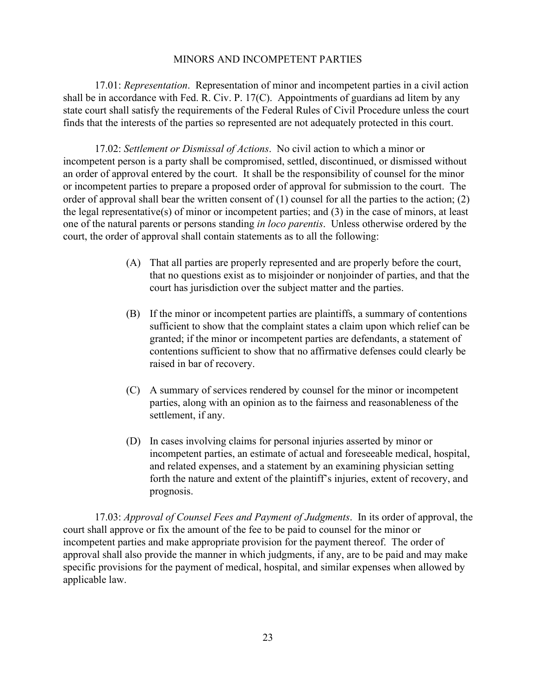#### MINORS AND INCOMPETENT PARTIES

17.01: *Representation*. Representation of minor and incompetent parties in a civil action shall be in accordance with Fed. R. Civ. P. 17(C). Appointments of guardians ad litem by any state court shall satisfy the requirements of the Federal Rules of Civil Procedure unless the court finds that the interests of the parties so represented are not adequately protected in this court.

17.02: *Settlement or Dismissal of Actions*. No civil action to which a minor or incompetent person is a party shall be compromised, settled, discontinued, or dismissed without an order of approval entered by the court. It shall be the responsibility of counsel for the minor or incompetent parties to prepare a proposed order of approval for submission to the court. The order of approval shall bear the written consent of (1) counsel for all the parties to the action; (2) the legal representative(s) of minor or incompetent parties; and (3) in the case of minors, at least one of the natural parents or persons standing *in loco parentis*. Unless otherwise ordered by the court, the order of approval shall contain statements as to all the following:

- (A) That all parties are properly represented and are properly before the court, that no questions exist as to misjoinder or nonjoinder of parties, and that the court has jurisdiction over the subject matter and the parties.
- (B) If the minor or incompetent parties are plaintiffs, a summary of contentions sufficient to show that the complaint states a claim upon which relief can be granted; if the minor or incompetent parties are defendants, a statement of contentions sufficient to show that no affirmative defenses could clearly be raised in bar of recovery.
- (C) A summary of services rendered by counsel for the minor or incompetent parties, along with an opinion as to the fairness and reasonableness of the settlement, if any.
- (D) In cases involving claims for personal injuries asserted by minor or incompetent parties, an estimate of actual and foreseeable medical, hospital, and related expenses, and a statement by an examining physician setting forth the nature and extent of the plaintiff's injuries, extent of recovery, and prognosis.

17.03: *Approval of Counsel Fees and Payment of Judgments*. In its order of approval, the court shall approve or fix the amount of the fee to be paid to counsel for the minor or incompetent parties and make appropriate provision for the payment thereof. The order of approval shall also provide the manner in which judgments, if any, are to be paid and may make specific provisions for the payment of medical, hospital, and similar expenses when allowed by applicable law.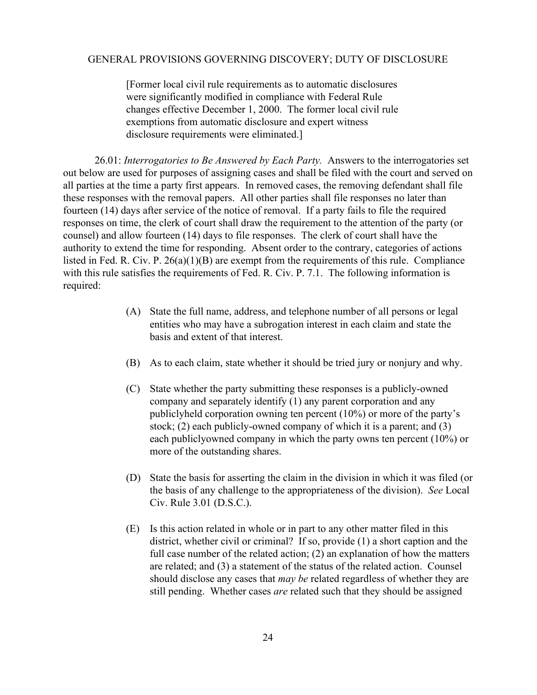#### GENERAL PROVISIONS GOVERNING DISCOVERY; DUTY OF DISCLOSURE

[Former local civil rule requirements as to automatic disclosures were significantly modified in compliance with Federal Rule changes effective December 1, 2000. The former local civil rule exemptions from automatic disclosure and expert witness disclosure requirements were eliminated.]

26.01: *Interrogatories to Be Answered by Each Party.* Answers to the interrogatories set out below are used for purposes of assigning cases and shall be filed with the court and served on all parties at the time a party first appears. In removed cases, the removing defendant shall file these responses with the removal papers. All other parties shall file responses no later than fourteen (14) days after service of the notice of removal. If a party fails to file the required responses on time, the clerk of court shall draw the requirement to the attention of the party (or counsel) and allow fourteen (14) days to file responses. The clerk of court shall have the authority to extend the time for responding. Absent order to the contrary, categories of actions listed in Fed. R. Civ. P. 26(a)(1)(B) are exempt from the requirements of this rule. Compliance with this rule satisfies the requirements of Fed. R. Civ. P. 7.1. The following information is required:

- (A) State the full name, address, and telephone number of all persons or legal entities who may have a subrogation interest in each claim and state the basis and extent of that interest.
- (B) As to each claim, state whether it should be tried jury or nonjury and why.
- (C) State whether the party submitting these responses is a publicly-owned company and separately identify (1) any parent corporation and any publiclyheld corporation owning ten percent (10%) or more of the party's stock; (2) each publicly-owned company of which it is a parent; and (3) each publiclyowned company in which the party owns ten percent (10%) or more of the outstanding shares.
- (D) State the basis for asserting the claim in the division in which it was filed (or the basis of any challenge to the appropriateness of the division). *See* Local Civ. Rule 3.01 (D.S.C.).
- (E) Is this action related in whole or in part to any other matter filed in this district, whether civil or criminal? If so, provide (1) a short caption and the full case number of the related action; (2) an explanation of how the matters are related; and (3) a statement of the status of the related action. Counsel should disclose any cases that *may be* related regardless of whether they are still pending. Whether cases *are* related such that they should be assigned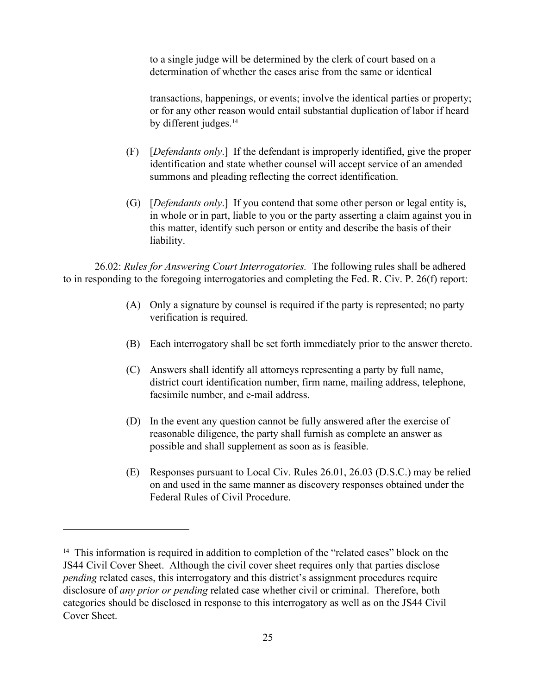to a single judge will be determined by the clerk of court based on a determination of whether the cases arise from the same or identical

transactions, happenings, or events; involve the identical parties or property; or for any other reason would entail substantial duplication of labor if heard by different judges.<sup>14</sup>

- (F) [*Defendants only*.] If the defendant is improperly identified, give the proper identification and state whether counsel will accept service of an amended summons and pleading reflecting the correct identification.
- (G) [*Defendants only*.] If you contend that some other person or legal entity is, in whole or in part, liable to you or the party asserting a claim against you in this matter, identify such person or entity and describe the basis of their liability.

26.02: *Rules for Answering Court Interrogatories.* The following rules shall be adhered to in responding to the foregoing interrogatories and completing the Fed. R. Civ. P. 26(f) report:

- (A) Only a signature by counsel is required if the party is represented; no party verification is required.
- (B) Each interrogatory shall be set forth immediately prior to the answer thereto.
- (C) Answers shall identify all attorneys representing a party by full name, district court identification number, firm name, mailing address, telephone, facsimile number, and e-mail address.
- (D) In the event any question cannot be fully answered after the exercise of reasonable diligence, the party shall furnish as complete an answer as possible and shall supplement as soon as is feasible.
- (E) Responses pursuant to Local Civ. Rules 26.01, 26.03 (D.S.C.) may be relied on and used in the same manner as discovery responses obtained under the Federal Rules of Civil Procedure.

<sup>&</sup>lt;sup>14</sup> This information is required in addition to completion of the "related cases" block on the JS44 Civil Cover Sheet. Although the civil cover sheet requires only that parties disclose *pending* related cases, this interrogatory and this district's assignment procedures require disclosure of *any prior or pending* related case whether civil or criminal. Therefore, both categories should be disclosed in response to this interrogatory as well as on the JS44 Civil Cover Sheet.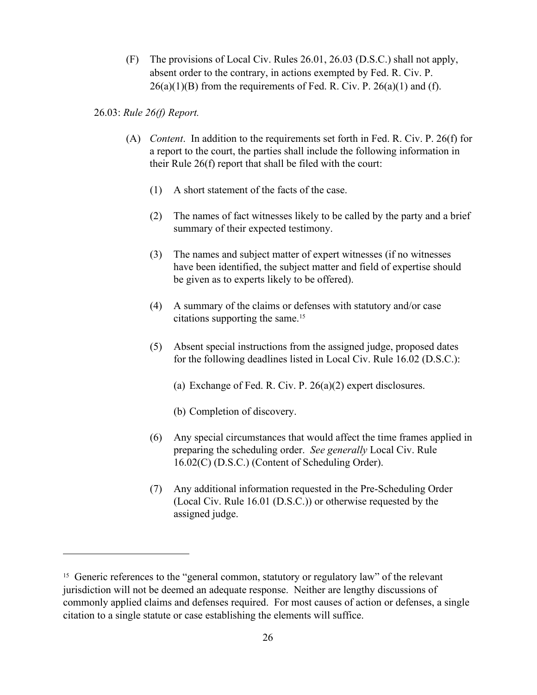(F) The provisions of Local Civ. Rules 26.01, 26.03 (D.S.C.) shall not apply, absent order to the contrary, in actions exempted by Fed. R. Civ. P.  $26(a)(1)(B)$  from the requirements of Fed. R. Civ. P.  $26(a)(1)$  and (f).

#### 26.03: *Rule 26(f) Report.*

- (A) *Content*. In addition to the requirements set forth in Fed. R. Civ. P. 26(f) for a report to the court, the parties shall include the following information in their Rule 26(f) report that shall be filed with the court:
	- (1) A short statement of the facts of the case.
	- (2) The names of fact witnesses likely to be called by the party and a brief summary of their expected testimony.
	- (3) The names and subject matter of expert witnesses (if no witnesses have been identified, the subject matter and field of expertise should be given as to experts likely to be offered).
	- (4) A summary of the claims or defenses with statutory and/or case citations supporting the same.15
	- (5) Absent special instructions from the assigned judge, proposed dates for the following deadlines listed in Local Civ. Rule 16.02 (D.S.C.):
		- (a) Exchange of Fed. R. Civ. P. 26(a)(2) expert disclosures.
		- (b) Completion of discovery.
	- (6) Any special circumstances that would affect the time frames applied in preparing the scheduling order. *See generally* Local Civ. Rule 16.02(C) (D.S.C.) (Content of Scheduling Order).
	- (7) Any additional information requested in the Pre-Scheduling Order (Local Civ. Rule 16.01 (D.S.C.)) or otherwise requested by the assigned judge.

<sup>&</sup>lt;sup>15</sup> Generic references to the "general common, statutory or regulatory law" of the relevant jurisdiction will not be deemed an adequate response. Neither are lengthy discussions of commonly applied claims and defenses required. For most causes of action or defenses, a single citation to a single statute or case establishing the elements will suffice.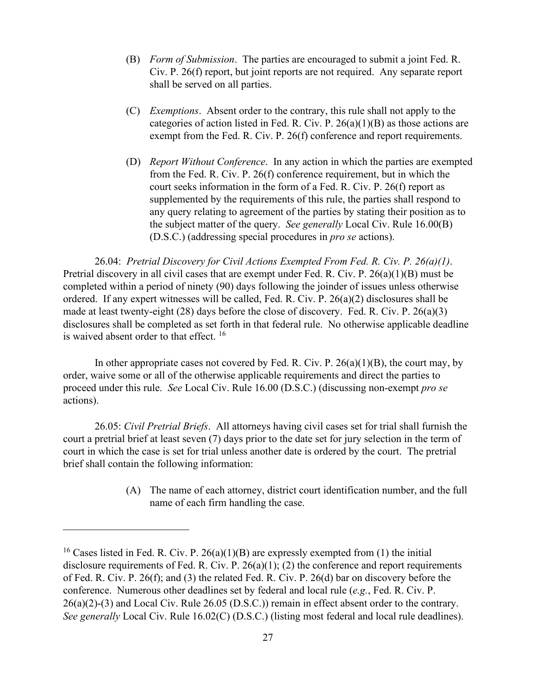- (B) *Form of Submission*. The parties are encouraged to submit a joint Fed. R. Civ. P. 26(f) report, but joint reports are not required. Any separate report shall be served on all parties.
- (C) *Exemptions*. Absent order to the contrary, this rule shall not apply to the categories of action listed in Fed. R. Civ. P.  $26(a)(1)(B)$  as those actions are exempt from the Fed. R. Civ. P. 26(f) conference and report requirements.
- (D) *Report Without Conference*. In any action in which the parties are exempted from the Fed. R. Civ. P. 26(f) conference requirement, but in which the court seeks information in the form of a Fed. R. Civ. P. 26(f) report as supplemented by the requirements of this rule, the parties shall respond to any query relating to agreement of the parties by stating their position as to the subject matter of the query. *See generally* Local Civ. Rule 16.00(B) (D.S.C.) (addressing special procedures in *pro se* actions).

26.04: *Pretrial Discovery for Civil Actions Exempted From Fed. R. Civ. P. 26(a)(1)*. Pretrial discovery in all civil cases that are exempt under Fed. R. Civ. P. 26(a)(1)(B) must be completed within a period of ninety (90) days following the joinder of issues unless otherwise ordered. If any expert witnesses will be called, Fed. R. Civ. P. 26(a)(2) disclosures shall be made at least twenty-eight (28) days before the close of discovery. Fed. R. Civ. P. 26(a)(3) disclosures shall be completed as set forth in that federal rule. No otherwise applicable deadline is waived absent order to that effect. <sup>16</sup>

In other appropriate cases not covered by Fed. R. Civ. P.  $26(a)(1)(B)$ , the court may, by order, waive some or all of the otherwise applicable requirements and direct the parties to proceed under this rule. *See* Local Civ. Rule 16.00 (D.S.C.) (discussing non-exempt *pro se*  actions).

26.05: *Civil Pretrial Briefs*. All attorneys having civil cases set for trial shall furnish the court a pretrial brief at least seven (7) days prior to the date set for jury selection in the term of court in which the case is set for trial unless another date is ordered by the court. The pretrial brief shall contain the following information:

> (A) The name of each attorney, district court identification number, and the full name of each firm handling the case.

<sup>&</sup>lt;sup>16</sup> Cases listed in Fed. R. Civ. P. 26(a)(1)(B) are expressly exempted from (1) the initial disclosure requirements of Fed. R. Civ. P.  $26(a)(1)$ ; (2) the conference and report requirements of Fed. R. Civ. P. 26(f); and (3) the related Fed. R. Civ. P. 26(d) bar on discovery before the conference. Numerous other deadlines set by federal and local rule (*e.g.*, Fed. R. Civ. P. 26(a)(2)-(3) and Local Civ. Rule 26.05 (D.S.C.)) remain in effect absent order to the contrary. *See generally* Local Civ. Rule 16.02(C) (D.S.C.) (listing most federal and local rule deadlines).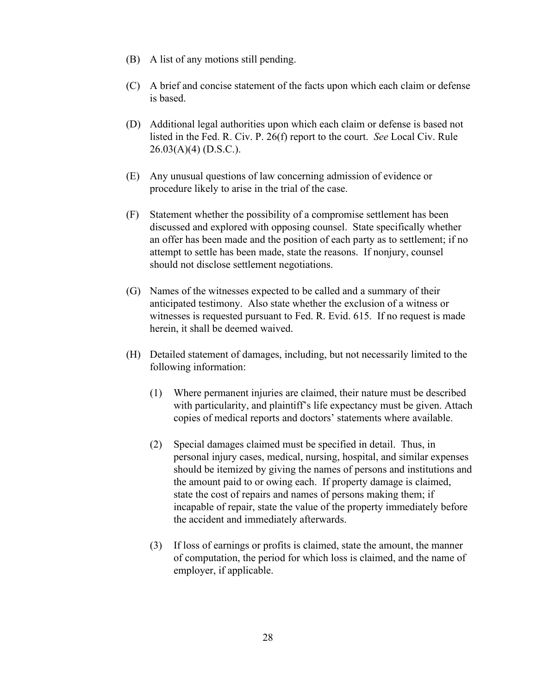- (B) A list of any motions still pending.
- (C) A brief and concise statement of the facts upon which each claim or defense is based.
- (D) Additional legal authorities upon which each claim or defense is based not listed in the Fed. R. Civ. P. 26(f) report to the court. *See* Local Civ. Rule  $26.03(A)(4)$  (D.S.C.).
- (E) Any unusual questions of law concerning admission of evidence or procedure likely to arise in the trial of the case.
- (F) Statement whether the possibility of a compromise settlement has been discussed and explored with opposing counsel. State specifically whether an offer has been made and the position of each party as to settlement; if no attempt to settle has been made, state the reasons. If nonjury, counsel should not disclose settlement negotiations.
- (G) Names of the witnesses expected to be called and a summary of their anticipated testimony. Also state whether the exclusion of a witness or witnesses is requested pursuant to Fed. R. Evid. 615. If no request is made herein, it shall be deemed waived.
- (H) Detailed statement of damages, including, but not necessarily limited to the following information:
	- (1) Where permanent injuries are claimed, their nature must be described with particularity, and plaintiff's life expectancy must be given. Attach copies of medical reports and doctors' statements where available.
	- (2) Special damages claimed must be specified in detail. Thus, in personal injury cases, medical, nursing, hospital, and similar expenses should be itemized by giving the names of persons and institutions and the amount paid to or owing each. If property damage is claimed, state the cost of repairs and names of persons making them; if incapable of repair, state the value of the property immediately before the accident and immediately afterwards.
	- (3) If loss of earnings or profits is claimed, state the amount, the manner of computation, the period for which loss is claimed, and the name of employer, if applicable.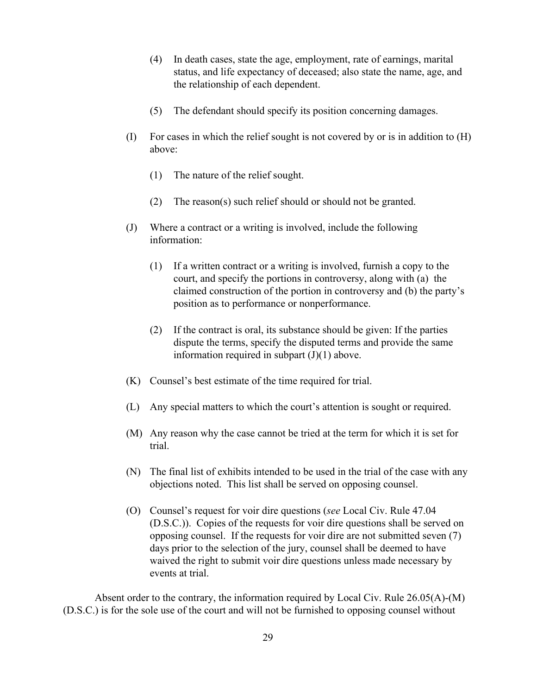- (4) In death cases, state the age, employment, rate of earnings, marital status, and life expectancy of deceased; also state the name, age, and the relationship of each dependent.
- (5) The defendant should specify its position concerning damages.
- (I) For cases in which the relief sought is not covered by or is in addition to (H) above:
	- (1) The nature of the relief sought.
	- (2) The reason(s) such relief should or should not be granted.
- (J) Where a contract or a writing is involved, include the following information:
	- (1) If a written contract or a writing is involved, furnish a copy to the court, and specify the portions in controversy, along with (a) the claimed construction of the portion in controversy and (b) the party's position as to performance or nonperformance.
	- (2) If the contract is oral, its substance should be given: If the parties dispute the terms, specify the disputed terms and provide the same information required in subpart  $(J)(1)$  above.
- (K) Counsel's best estimate of the time required for trial.
- (L) Any special matters to which the court's attention is sought or required.
- (M) Any reason why the case cannot be tried at the term for which it is set for trial.
- (N) The final list of exhibits intended to be used in the trial of the case with any objections noted. This list shall be served on opposing counsel.
- (O) Counsel's request for voir dire questions (*see* Local Civ. Rule 47.04 (D.S.C.)). Copies of the requests for voir dire questions shall be served on opposing counsel. If the requests for voir dire are not submitted seven (7) days prior to the selection of the jury, counsel shall be deemed to have waived the right to submit voir dire questions unless made necessary by events at trial.

Absent order to the contrary, the information required by Local Civ. Rule 26.05(A)-(M) (D.S.C.) is for the sole use of the court and will not be furnished to opposing counsel without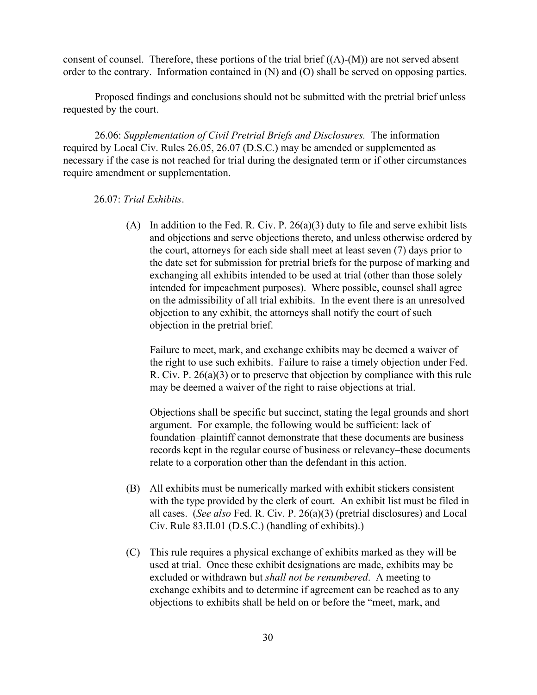consent of counsel. Therefore, these portions of the trial brief  $((A)-(M))$  are not served absent order to the contrary. Information contained in (N) and (O) shall be served on opposing parties.

Proposed findings and conclusions should not be submitted with the pretrial brief unless requested by the court.

26.06: *Supplementation of Civil Pretrial Briefs and Disclosures.* The information required by Local Civ. Rules 26.05, 26.07 (D.S.C.) may be amended or supplemented as necessary if the case is not reached for trial during the designated term or if other circumstances require amendment or supplementation.

26.07: *Trial Exhibits*.

(A) In addition to the Fed. R. Civ. P.  $26(a)(3)$  duty to file and serve exhibit lists and objections and serve objections thereto, and unless otherwise ordered by the court, attorneys for each side shall meet at least seven (7) days prior to the date set for submission for pretrial briefs for the purpose of marking and exchanging all exhibits intended to be used at trial (other than those solely intended for impeachment purposes). Where possible, counsel shall agree on the admissibility of all trial exhibits. In the event there is an unresolved objection to any exhibit, the attorneys shall notify the court of such objection in the pretrial brief.

Failure to meet, mark, and exchange exhibits may be deemed a waiver of the right to use such exhibits. Failure to raise a timely objection under Fed. R. Civ. P. 26(a)(3) or to preserve that objection by compliance with this rule may be deemed a waiver of the right to raise objections at trial.

Objections shall be specific but succinct, stating the legal grounds and short argument. For example, the following would be sufficient: lack of foundation–plaintiff cannot demonstrate that these documents are business records kept in the regular course of business or relevancy–these documents relate to a corporation other than the defendant in this action.

- (B) All exhibits must be numerically marked with exhibit stickers consistent with the type provided by the clerk of court. An exhibit list must be filed in all cases. (*See also* Fed. R. Civ. P. 26(a)(3) (pretrial disclosures) and Local Civ. Rule 83.II.01 (D.S.C.) (handling of exhibits).)
- (C) This rule requires a physical exchange of exhibits marked as they will be used at trial. Once these exhibit designations are made, exhibits may be excluded or withdrawn but *shall not be renumbered*. A meeting to exchange exhibits and to determine if agreement can be reached as to any objections to exhibits shall be held on or before the "meet, mark, and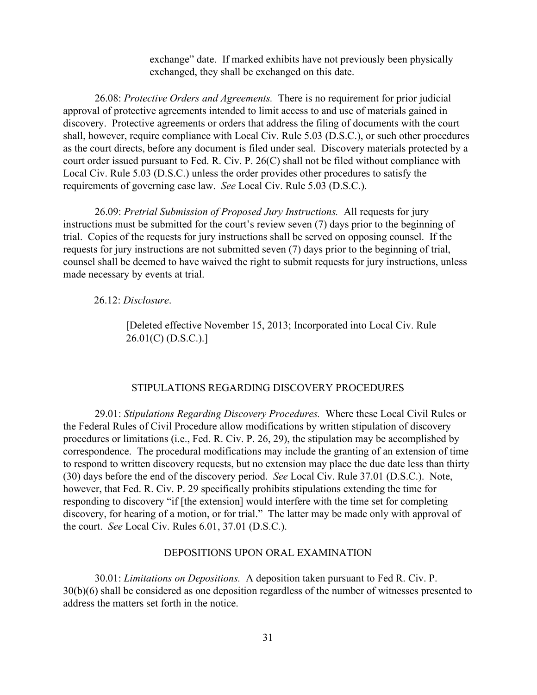exchange" date. If marked exhibits have not previously been physically exchanged, they shall be exchanged on this date.

26.08: *Protective Orders and Agreements.* There is no requirement for prior judicial approval of protective agreements intended to limit access to and use of materials gained in discovery. Protective agreements or orders that address the filing of documents with the court shall, however, require compliance with Local Civ. Rule 5.03 (D.S.C.), or such other procedures as the court directs, before any document is filed under seal. Discovery materials protected by a court order issued pursuant to Fed. R. Civ. P. 26(C) shall not be filed without compliance with Local Civ. Rule 5.03 (D.S.C.) unless the order provides other procedures to satisfy the requirements of governing case law. *See* Local Civ. Rule 5.03 (D.S.C.).

26.09: *Pretrial Submission of Proposed Jury Instructions.* All requests for jury instructions must be submitted for the court's review seven (7) days prior to the beginning of trial. Copies of the requests for jury instructions shall be served on opposing counsel. If the requests for jury instructions are not submitted seven (7) days prior to the beginning of trial, counsel shall be deemed to have waived the right to submit requests for jury instructions, unless made necessary by events at trial.

26.12: *Disclosure*.

[Deleted effective November 15, 2013; Incorporated into Local Civ. Rule 26.01(C) (D.S.C.).]

### STIPULATIONS REGARDING DISCOVERY PROCEDURES

29.01: *Stipulations Regarding Discovery Procedures.* Where these Local Civil Rules or the Federal Rules of Civil Procedure allow modifications by written stipulation of discovery procedures or limitations (i.e., Fed. R. Civ. P. 26, 29), the stipulation may be accomplished by correspondence. The procedural modifications may include the granting of an extension of time to respond to written discovery requests, but no extension may place the due date less than thirty (30) days before the end of the discovery period. *See* Local Civ. Rule 37.01 (D.S.C.). Note, however, that Fed. R. Civ. P. 29 specifically prohibits stipulations extending the time for responding to discovery "if [the extension] would interfere with the time set for completing discovery, for hearing of a motion, or for trial." The latter may be made only with approval of the court. *See* Local Civ. Rules 6.01, 37.01 (D.S.C.).

#### DEPOSITIONS UPON ORAL EXAMINATION

30.01: *Limitations on Depositions.* A deposition taken pursuant to Fed R. Civ. P. 30(b)(6) shall be considered as one deposition regardless of the number of witnesses presented to address the matters set forth in the notice.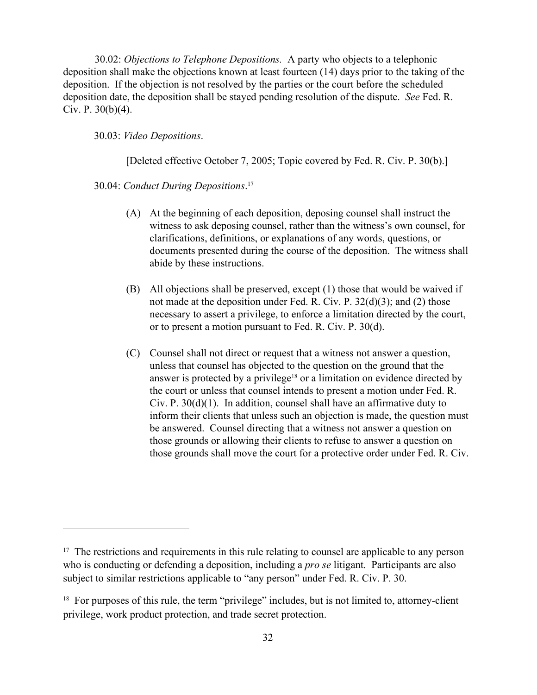30.02: *Objections to Telephone Depositions.* A party who objects to a telephonic deposition shall make the objections known at least fourteen (14) days prior to the taking of the deposition. If the objection is not resolved by the parties or the court before the scheduled deposition date, the deposition shall be stayed pending resolution of the dispute. *See* Fed. R. Civ. P. 30(b)(4).

30.03: *Video Depositions*.

[Deleted effective October 7, 2005; Topic covered by Fed. R. Civ. P. 30(b).]

30.04: *Conduct During Depositions*. 17

- (A) At the beginning of each deposition, deposing counsel shall instruct the witness to ask deposing counsel, rather than the witness's own counsel, for clarifications, definitions, or explanations of any words, questions, or documents presented during the course of the deposition. The witness shall abide by these instructions.
- (B) All objections shall be preserved, except (1) those that would be waived if not made at the deposition under Fed. R. Civ. P. 32(d)(3); and (2) those necessary to assert a privilege, to enforce a limitation directed by the court, or to present a motion pursuant to Fed. R. Civ. P. 30(d).
- (C) Counsel shall not direct or request that a witness not answer a question, unless that counsel has objected to the question on the ground that the answer is protected by a privilege<sup>18</sup> or a limitation on evidence directed by the court or unless that counsel intends to present a motion under Fed. R. Civ. P. 30(d)(1). In addition, counsel shall have an affirmative duty to inform their clients that unless such an objection is made, the question must be answered. Counsel directing that a witness not answer a question on those grounds or allowing their clients to refuse to answer a question on those grounds shall move the court for a protective order under Fed. R. Civ.

<sup>&</sup>lt;sup>17</sup> The restrictions and requirements in this rule relating to counsel are applicable to any person who is conducting or defending a deposition, including a *pro se* litigant. Participants are also subject to similar restrictions applicable to "any person" under Fed. R. Civ. P. 30.

<sup>&</sup>lt;sup>18</sup> For purposes of this rule, the term "privilege" includes, but is not limited to, attorney-client privilege, work product protection, and trade secret protection.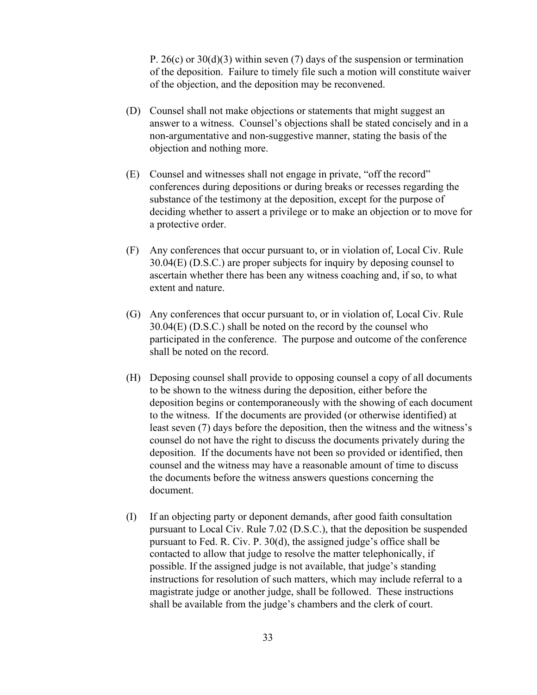P. 26(c) or 30(d)(3) within seven (7) days of the suspension or termination of the deposition. Failure to timely file such a motion will constitute waiver of the objection, and the deposition may be reconvened.

- (D) Counsel shall not make objections or statements that might suggest an answer to a witness. Counsel's objections shall be stated concisely and in a non-argumentative and non-suggestive manner, stating the basis of the objection and nothing more.
- (E) Counsel and witnesses shall not engage in private, "off the record" conferences during depositions or during breaks or recesses regarding the substance of the testimony at the deposition, except for the purpose of deciding whether to assert a privilege or to make an objection or to move for a protective order.
- (F) Any conferences that occur pursuant to, or in violation of, Local Civ. Rule 30.04(E) (D.S.C.) are proper subjects for inquiry by deposing counsel to ascertain whether there has been any witness coaching and, if so, to what extent and nature.
- (G) Any conferences that occur pursuant to, or in violation of, Local Civ. Rule 30.04(E) (D.S.C.) shall be noted on the record by the counsel who participated in the conference. The purpose and outcome of the conference shall be noted on the record.
- (H) Deposing counsel shall provide to opposing counsel a copy of all documents to be shown to the witness during the deposition, either before the deposition begins or contemporaneously with the showing of each document to the witness. If the documents are provided (or otherwise identified) at least seven (7) days before the deposition, then the witness and the witness's counsel do not have the right to discuss the documents privately during the deposition. If the documents have not been so provided or identified, then counsel and the witness may have a reasonable amount of time to discuss the documents before the witness answers questions concerning the document.
- (I) If an objecting party or deponent demands, after good faith consultation pursuant to Local Civ. Rule 7.02 (D.S.C.), that the deposition be suspended pursuant to Fed. R. Civ. P. 30(d), the assigned judge's office shall be contacted to allow that judge to resolve the matter telephonically, if possible. If the assigned judge is not available, that judge's standing instructions for resolution of such matters, which may include referral to a magistrate judge or another judge, shall be followed. These instructions shall be available from the judge's chambers and the clerk of court.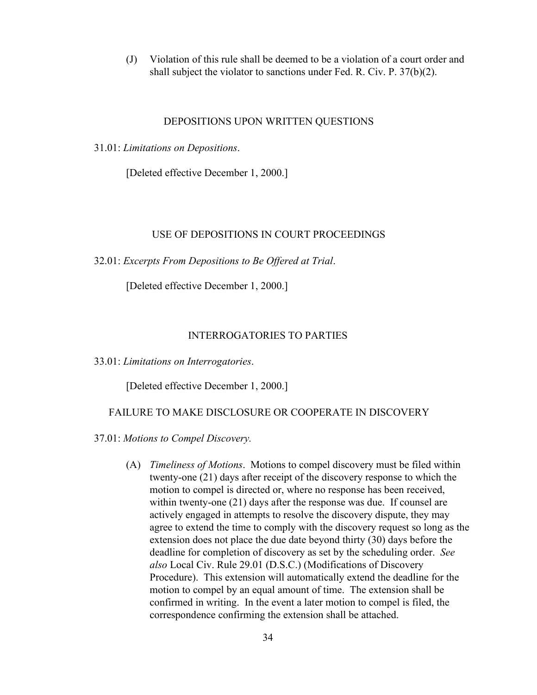(J) Violation of this rule shall be deemed to be a violation of a court order and shall subject the violator to sanctions under Fed. R. Civ. P. 37(b)(2).

### DEPOSITIONS UPON WRITTEN QUESTIONS

31.01: *Limitations on Depositions*.

[Deleted effective December 1, 2000.]

### USE OF DEPOSITIONS IN COURT PROCEEDINGS

32.01: *Excerpts From Depositions to Be Offered at Trial*.

[Deleted effective December 1, 2000.]

### INTERROGATORIES TO PARTIES

33.01: *Limitations on Interrogatories*.

[Deleted effective December 1, 2000.]

### FAILURE TO MAKE DISCLOSURE OR COOPERATE IN DISCOVERY

37.01: *Motions to Compel Discovery.*

(A) *Timeliness of Motions*. Motions to compel discovery must be filed within twenty-one (21) days after receipt of the discovery response to which the motion to compel is directed or, where no response has been received, within twenty-one (21) days after the response was due. If counsel are actively engaged in attempts to resolve the discovery dispute, they may agree to extend the time to comply with the discovery request so long as the extension does not place the due date beyond thirty (30) days before the deadline for completion of discovery as set by the scheduling order. *See also* Local Civ. Rule 29.01 (D.S.C.) (Modifications of Discovery Procedure). This extension will automatically extend the deadline for the motion to compel by an equal amount of time. The extension shall be confirmed in writing. In the event a later motion to compel is filed, the correspondence confirming the extension shall be attached.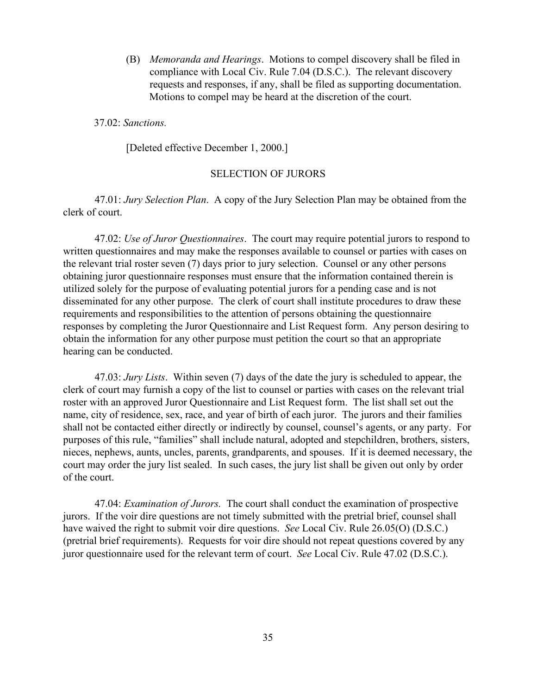(B) *Memoranda and Hearings*. Motions to compel discovery shall be filed in compliance with Local Civ. Rule 7.04 (D.S.C.). The relevant discovery requests and responses, if any, shall be filed as supporting documentation. Motions to compel may be heard at the discretion of the court.

37.02: *Sanctions.*

[Deleted effective December 1, 2000.]

#### SELECTION OF JURORS

47.01: *Jury Selection Plan*. A copy of the Jury Selection Plan may be obtained from the clerk of court.

47.02: *Use of Juror Questionnaires*. The court may require potential jurors to respond to written questionnaires and may make the responses available to counsel or parties with cases on the relevant trial roster seven (7) days prior to jury selection. Counsel or any other persons obtaining juror questionnaire responses must ensure that the information contained therein is utilized solely for the purpose of evaluating potential jurors for a pending case and is not disseminated for any other purpose. The clerk of court shall institute procedures to draw these requirements and responsibilities to the attention of persons obtaining the questionnaire responses by completing the Juror Questionnaire and List Request form. Any person desiring to obtain the information for any other purpose must petition the court so that an appropriate hearing can be conducted.

47.03: *Jury Lists*. Within seven (7) days of the date the jury is scheduled to appear, the clerk of court may furnish a copy of the list to counsel or parties with cases on the relevant trial roster with an approved Juror Questionnaire and List Request form. The list shall set out the name, city of residence, sex, race, and year of birth of each juror. The jurors and their families shall not be contacted either directly or indirectly by counsel, counsel's agents, or any party. For purposes of this rule, "families" shall include natural, adopted and stepchildren, brothers, sisters, nieces, nephews, aunts, uncles, parents, grandparents, and spouses. If it is deemed necessary, the court may order the jury list sealed. In such cases, the jury list shall be given out only by order of the court.

47.04: *Examination of Jurors.* The court shall conduct the examination of prospective jurors. If the voir dire questions are not timely submitted with the pretrial brief, counsel shall have waived the right to submit voir dire questions. *See* Local Civ. Rule 26.05(O) (D.S.C.) (pretrial brief requirements). Requests for voir dire should not repeat questions covered by any juror questionnaire used for the relevant term of court. *See* Local Civ. Rule 47.02 (D.S.C.).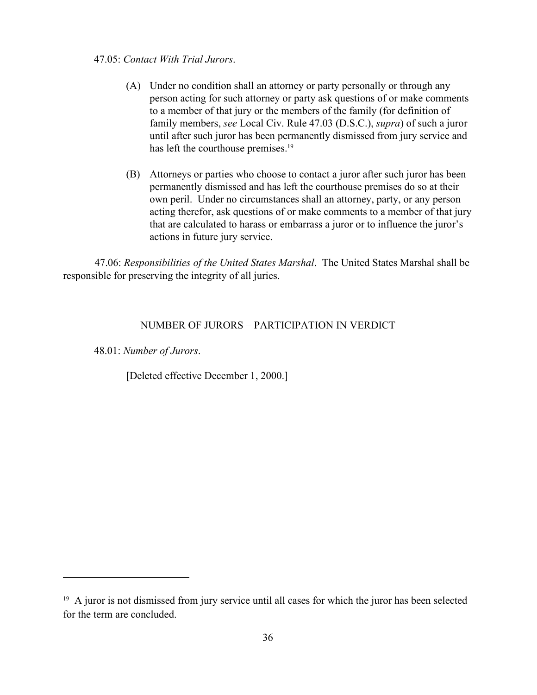## 47.05: *Contact With Trial Jurors*.

- (A) Under no condition shall an attorney or party personally or through any person acting for such attorney or party ask questions of or make comments to a member of that jury or the members of the family (for definition of family members, *see* Local Civ. Rule 47.03 (D.S.C.), *supra*) of such a juror until after such juror has been permanently dismissed from jury service and has left the courthouse premises.<sup>19</sup>
- (B) Attorneys or parties who choose to contact a juror after such juror has been permanently dismissed and has left the courthouse premises do so at their own peril. Under no circumstances shall an attorney, party, or any person acting therefor, ask questions of or make comments to a member of that jury that are calculated to harass or embarrass a juror or to influence the juror's actions in future jury service.

47.06: *Responsibilities of the United States Marshal*. The United States Marshal shall be responsible for preserving the integrity of all juries.

### NUMBER OF JURORS – PARTICIPATION IN VERDICT

48.01: *Number of Jurors*.

[Deleted effective December 1, 2000.]

<sup>&</sup>lt;sup>19</sup> A juror is not dismissed from jury service until all cases for which the juror has been selected for the term are concluded.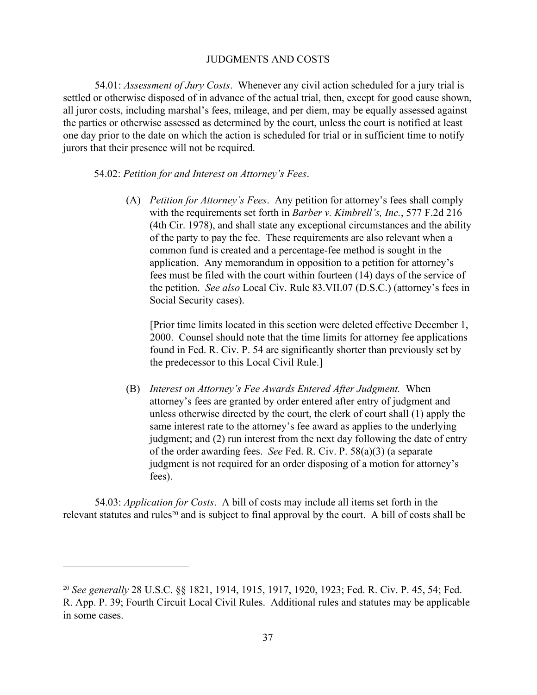### JUDGMENTS AND COSTS

54.01: *Assessment of Jury Costs*. Whenever any civil action scheduled for a jury trial is settled or otherwise disposed of in advance of the actual trial, then, except for good cause shown, all juror costs, including marshal's fees, mileage, and per diem, may be equally assessed against the parties or otherwise assessed as determined by the court, unless the court is notified at least one day prior to the date on which the action is scheduled for trial or in sufficient time to notify jurors that their presence will not be required.

#### 54.02: *Petition for and Interest on Attorney's Fees*.

(A) *Petition for Attorney's Fees*. Any petition for attorney's fees shall comply with the requirements set forth in *Barber v. Kimbrell's, Inc.*, 577 F.2d 216 (4th Cir. 1978), and shall state any exceptional circumstances and the ability of the party to pay the fee. These requirements are also relevant when a common fund is created and a percentage-fee method is sought in the application. Any memorandum in opposition to a petition for attorney's fees must be filed with the court within fourteen (14) days of the service of the petition. *See also* Local Civ. Rule 83.VII.07 (D.S.C.) (attorney's fees in Social Security cases).

[Prior time limits located in this section were deleted effective December 1, 2000. Counsel should note that the time limits for attorney fee applications found in Fed. R. Civ. P. 54 are significantly shorter than previously set by the predecessor to this Local Civil Rule.]

(B) *Interest on Attorney's Fee Awards Entered After Judgment.* When attorney's fees are granted by order entered after entry of judgment and unless otherwise directed by the court, the clerk of court shall (1) apply the same interest rate to the attorney's fee award as applies to the underlying judgment; and (2) run interest from the next day following the date of entry of the order awarding fees. *See* Fed. R. Civ. P. 58(a)(3) (a separate judgment is not required for an order disposing of a motion for attorney's fees).

54.03: *Application for Costs*. A bill of costs may include all items set forth in the relevant statutes and rules<sup>20</sup> and is subject to final approval by the court. A bill of costs shall be

<sup>20</sup> *See generally* 28 U.S.C. §§ 1821, 1914, 1915, 1917, 1920, 1923; Fed. R. Civ. P. 45, 54; Fed. R. App. P. 39; Fourth Circuit Local Civil Rules. Additional rules and statutes may be applicable in some cases.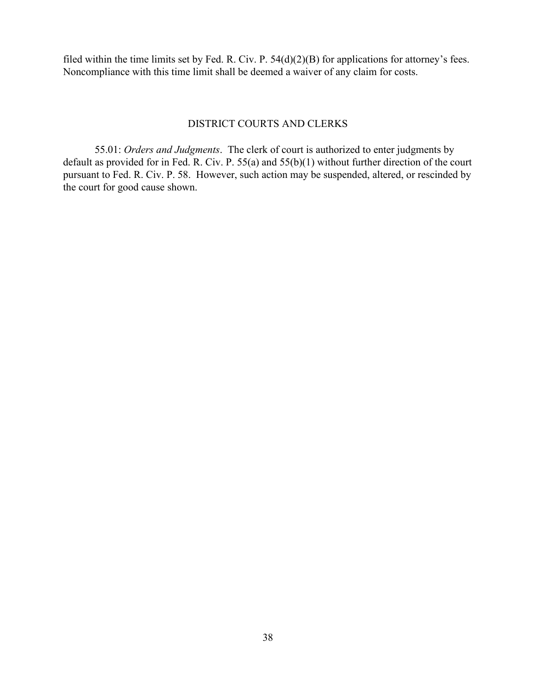filed within the time limits set by Fed. R. Civ. P. 54(d)(2)(B) for applications for attorney's fees. Noncompliance with this time limit shall be deemed a waiver of any claim for costs.

## DISTRICT COURTS AND CLERKS

55.01: *Orders and Judgments*. The clerk of court is authorized to enter judgments by default as provided for in Fed. R. Civ. P. 55(a) and 55(b)(1) without further direction of the court pursuant to Fed. R. Civ. P. 58. However, such action may be suspended, altered, or rescinded by the court for good cause shown.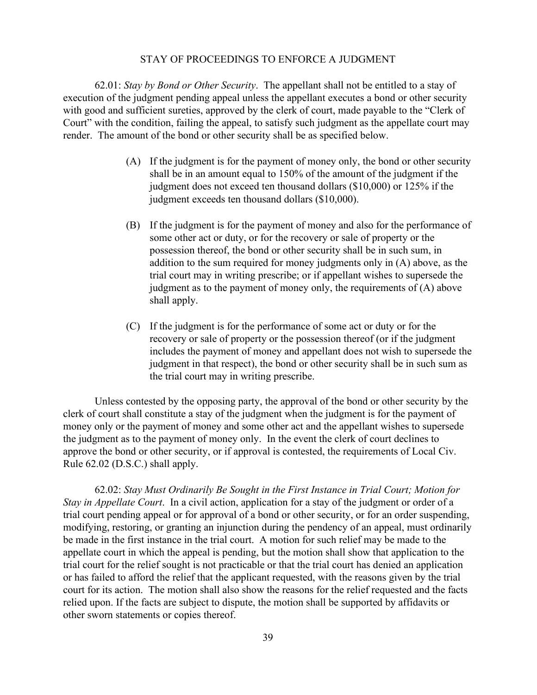#### STAY OF PROCEEDINGS TO ENFORCE A JUDGMENT

62.01: *Stay by Bond or Other Security*. The appellant shall not be entitled to a stay of execution of the judgment pending appeal unless the appellant executes a bond or other security with good and sufficient sureties, approved by the clerk of court, made payable to the "Clerk of Court" with the condition, failing the appeal, to satisfy such judgment as the appellate court may render. The amount of the bond or other security shall be as specified below.

- (A) If the judgment is for the payment of money only, the bond or other security shall be in an amount equal to 150% of the amount of the judgment if the judgment does not exceed ten thousand dollars (\$10,000) or 125% if the judgment exceeds ten thousand dollars (\$10,000).
- (B) If the judgment is for the payment of money and also for the performance of some other act or duty, or for the recovery or sale of property or the possession thereof, the bond or other security shall be in such sum, in addition to the sum required for money judgments only in (A) above, as the trial court may in writing prescribe; or if appellant wishes to supersede the judgment as to the payment of money only, the requirements of (A) above shall apply.
- (C) If the judgment is for the performance of some act or duty or for the recovery or sale of property or the possession thereof (or if the judgment includes the payment of money and appellant does not wish to supersede the judgment in that respect), the bond or other security shall be in such sum as the trial court may in writing prescribe.

Unless contested by the opposing party, the approval of the bond or other security by the clerk of court shall constitute a stay of the judgment when the judgment is for the payment of money only or the payment of money and some other act and the appellant wishes to supersede the judgment as to the payment of money only. In the event the clerk of court declines to approve the bond or other security, or if approval is contested, the requirements of Local Civ. Rule 62.02 (D.S.C.) shall apply.

62.02: *Stay Must Ordinarily Be Sought in the First Instance in Trial Court; Motion for Stay in Appellate Court*. In a civil action, application for a stay of the judgment or order of a trial court pending appeal or for approval of a bond or other security, or for an order suspending, modifying, restoring, or granting an injunction during the pendency of an appeal, must ordinarily be made in the first instance in the trial court. A motion for such relief may be made to the appellate court in which the appeal is pending, but the motion shall show that application to the trial court for the relief sought is not practicable or that the trial court has denied an application or has failed to afford the relief that the applicant requested, with the reasons given by the trial court for its action. The motion shall also show the reasons for the relief requested and the facts relied upon. If the facts are subject to dispute, the motion shall be supported by affidavits or other sworn statements or copies thereof.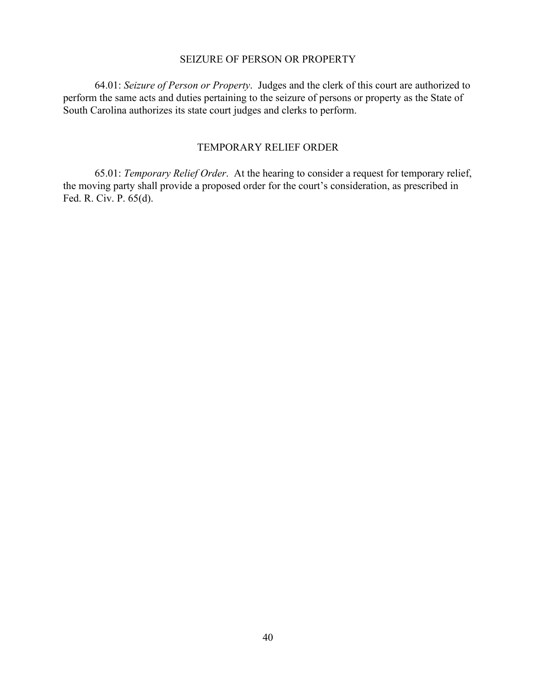# SEIZURE OF PERSON OR PROPERTY

64.01: *Seizure of Person or Property*. Judges and the clerk of this court are authorized to perform the same acts and duties pertaining to the seizure of persons or property as the State of South Carolina authorizes its state court judges and clerks to perform.

## TEMPORARY RELIEF ORDER

65.01: *Temporary Relief Order*. At the hearing to consider a request for temporary relief, the moving party shall provide a proposed order for the court's consideration, as prescribed in Fed. R. Civ. P. 65(d).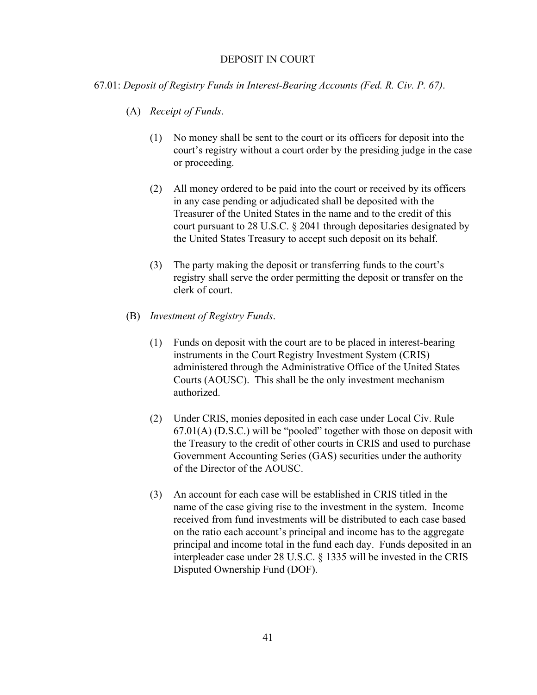### DEPOSIT IN COURT

#### 67.01: *Deposit of Registry Funds in Interest-Bearing Accounts (Fed. R. Civ. P. 67)*.

- (A) *Receipt of Funds*.
	- (1) No money shall be sent to the court or its officers for deposit into the court's registry without a court order by the presiding judge in the case or proceeding.
	- (2) All money ordered to be paid into the court or received by its officers in any case pending or adjudicated shall be deposited with the Treasurer of the United States in the name and to the credit of this court pursuant to 28 U.S.C. § 2041 through depositaries designated by the United States Treasury to accept such deposit on its behalf.
	- (3) The party making the deposit or transferring funds to the court's registry shall serve the order permitting the deposit or transfer on the clerk of court.
- (B) *Investment of Registry Funds*.
	- (1) Funds on deposit with the court are to be placed in interest-bearing instruments in the Court Registry Investment System (CRIS) administered through the Administrative Office of the United States Courts (AOUSC). This shall be the only investment mechanism authorized.
	- (2) Under CRIS, monies deposited in each case under Local Civ. Rule 67.01(A) (D.S.C.) will be "pooled" together with those on deposit with the Treasury to the credit of other courts in CRIS and used to purchase Government Accounting Series (GAS) securities under the authority of the Director of the AOUSC.
	- (3) An account for each case will be established in CRIS titled in the name of the case giving rise to the investment in the system. Income received from fund investments will be distributed to each case based on the ratio each account's principal and income has to the aggregate principal and income total in the fund each day. Funds deposited in an interpleader case under 28 U.S.C. § 1335 will be invested in the CRIS Disputed Ownership Fund (DOF).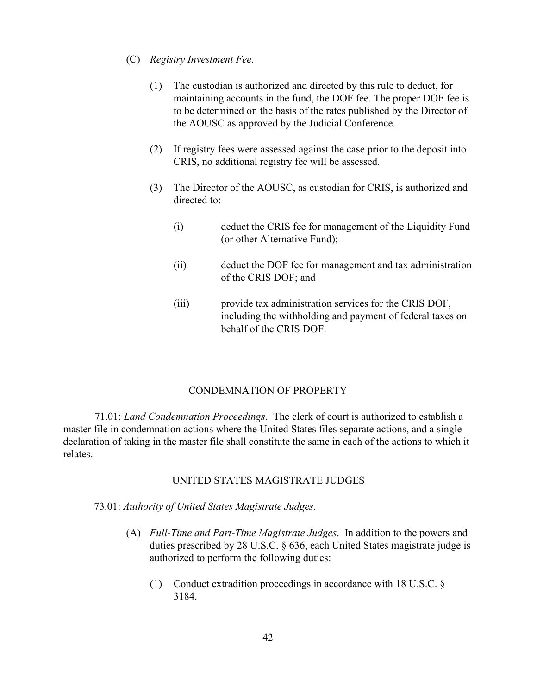### (C) *Registry Investment Fee*.

- (1) The custodian is authorized and directed by this rule to deduct, for maintaining accounts in the fund, the DOF fee. The proper DOF fee is to be determined on the basis of the rates published by the Director of the AOUSC as approved by the Judicial Conference.
- (2) If registry fees were assessed against the case prior to the deposit into CRIS, no additional registry fee will be assessed.
- (3) The Director of the AOUSC, as custodian for CRIS, is authorized and directed to:
	- (i) deduct the CRIS fee for management of the Liquidity Fund (or other Alternative Fund);
	- (ii) deduct the DOF fee for management and tax administration of the CRIS DOF; and
	- (iii) provide tax administration services for the CRIS DOF, including the withholding and payment of federal taxes on behalf of the CRIS DOF.

### CONDEMNATION OF PROPERTY

71.01: *Land Condemnation Proceedings*. The clerk of court is authorized to establish a master file in condemnation actions where the United States files separate actions, and a single declaration of taking in the master file shall constitute the same in each of the actions to which it relates.

### UNITED STATES MAGISTRATE JUDGES

73.01: *Authority of United States Magistrate Judges.*

- (A) *Full-Time and Part-Time Magistrate Judges*. In addition to the powers and duties prescribed by 28 U.S.C. § 636, each United States magistrate judge is authorized to perform the following duties:
	- (1) Conduct extradition proceedings in accordance with 18 U.S.C. § 3184.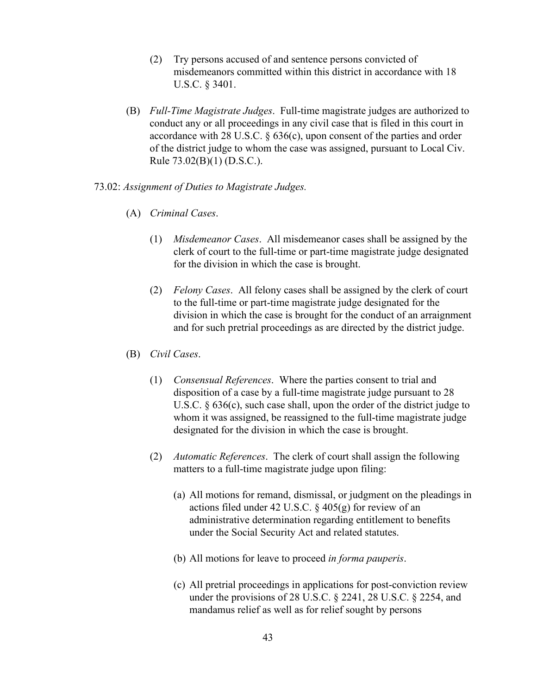- (2) Try persons accused of and sentence persons convicted of misdemeanors committed within this district in accordance with 18 U.S.C. § 3401.
- (B) *Full-Time Magistrate Judges*. Full-time magistrate judges are authorized to conduct any or all proceedings in any civil case that is filed in this court in accordance with 28 U.S.C. § 636(c), upon consent of the parties and order of the district judge to whom the case was assigned, pursuant to Local Civ. Rule 73.02(B)(1) (D.S.C.).

#### 73.02: *Assignment of Duties to Magistrate Judges.*

- (A) *Criminal Cases*.
	- (1) *Misdemeanor Cases*. All misdemeanor cases shall be assigned by the clerk of court to the full-time or part-time magistrate judge designated for the division in which the case is brought.
	- (2) *Felony Cases*. All felony cases shall be assigned by the clerk of court to the full-time or part-time magistrate judge designated for the division in which the case is brought for the conduct of an arraignment and for such pretrial proceedings as are directed by the district judge.
- (B) *Civil Cases*.
	- (1) *Consensual References*. Where the parties consent to trial and disposition of a case by a full-time magistrate judge pursuant to 28 U.S.C. § 636(c), such case shall, upon the order of the district judge to whom it was assigned, be reassigned to the full-time magistrate judge designated for the division in which the case is brought.
	- (2) *Automatic References*. The clerk of court shall assign the following matters to a full-time magistrate judge upon filing:
		- (a) All motions for remand, dismissal, or judgment on the pleadings in actions filed under 42 U.S.C.  $\S$  405(g) for review of an administrative determination regarding entitlement to benefits under the Social Security Act and related statutes.
		- (b) All motions for leave to proceed *in forma pauperis*.
		- (c) All pretrial proceedings in applications for post-conviction review under the provisions of 28 U.S.C. § 2241, 28 U.S.C. § 2254, and mandamus relief as well as for relief sought by persons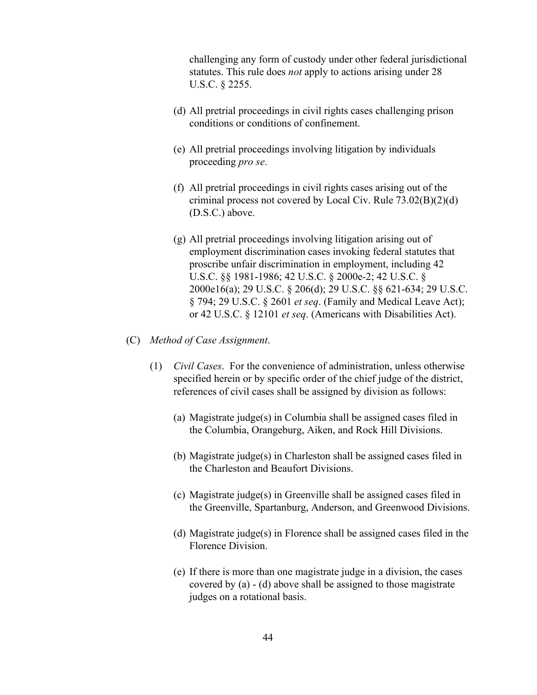challenging any form of custody under other federal jurisdictional statutes. This rule does *not* apply to actions arising under 28 U.S.C. § 2255.

- (d) All pretrial proceedings in civil rights cases challenging prison conditions or conditions of confinement.
- (e) All pretrial proceedings involving litigation by individuals proceeding *pro se*.
- (f) All pretrial proceedings in civil rights cases arising out of the criminal process not covered by Local Civ. Rule  $73.02(B)(2)(d)$ (D.S.C.) above.
- (g) All pretrial proceedings involving litigation arising out of employment discrimination cases invoking federal statutes that proscribe unfair discrimination in employment, including 42 U.S.C. §§ 1981-1986; 42 U.S.C. § 2000e-2; 42 U.S.C. § 2000e16(a); 29 U.S.C. § 206(d); 29 U.S.C. §§ 621-634; 29 U.S.C. § 794; 29 U.S.C. § 2601 *et seq*. (Family and Medical Leave Act); or 42 U.S.C. § 12101 *et seq*. (Americans with Disabilities Act).
- (C) *Method of Case Assignment*.
	- (1) *Civil Cases*. For the convenience of administration, unless otherwise specified herein or by specific order of the chief judge of the district, references of civil cases shall be assigned by division as follows:
		- (a) Magistrate judge(s) in Columbia shall be assigned cases filed in the Columbia, Orangeburg, Aiken, and Rock Hill Divisions.
		- (b) Magistrate judge(s) in Charleston shall be assigned cases filed in the Charleston and Beaufort Divisions.
		- (c) Magistrate judge(s) in Greenville shall be assigned cases filed in the Greenville, Spartanburg, Anderson, and Greenwood Divisions.
		- (d) Magistrate judge(s) in Florence shall be assigned cases filed in the Florence Division.
		- (e) If there is more than one magistrate judge in a division, the cases covered by (a) - (d) above shall be assigned to those magistrate judges on a rotational basis.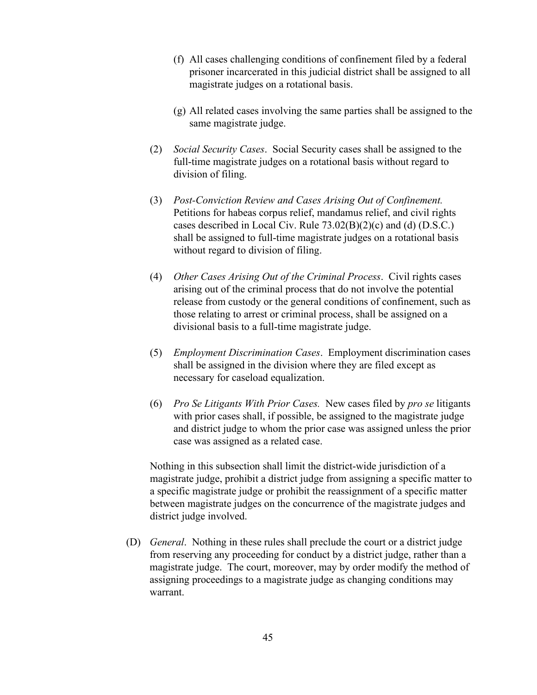- (f) All cases challenging conditions of confinement filed by a federal prisoner incarcerated in this judicial district shall be assigned to all magistrate judges on a rotational basis.
- (g) All related cases involving the same parties shall be assigned to the same magistrate judge.
- (2) *Social Security Cases*. Social Security cases shall be assigned to the full-time magistrate judges on a rotational basis without regard to division of filing.
- (3) *Post-Conviction Review and Cases Arising Out of Confinement.* Petitions for habeas corpus relief, mandamus relief, and civil rights cases described in Local Civ. Rule 73.02(B)(2)(c) and (d) (D.S.C.) shall be assigned to full-time magistrate judges on a rotational basis without regard to division of filing.
- (4) *Other Cases Arising Out of the Criminal Process*. Civil rights cases arising out of the criminal process that do not involve the potential release from custody or the general conditions of confinement, such as those relating to arrest or criminal process, shall be assigned on a divisional basis to a full-time magistrate judge.
- (5) *Employment Discrimination Cases*. Employment discrimination cases shall be assigned in the division where they are filed except as necessary for caseload equalization.
- (6) *Pro Se Litigants With Prior Cases.* New cases filed by *pro se* litigants with prior cases shall, if possible, be assigned to the magistrate judge and district judge to whom the prior case was assigned unless the prior case was assigned as a related case.

Nothing in this subsection shall limit the district-wide jurisdiction of a magistrate judge, prohibit a district judge from assigning a specific matter to a specific magistrate judge or prohibit the reassignment of a specific matter between magistrate judges on the concurrence of the magistrate judges and district judge involved.

(D) *General*. Nothing in these rules shall preclude the court or a district judge from reserving any proceeding for conduct by a district judge, rather than a magistrate judge. The court, moreover, may by order modify the method of assigning proceedings to a magistrate judge as changing conditions may warrant.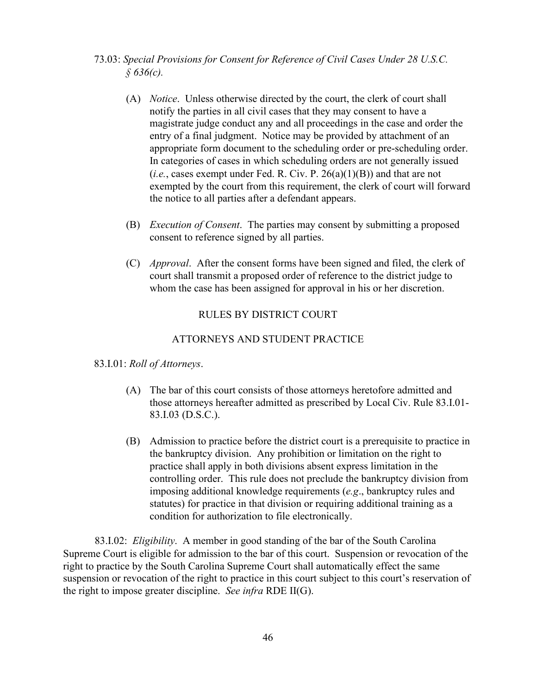- 73.03: *Special Provisions for Consent for Reference of Civil Cases Under 28 U.S.C. § 636(c).*
	- (A) *Notice*. Unless otherwise directed by the court, the clerk of court shall notify the parties in all civil cases that they may consent to have a magistrate judge conduct any and all proceedings in the case and order the entry of a final judgment. Notice may be provided by attachment of an appropriate form document to the scheduling order or pre-scheduling order. In categories of cases in which scheduling orders are not generally issued  $(i.e., cases$  exempt under Fed. R. Civ. P.  $26(a)(1)(B)$  and that are not exempted by the court from this requirement, the clerk of court will forward the notice to all parties after a defendant appears.
	- (B) *Execution of Consent*. The parties may consent by submitting a proposed consent to reference signed by all parties.
	- (C) *Approval*. After the consent forms have been signed and filed, the clerk of court shall transmit a proposed order of reference to the district judge to whom the case has been assigned for approval in his or her discretion.

## RULES BY DISTRICT COURT

### ATTORNEYS AND STUDENT PRACTICE

#### 83.I.01: *Roll of Attorneys*.

- (A) The bar of this court consists of those attorneys heretofore admitted and those attorneys hereafter admitted as prescribed by Local Civ. Rule 83.I.01- 83.I.03 (D.S.C.).
- (B) Admission to practice before the district court is a prerequisite to practice in the bankruptcy division. Any prohibition or limitation on the right to practice shall apply in both divisions absent express limitation in the controlling order. This rule does not preclude the bankruptcy division from imposing additional knowledge requirements (*e.g*., bankruptcy rules and statutes) for practice in that division or requiring additional training as a condition for authorization to file electronically.

83.I.02: *Eligibility*. A member in good standing of the bar of the South Carolina Supreme Court is eligible for admission to the bar of this court. Suspension or revocation of the right to practice by the South Carolina Supreme Court shall automatically effect the same suspension or revocation of the right to practice in this court subject to this court's reservation of the right to impose greater discipline. *See infra* RDE II(G).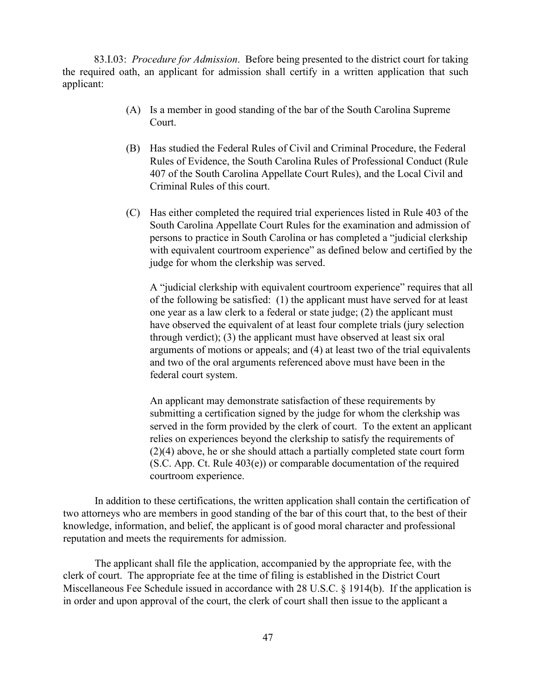83.I.03: *Procedure for Admission*. Before being presented to the district court for taking the required oath, an applicant for admission shall certify in a written application that such applicant:

- (A) Is a member in good standing of the bar of the South Carolina Supreme Court.
- (B) Has studied the Federal Rules of Civil and Criminal Procedure, the Federal Rules of Evidence, the South Carolina Rules of Professional Conduct (Rule 407 of the South Carolina Appellate Court Rules), and the Local Civil and Criminal Rules of this court.
- (C) Has either completed the required trial experiences listed in Rule 403 of the South Carolina Appellate Court Rules for the examination and admission of persons to practice in South Carolina or has completed a "judicial clerkship with equivalent courtroom experience" as defined below and certified by the judge for whom the clerkship was served.

A "judicial clerkship with equivalent courtroom experience" requires that all of the following be satisfied: (1) the applicant must have served for at least one year as a law clerk to a federal or state judge; (2) the applicant must have observed the equivalent of at least four complete trials (jury selection through verdict); (3) the applicant must have observed at least six oral arguments of motions or appeals; and (4) at least two of the trial equivalents and two of the oral arguments referenced above must have been in the federal court system.

An applicant may demonstrate satisfaction of these requirements by submitting a certification signed by the judge for whom the clerkship was served in the form provided by the clerk of court. To the extent an applicant relies on experiences beyond the clerkship to satisfy the requirements of (2)(4) above, he or she should attach a partially completed state court form (S.C. App. Ct. Rule 403(e)) or comparable documentation of the required courtroom experience.

In addition to these certifications, the written application shall contain the certification of two attorneys who are members in good standing of the bar of this court that, to the best of their knowledge, information, and belief, the applicant is of good moral character and professional reputation and meets the requirements for admission.

The applicant shall file the application, accompanied by the appropriate fee, with the clerk of court. The appropriate fee at the time of filing is established in the District Court Miscellaneous Fee Schedule issued in accordance with 28 U.S.C. § 1914(b). If the application is in order and upon approval of the court, the clerk of court shall then issue to the applicant a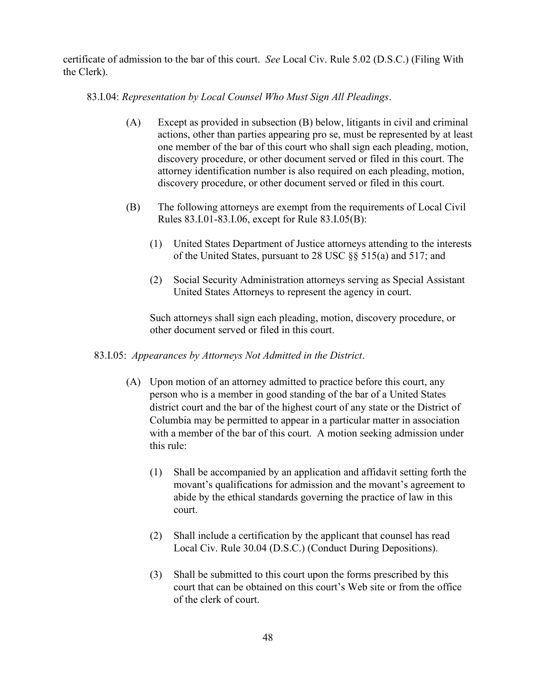certificate of admission to the bar of this court. *See* Local Civ. Rule 5.02 (D.S.C.) (Filing With the Clerk).

## 83.I.04: *Representation by Local Counsel Who Must Sign All Pleadings*.

- (A) Except as provided in subsection (B) below, litigants in civil and criminal actions, other than parties appearing pro se, must be represented by at least one member of the bar of this court who shall sign each pleading, motion, discovery procedure, or other document served or filed in this court. The attorney identification number is also required on each pleading, motion, discovery procedure, or other document served or filed in this court.
- (B) The following attorneys are exempt from the requirements of Local Civil Rules 83.I.01-83.I.06, except for Rule 83.I.05(B):
	- (1) United States Department of Justice attorneys attending to the interests of the United States, pursuant to 28 USC §§ 515(a) and 517; and
	- (2) Social Security Administration attorneys serving as Special Assistant United States Attorneys to represent the agency in court.

Such attorneys shall sign each pleading, motion, discovery procedure, or other document served or filed in this court.

### 83.I.05: *Appearances by Attorneys Not Admitted in the District*.

- (A) Upon motion of an attorney admitted to practice before this court, any person who is a member in good standing of the bar of a United States district court and the bar of the highest court of any state or the District of Columbia may be permitted to appear in a particular matter in association with a member of the bar of this court. A motion seeking admission under this rule:
	- (1) Shall be accompanied by an application and affidavit setting forth the movant's qualifications for admission and the movant's agreement to abide by the ethical standards governing the practice of law in this court.
	- (2) Shall include a certification by the applicant that counsel has read Local Civ. Rule 30.04 (D.S.C.) (Conduct During Depositions).
	- (3) Shall be submitted to this court upon the forms prescribed by this court that can be obtained on this court's Web site or from the office of the clerk of court.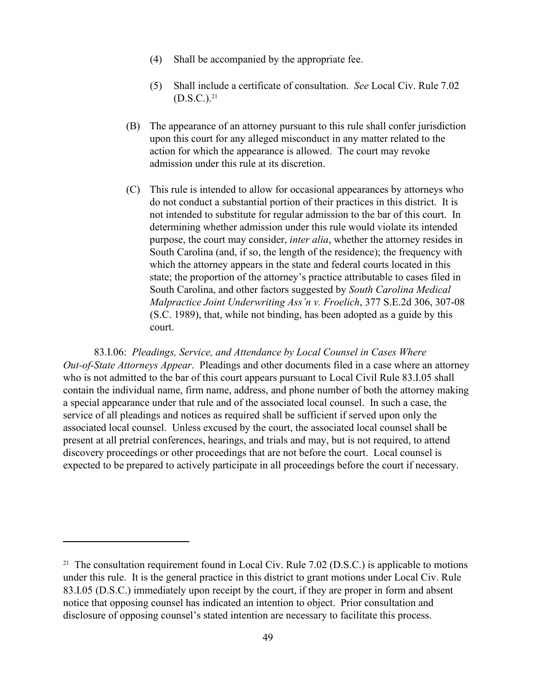- (4) Shall be accompanied by the appropriate fee.
- (5) Shall include a certificate of consultation. *See* Local Civ. Rule 7.02  $(D.S.C.).<sup>21</sup>$
- (B) The appearance of an attorney pursuant to this rule shall confer jurisdiction upon this court for any alleged misconduct in any matter related to the action for which the appearance is allowed. The court may revoke admission under this rule at its discretion.
- (C) This rule is intended to allow for occasional appearances by attorneys who do not conduct a substantial portion of their practices in this district. It is not intended to substitute for regular admission to the bar of this court. In determining whether admission under this rule would violate its intended purpose, the court may consider, *inter alia*, whether the attorney resides in South Carolina (and, if so, the length of the residence); the frequency with which the attorney appears in the state and federal courts located in this state; the proportion of the attorney's practice attributable to cases filed in South Carolina, and other factors suggested by *South Carolina Medical Malpractice Joint Underwriting Ass'n v. Froelich*, 377 S.E.2d 306, 307-08 (S.C. 1989), that, while not binding, has been adopted as a guide by this court.

83.I.06: *Pleadings, Service, and Attendance by Local Counsel in Cases Where Out-of-State Attorneys Appear*. Pleadings and other documents filed in a case where an attorney who is not admitted to the bar of this court appears pursuant to Local Civil Rule 83.I.05 shall contain the individual name, firm name, address, and phone number of both the attorney making a special appearance under that rule and of the associated local counsel. In such a case, the service of all pleadings and notices as required shall be sufficient if served upon only the associated local counsel. Unless excused by the court, the associated local counsel shall be present at all pretrial conferences, hearings, and trials and may, but is not required, to attend discovery proceedings or other proceedings that are not before the court. Local counsel is expected to be prepared to actively participate in all proceedings before the court if necessary.

<sup>&</sup>lt;sup>21</sup> The consultation requirement found in Local Civ. Rule 7.02 (D.S.C.) is applicable to motions under this rule. It is the general practice in this district to grant motions under Local Civ. Rule 83.I.05 (D.S.C.) immediately upon receipt by the court, if they are proper in form and absent notice that opposing counsel has indicated an intention to object. Prior consultation and disclosure of opposing counsel's stated intention are necessary to facilitate this process.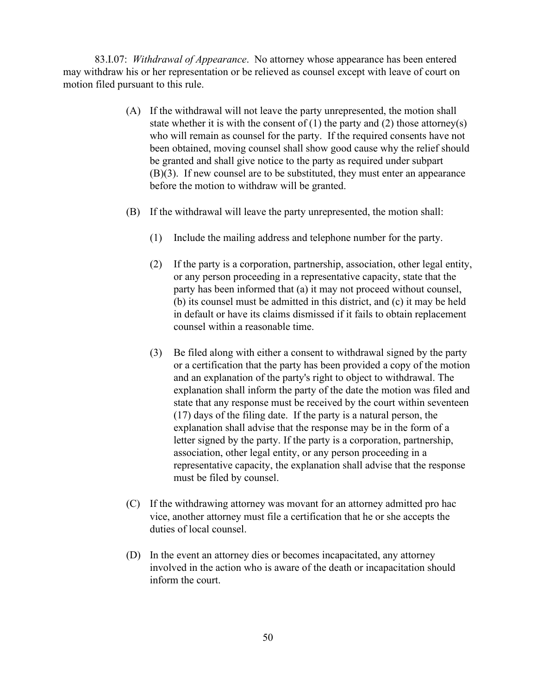83.I.07: *Withdrawal of Appearance*. No attorney whose appearance has been entered may withdraw his or her representation or be relieved as counsel except with leave of court on motion filed pursuant to this rule.

- (A) If the withdrawal will not leave the party unrepresented, the motion shall state whether it is with the consent of  $(1)$  the party and  $(2)$  those attorney(s) who will remain as counsel for the party. If the required consents have not been obtained, moving counsel shall show good cause why the relief should be granted and shall give notice to the party as required under subpart (B)(3). If new counsel are to be substituted, they must enter an appearance before the motion to withdraw will be granted.
- (B) If the withdrawal will leave the party unrepresented, the motion shall:
	- (1) Include the mailing address and telephone number for the party.
	- (2) If the party is a corporation, partnership, association, other legal entity, or any person proceeding in a representative capacity, state that the party has been informed that (a) it may not proceed without counsel, (b) its counsel must be admitted in this district, and (c) it may be held in default or have its claims dismissed if it fails to obtain replacement counsel within a reasonable time.
	- (3) Be filed along with either a consent to withdrawal signed by the party or a certification that the party has been provided a copy of the motion and an explanation of the party's right to object to withdrawal. The explanation shall inform the party of the date the motion was filed and state that any response must be received by the court within seventeen (17) days of the filing date. If the party is a natural person, the explanation shall advise that the response may be in the form of a letter signed by the party. If the party is a corporation, partnership, association, other legal entity, or any person proceeding in a representative capacity, the explanation shall advise that the response must be filed by counsel.
- (C) If the withdrawing attorney was movant for an attorney admitted pro hac vice, another attorney must file a certification that he or she accepts the duties of local counsel.
- (D) In the event an attorney dies or becomes incapacitated, any attorney involved in the action who is aware of the death or incapacitation should inform the court.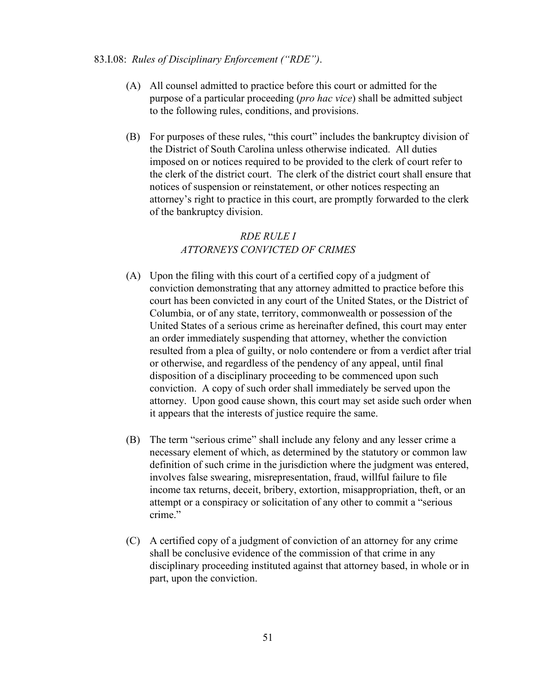### 83.I.08: *Rules of Disciplinary Enforcement ("RDE")*.

- (A) All counsel admitted to practice before this court or admitted for the purpose of a particular proceeding (*pro hac vice*) shall be admitted subject to the following rules, conditions, and provisions.
- (B) For purposes of these rules, "this court" includes the bankruptcy division of the District of South Carolina unless otherwise indicated. All duties imposed on or notices required to be provided to the clerk of court refer to the clerk of the district court. The clerk of the district court shall ensure that notices of suspension or reinstatement, or other notices respecting an attorney's right to practice in this court, are promptly forwarded to the clerk of the bankruptcy division.

# *RDE RULE I ATTORNEYS CONVICTED OF CRIMES*

- (A) Upon the filing with this court of a certified copy of a judgment of conviction demonstrating that any attorney admitted to practice before this court has been convicted in any court of the United States, or the District of Columbia, or of any state, territory, commonwealth or possession of the United States of a serious crime as hereinafter defined, this court may enter an order immediately suspending that attorney, whether the conviction resulted from a plea of guilty, or nolo contendere or from a verdict after trial or otherwise, and regardless of the pendency of any appeal, until final disposition of a disciplinary proceeding to be commenced upon such conviction. A copy of such order shall immediately be served upon the attorney. Upon good cause shown, this court may set aside such order when it appears that the interests of justice require the same.
- (B) The term "serious crime" shall include any felony and any lesser crime a necessary element of which, as determined by the statutory or common law definition of such crime in the jurisdiction where the judgment was entered, involves false swearing, misrepresentation, fraud, willful failure to file income tax returns, deceit, bribery, extortion, misappropriation, theft, or an attempt or a conspiracy or solicitation of any other to commit a "serious crime."
- (C) A certified copy of a judgment of conviction of an attorney for any crime shall be conclusive evidence of the commission of that crime in any disciplinary proceeding instituted against that attorney based, in whole or in part, upon the conviction.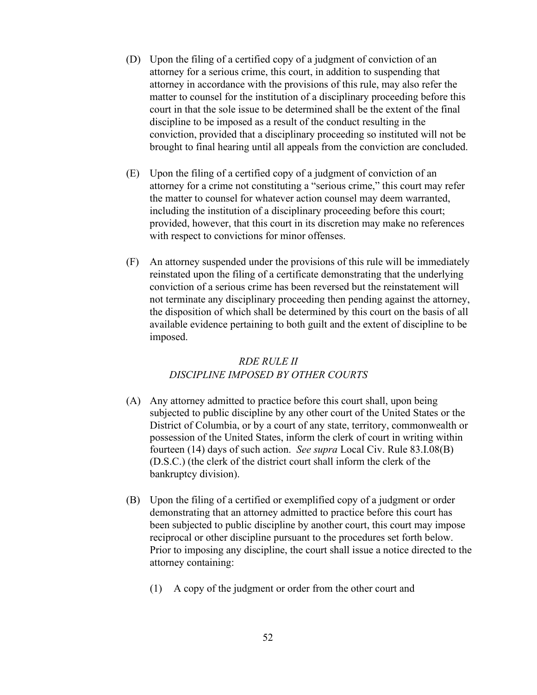- (D) Upon the filing of a certified copy of a judgment of conviction of an attorney for a serious crime, this court, in addition to suspending that attorney in accordance with the provisions of this rule, may also refer the matter to counsel for the institution of a disciplinary proceeding before this court in that the sole issue to be determined shall be the extent of the final discipline to be imposed as a result of the conduct resulting in the conviction, provided that a disciplinary proceeding so instituted will not be brought to final hearing until all appeals from the conviction are concluded.
- (E) Upon the filing of a certified copy of a judgment of conviction of an attorney for a crime not constituting a "serious crime," this court may refer the matter to counsel for whatever action counsel may deem warranted, including the institution of a disciplinary proceeding before this court; provided, however, that this court in its discretion may make no references with respect to convictions for minor offenses.
- (F) An attorney suspended under the provisions of this rule will be immediately reinstated upon the filing of a certificate demonstrating that the underlying conviction of a serious crime has been reversed but the reinstatement will not terminate any disciplinary proceeding then pending against the attorney, the disposition of which shall be determined by this court on the basis of all available evidence pertaining to both guilt and the extent of discipline to be imposed.

# *RDE RULE II DISCIPLINE IMPOSED BY OTHER COURTS*

- (A) Any attorney admitted to practice before this court shall, upon being subjected to public discipline by any other court of the United States or the District of Columbia, or by a court of any state, territory, commonwealth or possession of the United States, inform the clerk of court in writing within fourteen (14) days of such action. *See supra* Local Civ. Rule 83.I.08(B) (D.S.C.) (the clerk of the district court shall inform the clerk of the bankruptcy division).
- (B) Upon the filing of a certified or exemplified copy of a judgment or order demonstrating that an attorney admitted to practice before this court has been subjected to public discipline by another court, this court may impose reciprocal or other discipline pursuant to the procedures set forth below. Prior to imposing any discipline, the court shall issue a notice directed to the attorney containing:
	- (1) A copy of the judgment or order from the other court and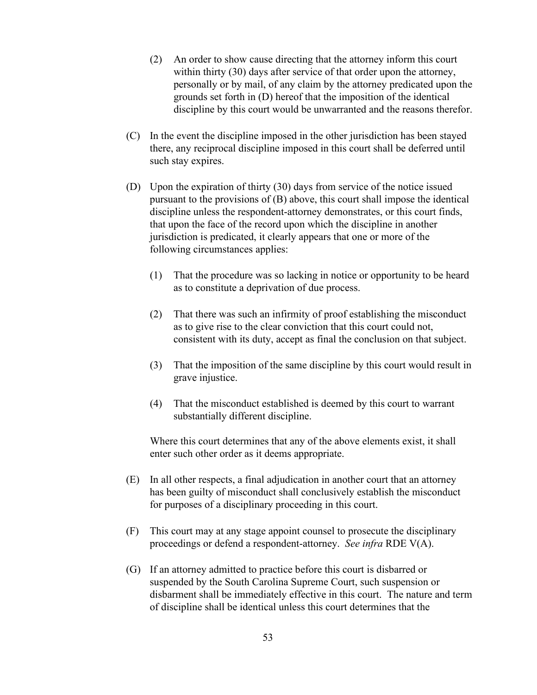- (2) An order to show cause directing that the attorney inform this court within thirty (30) days after service of that order upon the attorney, personally or by mail, of any claim by the attorney predicated upon the grounds set forth in (D) hereof that the imposition of the identical discipline by this court would be unwarranted and the reasons therefor.
- (C) In the event the discipline imposed in the other jurisdiction has been stayed there, any reciprocal discipline imposed in this court shall be deferred until such stay expires.
- (D) Upon the expiration of thirty (30) days from service of the notice issued pursuant to the provisions of (B) above, this court shall impose the identical discipline unless the respondent-attorney demonstrates, or this court finds, that upon the face of the record upon which the discipline in another jurisdiction is predicated, it clearly appears that one or more of the following circumstances applies:
	- (1) That the procedure was so lacking in notice or opportunity to be heard as to constitute a deprivation of due process.
	- (2) That there was such an infirmity of proof establishing the misconduct as to give rise to the clear conviction that this court could not, consistent with its duty, accept as final the conclusion on that subject.
	- (3) That the imposition of the same discipline by this court would result in grave injustice.
	- (4) That the misconduct established is deemed by this court to warrant substantially different discipline.

Where this court determines that any of the above elements exist, it shall enter such other order as it deems appropriate.

- (E) In all other respects, a final adjudication in another court that an attorney has been guilty of misconduct shall conclusively establish the misconduct for purposes of a disciplinary proceeding in this court.
- (F) This court may at any stage appoint counsel to prosecute the disciplinary proceedings or defend a respondent-attorney. *See infra* RDE V(A).
- (G) If an attorney admitted to practice before this court is disbarred or suspended by the South Carolina Supreme Court, such suspension or disbarment shall be immediately effective in this court. The nature and term of discipline shall be identical unless this court determines that the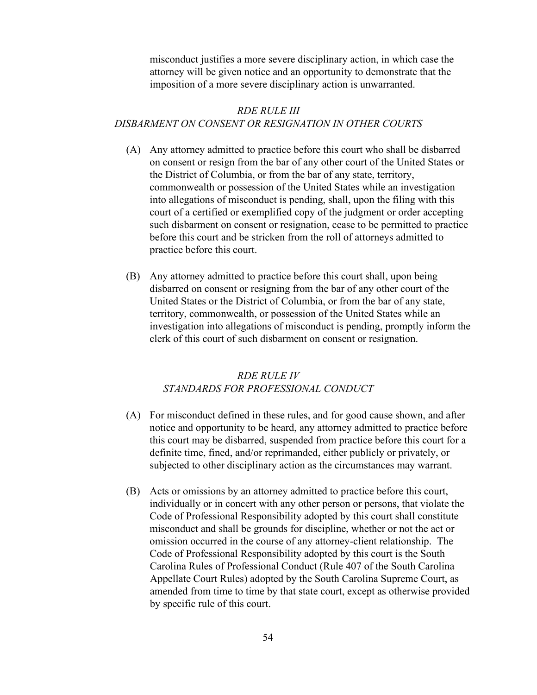misconduct justifies a more severe disciplinary action, in which case the attorney will be given notice and an opportunity to demonstrate that the imposition of a more severe disciplinary action is unwarranted.

# *RDE RULE III DISBARMENT ON CONSENT OR RESIGNATION IN OTHER COURTS*

- (A) Any attorney admitted to practice before this court who shall be disbarred on consent or resign from the bar of any other court of the United States or the District of Columbia, or from the bar of any state, territory, commonwealth or possession of the United States while an investigation into allegations of misconduct is pending, shall, upon the filing with this court of a certified or exemplified copy of the judgment or order accepting such disbarment on consent or resignation, cease to be permitted to practice before this court and be stricken from the roll of attorneys admitted to practice before this court.
- (B) Any attorney admitted to practice before this court shall, upon being disbarred on consent or resigning from the bar of any other court of the United States or the District of Columbia, or from the bar of any state, territory, commonwealth, or possession of the United States while an investigation into allegations of misconduct is pending, promptly inform the clerk of this court of such disbarment on consent or resignation.

# *RDE RULE IV STANDARDS FOR PROFESSIONAL CONDUCT*

- (A) For misconduct defined in these rules, and for good cause shown, and after notice and opportunity to be heard, any attorney admitted to practice before this court may be disbarred, suspended from practice before this court for a definite time, fined, and/or reprimanded, either publicly or privately, or subjected to other disciplinary action as the circumstances may warrant.
- (B) Acts or omissions by an attorney admitted to practice before this court, individually or in concert with any other person or persons, that violate the Code of Professional Responsibility adopted by this court shall constitute misconduct and shall be grounds for discipline, whether or not the act or omission occurred in the course of any attorney-client relationship. The Code of Professional Responsibility adopted by this court is the South Carolina Rules of Professional Conduct (Rule 407 of the South Carolina Appellate Court Rules) adopted by the South Carolina Supreme Court, as amended from time to time by that state court, except as otherwise provided by specific rule of this court.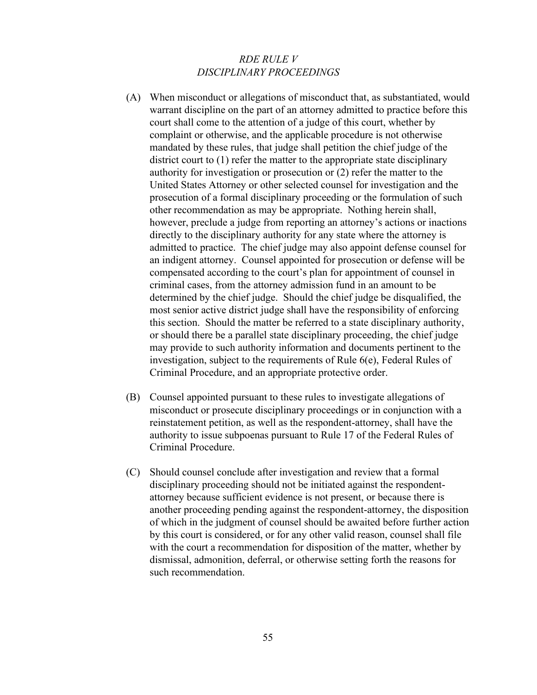# *RDE RULE V DISCIPLINARY PROCEEDINGS*

- (A) When misconduct or allegations of misconduct that, as substantiated, would warrant discipline on the part of an attorney admitted to practice before this court shall come to the attention of a judge of this court, whether by complaint or otherwise, and the applicable procedure is not otherwise mandated by these rules, that judge shall petition the chief judge of the district court to (1) refer the matter to the appropriate state disciplinary authority for investigation or prosecution or (2) refer the matter to the United States Attorney or other selected counsel for investigation and the prosecution of a formal disciplinary proceeding or the formulation of such other recommendation as may be appropriate. Nothing herein shall, however, preclude a judge from reporting an attorney's actions or inactions directly to the disciplinary authority for any state where the attorney is admitted to practice. The chief judge may also appoint defense counsel for an indigent attorney. Counsel appointed for prosecution or defense will be compensated according to the court's plan for appointment of counsel in criminal cases, from the attorney admission fund in an amount to be determined by the chief judge. Should the chief judge be disqualified, the most senior active district judge shall have the responsibility of enforcing this section. Should the matter be referred to a state disciplinary authority, or should there be a parallel state disciplinary proceeding, the chief judge may provide to such authority information and documents pertinent to the investigation, subject to the requirements of Rule 6(e), Federal Rules of Criminal Procedure, and an appropriate protective order.
- (B) Counsel appointed pursuant to these rules to investigate allegations of misconduct or prosecute disciplinary proceedings or in conjunction with a reinstatement petition, as well as the respondent-attorney, shall have the authority to issue subpoenas pursuant to Rule 17 of the Federal Rules of Criminal Procedure.
- (C) Should counsel conclude after investigation and review that a formal disciplinary proceeding should not be initiated against the respondentattorney because sufficient evidence is not present, or because there is another proceeding pending against the respondent-attorney, the disposition of which in the judgment of counsel should be awaited before further action by this court is considered, or for any other valid reason, counsel shall file with the court a recommendation for disposition of the matter, whether by dismissal, admonition, deferral, or otherwise setting forth the reasons for such recommendation.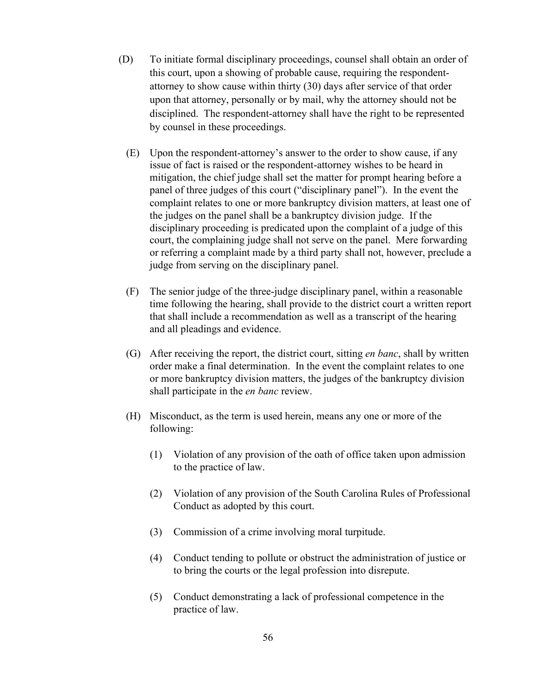- (D) To initiate formal disciplinary proceedings, counsel shall obtain an order of this court, upon a showing of probable cause, requiring the respondentattorney to show cause within thirty (30) days after service of that order upon that attorney, personally or by mail, why the attorney should not be disciplined. The respondent-attorney shall have the right to be represented by counsel in these proceedings.
	- (E) Upon the respondent-attorney's answer to the order to show cause, if any issue of fact is raised or the respondent-attorney wishes to be heard in mitigation, the chief judge shall set the matter for prompt hearing before a panel of three judges of this court ("disciplinary panel"). In the event the complaint relates to one or more bankruptcy division matters, at least one of the judges on the panel shall be a bankruptcy division judge. If the disciplinary proceeding is predicated upon the complaint of a judge of this court, the complaining judge shall not serve on the panel. Mere forwarding or referring a complaint made by a third party shall not, however, preclude a judge from serving on the disciplinary panel.
	- (F) The senior judge of the three-judge disciplinary panel, within a reasonable time following the hearing, shall provide to the district court a written report that shall include a recommendation as well as a transcript of the hearing and all pleadings and evidence.
	- (G) After receiving the report, the district court, sitting *en banc*, shall by written order make a final determination. In the event the complaint relates to one or more bankruptcy division matters, the judges of the bankruptcy division shall participate in the *en banc* review.
	- (H) Misconduct, as the term is used herein, means any one or more of the following:
		- (1) Violation of any provision of the oath of office taken upon admission to the practice of law.
		- (2) Violation of any provision of the South Carolina Rules of Professional Conduct as adopted by this court.
		- (3) Commission of a crime involving moral turpitude.
		- (4) Conduct tending to pollute or obstruct the administration of justice or to bring the courts or the legal profession into disrepute.
		- (5) Conduct demonstrating a lack of professional competence in the practice of law.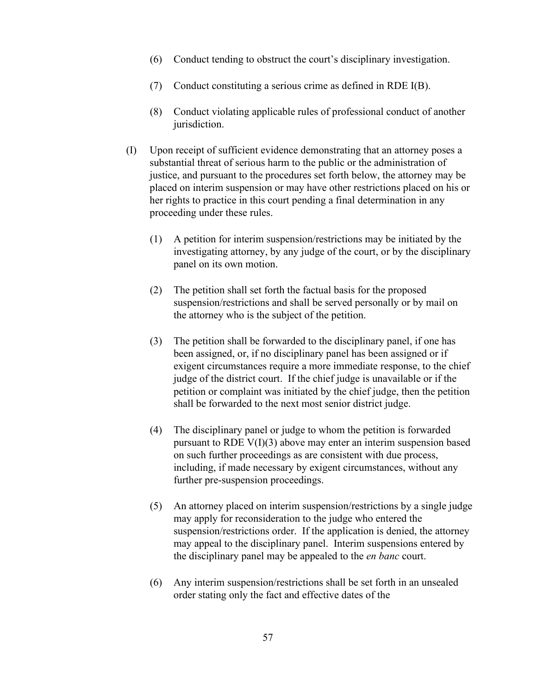- (6) Conduct tending to obstruct the court's disciplinary investigation.
- (7) Conduct constituting a serious crime as defined in RDE I(B).
- (8) Conduct violating applicable rules of professional conduct of another jurisdiction.
- (I) Upon receipt of sufficient evidence demonstrating that an attorney poses a substantial threat of serious harm to the public or the administration of justice, and pursuant to the procedures set forth below, the attorney may be placed on interim suspension or may have other restrictions placed on his or her rights to practice in this court pending a final determination in any proceeding under these rules.
	- (1) A petition for interim suspension/restrictions may be initiated by the investigating attorney, by any judge of the court, or by the disciplinary panel on its own motion.
	- (2) The petition shall set forth the factual basis for the proposed suspension/restrictions and shall be served personally or by mail on the attorney who is the subject of the petition.
	- (3) The petition shall be forwarded to the disciplinary panel, if one has been assigned, or, if no disciplinary panel has been assigned or if exigent circumstances require a more immediate response, to the chief judge of the district court. If the chief judge is unavailable or if the petition or complaint was initiated by the chief judge, then the petition shall be forwarded to the next most senior district judge.
	- (4) The disciplinary panel or judge to whom the petition is forwarded pursuant to RDE V(I)(3) above may enter an interim suspension based on such further proceedings as are consistent with due process, including, if made necessary by exigent circumstances, without any further pre-suspension proceedings.
	- (5) An attorney placed on interim suspension/restrictions by a single judge may apply for reconsideration to the judge who entered the suspension/restrictions order. If the application is denied, the attorney may appeal to the disciplinary panel. Interim suspensions entered by the disciplinary panel may be appealed to the *en banc* court.
	- (6) Any interim suspension/restrictions shall be set forth in an unsealed order stating only the fact and effective dates of the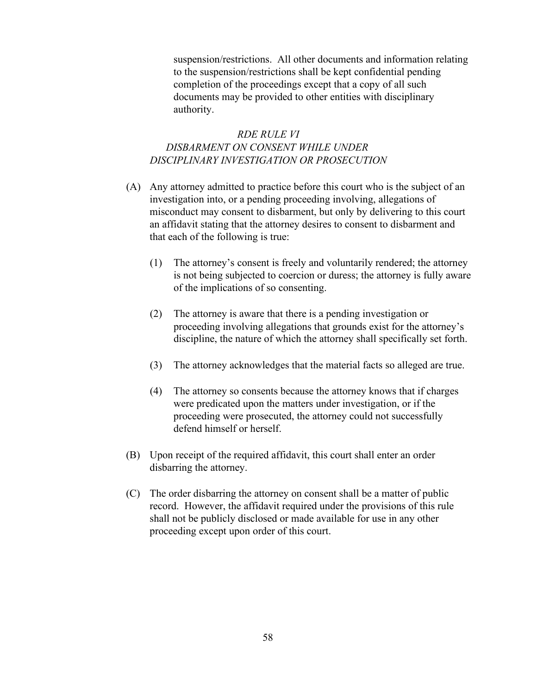suspension/restrictions. All other documents and information relating to the suspension/restrictions shall be kept confidential pending completion of the proceedings except that a copy of all such documents may be provided to other entities with disciplinary authority.

# *RDE RULE VI DISBARMENT ON CONSENT WHILE UNDER DISCIPLINARY INVESTIGATION OR PROSECUTION*

- (A) Any attorney admitted to practice before this court who is the subject of an investigation into, or a pending proceeding involving, allegations of misconduct may consent to disbarment, but only by delivering to this court an affidavit stating that the attorney desires to consent to disbarment and that each of the following is true:
	- (1) The attorney's consent is freely and voluntarily rendered; the attorney is not being subjected to coercion or duress; the attorney is fully aware of the implications of so consenting.
	- (2) The attorney is aware that there is a pending investigation or proceeding involving allegations that grounds exist for the attorney's discipline, the nature of which the attorney shall specifically set forth.
	- (3) The attorney acknowledges that the material facts so alleged are true.
	- (4) The attorney so consents because the attorney knows that if charges were predicated upon the matters under investigation, or if the proceeding were prosecuted, the attorney could not successfully defend himself or herself.
- (B) Upon receipt of the required affidavit, this court shall enter an order disbarring the attorney.
- (C) The order disbarring the attorney on consent shall be a matter of public record. However, the affidavit required under the provisions of this rule shall not be publicly disclosed or made available for use in any other proceeding except upon order of this court.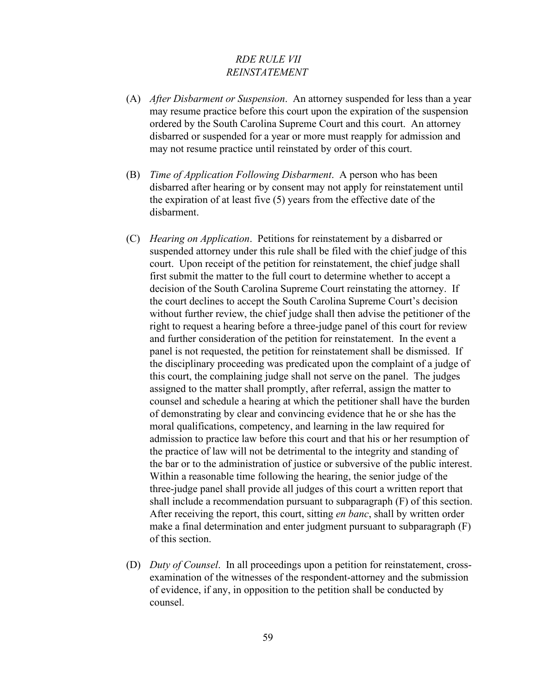# *RDE RULE VII REINSTATEMENT*

- (A) *After Disbarment or Suspension*. An attorney suspended for less than a year may resume practice before this court upon the expiration of the suspension ordered by the South Carolina Supreme Court and this court. An attorney disbarred or suspended for a year or more must reapply for admission and may not resume practice until reinstated by order of this court.
- (B) *Time of Application Following Disbarment*. A person who has been disbarred after hearing or by consent may not apply for reinstatement until the expiration of at least five (5) years from the effective date of the disbarment.
- (C) *Hearing on Application*. Petitions for reinstatement by a disbarred or suspended attorney under this rule shall be filed with the chief judge of this court. Upon receipt of the petition for reinstatement, the chief judge shall first submit the matter to the full court to determine whether to accept a decision of the South Carolina Supreme Court reinstating the attorney. If the court declines to accept the South Carolina Supreme Court's decision without further review, the chief judge shall then advise the petitioner of the right to request a hearing before a three-judge panel of this court for review and further consideration of the petition for reinstatement. In the event a panel is not requested, the petition for reinstatement shall be dismissed. If the disciplinary proceeding was predicated upon the complaint of a judge of this court, the complaining judge shall not serve on the panel. The judges assigned to the matter shall promptly, after referral, assign the matter to counsel and schedule a hearing at which the petitioner shall have the burden of demonstrating by clear and convincing evidence that he or she has the moral qualifications, competency, and learning in the law required for admission to practice law before this court and that his or her resumption of the practice of law will not be detrimental to the integrity and standing of the bar or to the administration of justice or subversive of the public interest. Within a reasonable time following the hearing, the senior judge of the three-judge panel shall provide all judges of this court a written report that shall include a recommendation pursuant to subparagraph (F) of this section. After receiving the report, this court, sitting *en banc*, shall by written order make a final determination and enter judgment pursuant to subparagraph (F) of this section.
- (D) *Duty of Counsel*. In all proceedings upon a petition for reinstatement, crossexamination of the witnesses of the respondent-attorney and the submission of evidence, if any, in opposition to the petition shall be conducted by counsel.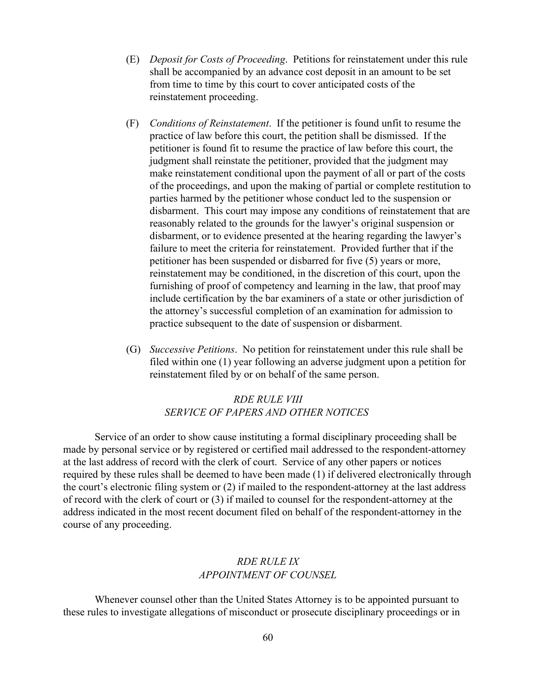- (E) *Deposit for Costs of Proceeding*. Petitions for reinstatement under this rule shall be accompanied by an advance cost deposit in an amount to be set from time to time by this court to cover anticipated costs of the reinstatement proceeding.
- (F) *Conditions of Reinstatement*. If the petitioner is found unfit to resume the practice of law before this court, the petition shall be dismissed. If the petitioner is found fit to resume the practice of law before this court, the judgment shall reinstate the petitioner, provided that the judgment may make reinstatement conditional upon the payment of all or part of the costs of the proceedings, and upon the making of partial or complete restitution to parties harmed by the petitioner whose conduct led to the suspension or disbarment. This court may impose any conditions of reinstatement that are reasonably related to the grounds for the lawyer's original suspension or disbarment, or to evidence presented at the hearing regarding the lawyer's failure to meet the criteria for reinstatement. Provided further that if the petitioner has been suspended or disbarred for five (5) years or more, reinstatement may be conditioned, in the discretion of this court, upon the furnishing of proof of competency and learning in the law, that proof may include certification by the bar examiners of a state or other jurisdiction of the attorney's successful completion of an examination for admission to practice subsequent to the date of suspension or disbarment.
- (G) *Successive Petitions*. No petition for reinstatement under this rule shall be filed within one (1) year following an adverse judgment upon a petition for reinstatement filed by or on behalf of the same person.

# *RDE RULE VIII SERVICE OF PAPERS AND OTHER NOTICES*

Service of an order to show cause instituting a formal disciplinary proceeding shall be made by personal service or by registered or certified mail addressed to the respondent-attorney at the last address of record with the clerk of court. Service of any other papers or notices required by these rules shall be deemed to have been made (1) if delivered electronically through the court's electronic filing system or (2) if mailed to the respondent-attorney at the last address of record with the clerk of court or (3) if mailed to counsel for the respondent-attorney at the address indicated in the most recent document filed on behalf of the respondent-attorney in the course of any proceeding.

# *RDE RULE IX APPOINTMENT OF COUNSEL*

Whenever counsel other than the United States Attorney is to be appointed pursuant to these rules to investigate allegations of misconduct or prosecute disciplinary proceedings or in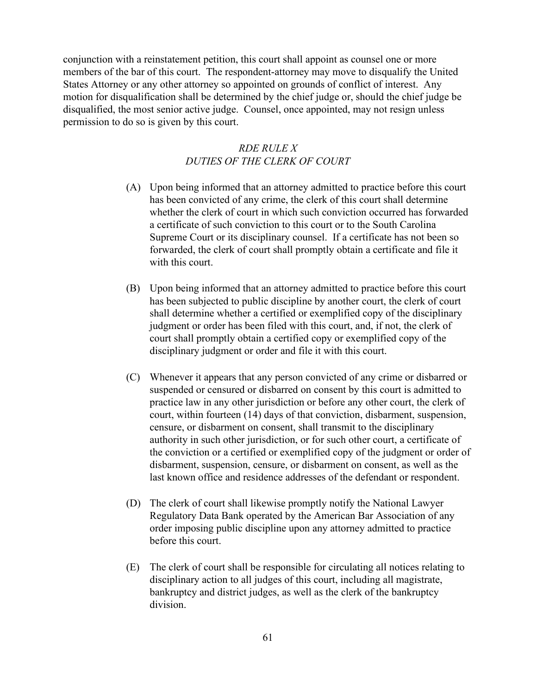conjunction with a reinstatement petition, this court shall appoint as counsel one or more members of the bar of this court. The respondent-attorney may move to disqualify the United States Attorney or any other attorney so appointed on grounds of conflict of interest. Any motion for disqualification shall be determined by the chief judge or, should the chief judge be disqualified, the most senior active judge. Counsel, once appointed, may not resign unless permission to do so is given by this court.

# *RDE RULE X DUTIES OF THE CLERK OF COURT*

- (A) Upon being informed that an attorney admitted to practice before this court has been convicted of any crime, the clerk of this court shall determine whether the clerk of court in which such conviction occurred has forwarded a certificate of such conviction to this court or to the South Carolina Supreme Court or its disciplinary counsel. If a certificate has not been so forwarded, the clerk of court shall promptly obtain a certificate and file it with this court.
- (B) Upon being informed that an attorney admitted to practice before this court has been subjected to public discipline by another court, the clerk of court shall determine whether a certified or exemplified copy of the disciplinary judgment or order has been filed with this court, and, if not, the clerk of court shall promptly obtain a certified copy or exemplified copy of the disciplinary judgment or order and file it with this court.
- (C) Whenever it appears that any person convicted of any crime or disbarred or suspended or censured or disbarred on consent by this court is admitted to practice law in any other jurisdiction or before any other court, the clerk of court, within fourteen (14) days of that conviction, disbarment, suspension, censure, or disbarment on consent, shall transmit to the disciplinary authority in such other jurisdiction, or for such other court, a certificate of the conviction or a certified or exemplified copy of the judgment or order of disbarment, suspension, censure, or disbarment on consent, as well as the last known office and residence addresses of the defendant or respondent.
- (D) The clerk of court shall likewise promptly notify the National Lawyer Regulatory Data Bank operated by the American Bar Association of any order imposing public discipline upon any attorney admitted to practice before this court.
- (E) The clerk of court shall be responsible for circulating all notices relating to disciplinary action to all judges of this court, including all magistrate, bankruptcy and district judges, as well as the clerk of the bankruptcy division.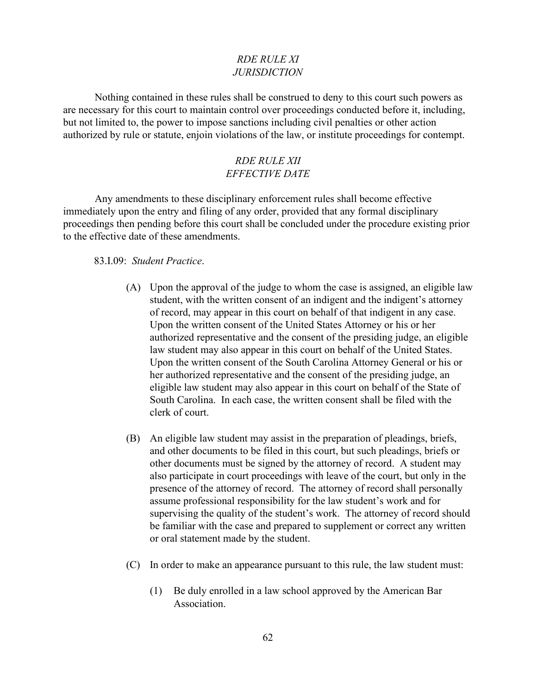# *RDE RULE XI JURISDICTION*

Nothing contained in these rules shall be construed to deny to this court such powers as are necessary for this court to maintain control over proceedings conducted before it, including, but not limited to, the power to impose sanctions including civil penalties or other action authorized by rule or statute, enjoin violations of the law, or institute proceedings for contempt.

# *RDE RULE XII EFFECTIVE DATE*

Any amendments to these disciplinary enforcement rules shall become effective immediately upon the entry and filing of any order, provided that any formal disciplinary proceedings then pending before this court shall be concluded under the procedure existing prior to the effective date of these amendments.

## 83.I.09: *Student Practice*.

- (A) Upon the approval of the judge to whom the case is assigned, an eligible law student, with the written consent of an indigent and the indigent's attorney of record, may appear in this court on behalf of that indigent in any case. Upon the written consent of the United States Attorney or his or her authorized representative and the consent of the presiding judge, an eligible law student may also appear in this court on behalf of the United States. Upon the written consent of the South Carolina Attorney General or his or her authorized representative and the consent of the presiding judge, an eligible law student may also appear in this court on behalf of the State of South Carolina. In each case, the written consent shall be filed with the clerk of court.
- (B) An eligible law student may assist in the preparation of pleadings, briefs, and other documents to be filed in this court, but such pleadings, briefs or other documents must be signed by the attorney of record. A student may also participate in court proceedings with leave of the court, but only in the presence of the attorney of record. The attorney of record shall personally assume professional responsibility for the law student's work and for supervising the quality of the student's work. The attorney of record should be familiar with the case and prepared to supplement or correct any written or oral statement made by the student.
- (C) In order to make an appearance pursuant to this rule, the law student must:
	- (1) Be duly enrolled in a law school approved by the American Bar Association.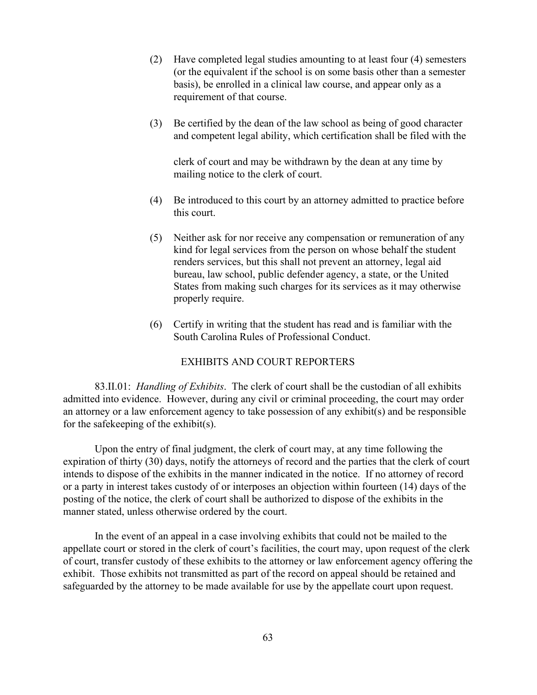- (2) Have completed legal studies amounting to at least four (4) semesters (or the equivalent if the school is on some basis other than a semester basis), be enrolled in a clinical law course, and appear only as a requirement of that course.
- (3) Be certified by the dean of the law school as being of good character and competent legal ability, which certification shall be filed with the

clerk of court and may be withdrawn by the dean at any time by mailing notice to the clerk of court.

- (4) Be introduced to this court by an attorney admitted to practice before this court.
- (5) Neither ask for nor receive any compensation or remuneration of any kind for legal services from the person on whose behalf the student renders services, but this shall not prevent an attorney, legal aid bureau, law school, public defender agency, a state, or the United States from making such charges for its services as it may otherwise properly require.
- (6) Certify in writing that the student has read and is familiar with the South Carolina Rules of Professional Conduct.

### EXHIBITS AND COURT REPORTERS

83.II.01: *Handling of Exhibits*. The clerk of court shall be the custodian of all exhibits admitted into evidence. However, during any civil or criminal proceeding, the court may order an attorney or a law enforcement agency to take possession of any exhibit(s) and be responsible for the safekeeping of the exhibit(s).

Upon the entry of final judgment, the clerk of court may, at any time following the expiration of thirty (30) days, notify the attorneys of record and the parties that the clerk of court intends to dispose of the exhibits in the manner indicated in the notice. If no attorney of record or a party in interest takes custody of or interposes an objection within fourteen (14) days of the posting of the notice, the clerk of court shall be authorized to dispose of the exhibits in the manner stated, unless otherwise ordered by the court.

In the event of an appeal in a case involving exhibits that could not be mailed to the appellate court or stored in the clerk of court's facilities, the court may, upon request of the clerk of court, transfer custody of these exhibits to the attorney or law enforcement agency offering the exhibit. Those exhibits not transmitted as part of the record on appeal should be retained and safeguarded by the attorney to be made available for use by the appellate court upon request.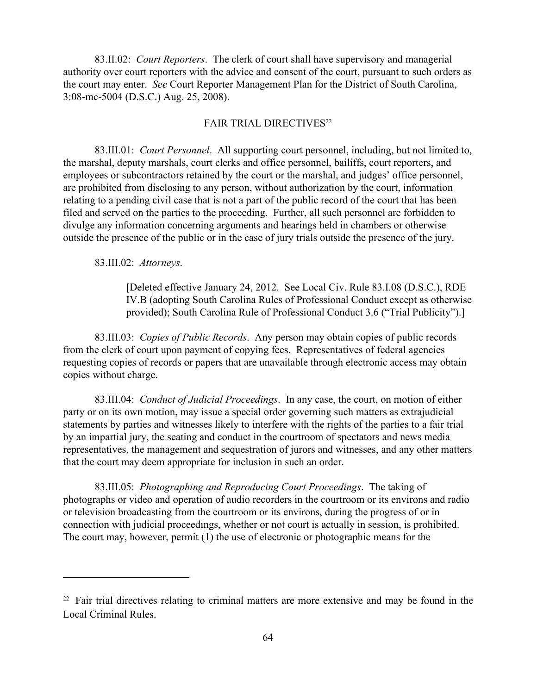83.II.02: *Court Reporters*. The clerk of court shall have supervisory and managerial authority over court reporters with the advice and consent of the court, pursuant to such orders as the court may enter. *See* Court Reporter Management Plan for the District of South Carolina, 3:08-mc-5004 (D.S.C.) Aug. 25, 2008).

#### FAIR TRIAL DIRECTIVES22

83.III.01: *Court Personnel*. All supporting court personnel, including, but not limited to, the marshal, deputy marshals, court clerks and office personnel, bailiffs, court reporters, and employees or subcontractors retained by the court or the marshal, and judges' office personnel, are prohibited from disclosing to any person, without authorization by the court, information relating to a pending civil case that is not a part of the public record of the court that has been filed and served on the parties to the proceeding. Further, all such personnel are forbidden to divulge any information concerning arguments and hearings held in chambers or otherwise outside the presence of the public or in the case of jury trials outside the presence of the jury.

83.III.02: *Attorneys*.

[Deleted effective January 24, 2012. See Local Civ. Rule 83.I.08 (D.S.C.), RDE IV.B (adopting South Carolina Rules of Professional Conduct except as otherwise provided); South Carolina Rule of Professional Conduct 3.6 ("Trial Publicity").]

83.III.03: *Copies of Public Records*. Any person may obtain copies of public records from the clerk of court upon payment of copying fees. Representatives of federal agencies requesting copies of records or papers that are unavailable through electronic access may obtain copies without charge.

83.III.04: *Conduct of Judicial Proceedings*. In any case, the court, on motion of either party or on its own motion, may issue a special order governing such matters as extrajudicial statements by parties and witnesses likely to interfere with the rights of the parties to a fair trial by an impartial jury, the seating and conduct in the courtroom of spectators and news media representatives, the management and sequestration of jurors and witnesses, and any other matters that the court may deem appropriate for inclusion in such an order.

83.III.05: *Photographing and Reproducing Court Proceedings*. The taking of photographs or video and operation of audio recorders in the courtroom or its environs and radio or television broadcasting from the courtroom or its environs, during the progress of or in connection with judicial proceedings, whether or not court is actually in session, is prohibited. The court may, however, permit (1) the use of electronic or photographic means for the

<sup>&</sup>lt;sup>22</sup> Fair trial directives relating to criminal matters are more extensive and may be found in the Local Criminal Rules.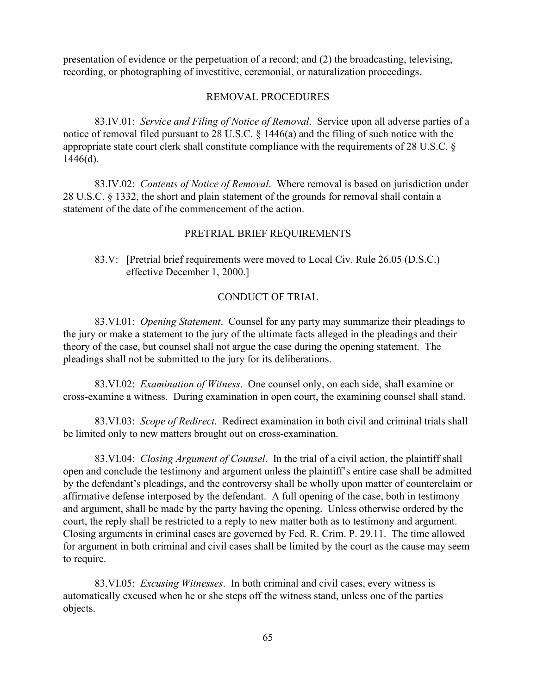presentation of evidence or the perpetuation of a record; and (2) the broadcasting, televising, recording, or photographing of investitive, ceremonial, or naturalization proceedings.

## REMOVAL PROCEDURES

83.IV.01: *Service and Filing of Notice of Removal*. Service upon all adverse parties of a notice of removal filed pursuant to 28 U.S.C. § 1446(a) and the filing of such notice with the appropriate state court clerk shall constitute compliance with the requirements of 28 U.S.C. § 1446(d).

83.IV.02: *Contents of Notice of Removal*. Where removal is based on jurisdiction under 28 U.S.C. § 1332, the short and plain statement of the grounds for removal shall contain a statement of the date of the commencement of the action.

#### PRETRIAL BRIEF REQUIREMENTS

83.V: [Pretrial brief requirements were moved to Local Civ. Rule 26.05 (D.S.C.) effective December 1, 2000.]

# CONDUCT OF TRIAL

83.VI.01: *Opening Statement*. Counsel for any party may summarize their pleadings to the jury or make a statement to the jury of the ultimate facts alleged in the pleadings and their theory of the case, but counsel shall not argue the case during the opening statement. The pleadings shall not be submitted to the jury for its deliberations.

83.VI.02: *Examination of Witness*. One counsel only, on each side, shall examine or cross-examine a witness. During examination in open court, the examining counsel shall stand.

83.VI.03: *Scope of Redirect*. Redirect examination in both civil and criminal trials shall be limited only to new matters brought out on cross-examination.

83.VI.04: *Closing Argument of Counsel*. In the trial of a civil action, the plaintiff shall open and conclude the testimony and argument unless the plaintiff's entire case shall be admitted by the defendant's pleadings, and the controversy shall be wholly upon matter of counterclaim or affirmative defense interposed by the defendant. A full opening of the case, both in testimony and argument, shall be made by the party having the opening. Unless otherwise ordered by the court, the reply shall be restricted to a reply to new matter both as to testimony and argument. Closing arguments in criminal cases are governed by Fed. R. Crim. P. 29.11. The time allowed for argument in both criminal and civil cases shall be limited by the court as the cause may seem to require.

83.VI.05: *Excusing Witnesses*. In both criminal and civil cases, every witness is automatically excused when he or she steps off the witness stand, unless one of the parties objects.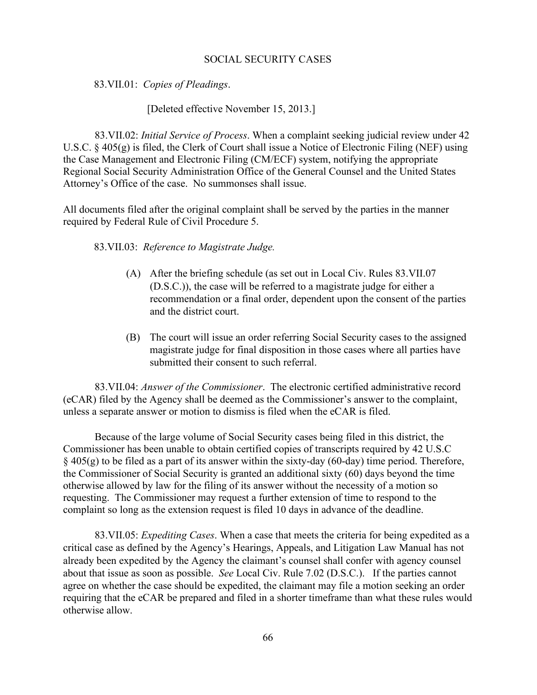### SOCIAL SECURITY CASES

83.VII.01: *Copies of Pleadings*.

#### [Deleted effective November 15, 2013.]

83.VII.02: *Initial Service of Process*. When a complaint seeking judicial review under 42 U.S.C. § 405(g) is filed, the Clerk of Court shall issue a Notice of Electronic Filing (NEF) using the Case Management and Electronic Filing (CM/ECF) system, notifying the appropriate Regional Social Security Administration Office of the General Counsel and the United States Attorney's Office of the case. No summonses shall issue.

All documents filed after the original complaint shall be served by the parties in the manner required by Federal Rule of Civil Procedure 5.

83.VII.03: *Reference to Magistrate Judge.*

- (A) After the briefing schedule (as set out in Local Civ. Rules 83.VII.07 (D.S.C.)), the case will be referred to a magistrate judge for either a recommendation or a final order, dependent upon the consent of the parties and the district court.
- (B) The court will issue an order referring Social Security cases to the assigned magistrate judge for final disposition in those cases where all parties have submitted their consent to such referral.

83.VII.04: *Answer of the Commissioner*. The electronic certified administrative record (eCAR) filed by the Agency shall be deemed as the Commissioner's answer to the complaint, unless a separate answer or motion to dismiss is filed when the eCAR is filed.

Because of the large volume of Social Security cases being filed in this district, the Commissioner has been unable to obtain certified copies of transcripts required by 42 U.S.C  $\S$  405(g) to be filed as a part of its answer within the sixty-day (60-day) time period. Therefore, the Commissioner of Social Security is granted an additional sixty (60) days beyond the time otherwise allowed by law for the filing of its answer without the necessity of a motion so requesting. The Commissioner may request a further extension of time to respond to the complaint so long as the extension request is filed 10 days in advance of the deadline.

83.VII.05: *Expediting Cases*. When a case that meets the criteria for being expedited as a critical case as defined by the Agency's Hearings, Appeals, and Litigation Law Manual has not already been expedited by the Agency the claimant's counsel shall confer with agency counsel about that issue as soon as possible. *See* Local Civ. Rule 7.02 (D.S.C.). If the parties cannot agree on whether the case should be expedited, the claimant may file a motion seeking an order requiring that the eCAR be prepared and filed in a shorter timeframe than what these rules would otherwise allow.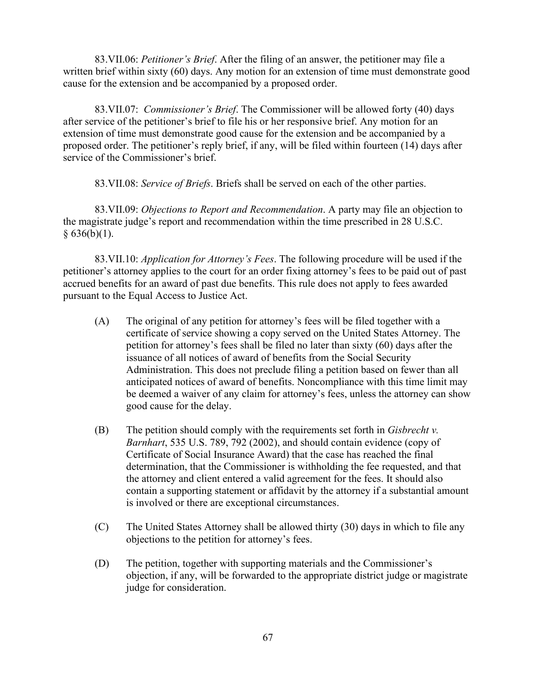83.VII.06: *Petitioner's Brief*. After the filing of an answer, the petitioner may file a written brief within sixty (60) days. Any motion for an extension of time must demonstrate good cause for the extension and be accompanied by a proposed order.

83.VII.07: *Commissioner's Brief*. The Commissioner will be allowed forty (40) days after service of the petitioner's brief to file his or her responsive brief. Any motion for an extension of time must demonstrate good cause for the extension and be accompanied by a proposed order. The petitioner's reply brief, if any, will be filed within fourteen (14) days after service of the Commissioner's brief.

83.VII.08: *Service of Briefs*. Briefs shall be served on each of the other parties.

83.VII.09: *Objections to Report and Recommendation*. A party may file an objection to the magistrate judge's report and recommendation within the time prescribed in 28 U.S.C.  $§ 636(b)(1).$ 

83.VII.10: *Application for Attorney's Fees*. The following procedure will be used if the petitioner's attorney applies to the court for an order fixing attorney's fees to be paid out of past accrued benefits for an award of past due benefits. This rule does not apply to fees awarded pursuant to the Equal Access to Justice Act.

- (A) The original of any petition for attorney's fees will be filed together with a certificate of service showing a copy served on the United States Attorney. The petition for attorney's fees shall be filed no later than sixty (60) days after the issuance of all notices of award of benefits from the Social Security Administration. This does not preclude filing a petition based on fewer than all anticipated notices of award of benefits. Noncompliance with this time limit may be deemed a waiver of any claim for attorney's fees, unless the attorney can show good cause for the delay.
- (B) The petition should comply with the requirements set forth in *Gisbrecht v. Barnhart*, 535 U.S. 789, 792 (2002), and should contain evidence (copy of Certificate of Social Insurance Award) that the case has reached the final determination, that the Commissioner is withholding the fee requested, and that the attorney and client entered a valid agreement for the fees. It should also contain a supporting statement or affidavit by the attorney if a substantial amount is involved or there are exceptional circumstances.
- (C) The United States Attorney shall be allowed thirty (30) days in which to file any objections to the petition for attorney's fees.
- (D) The petition, together with supporting materials and the Commissioner's objection, if any, will be forwarded to the appropriate district judge or magistrate judge for consideration.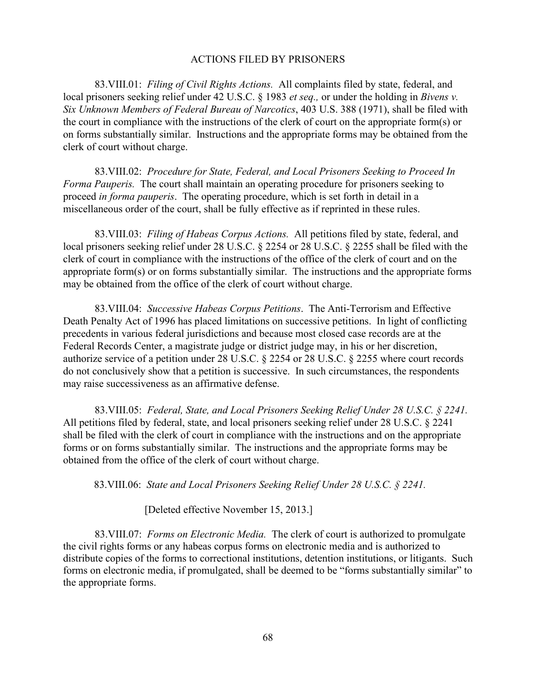## ACTIONS FILED BY PRISONERS

83.VIII.01: *Filing of Civil Rights Actions.* All complaints filed by state, federal, and local prisoners seeking relief under 42 U.S.C. § 1983 *et seq.,* or under the holding in *Bivens v. Six Unknown Members of Federal Bureau of Narcotics*, 403 U.S. 388 (1971), shall be filed with the court in compliance with the instructions of the clerk of court on the appropriate form(s) or on forms substantially similar. Instructions and the appropriate forms may be obtained from the clerk of court without charge.

83.VIII.02: *Procedure for State, Federal, and Local Prisoners Seeking to Proceed In Forma Pauperis.* The court shall maintain an operating procedure for prisoners seeking to proceed *in forma pauperis*. The operating procedure, which is set forth in detail in a miscellaneous order of the court, shall be fully effective as if reprinted in these rules.

83.VIII.03: *Filing of Habeas Corpus Actions.* All petitions filed by state, federal, and local prisoners seeking relief under 28 U.S.C. § 2254 or 28 U.S.C. § 2255 shall be filed with the clerk of court in compliance with the instructions of the office of the clerk of court and on the appropriate form(s) or on forms substantially similar. The instructions and the appropriate forms may be obtained from the office of the clerk of court without charge.

83.VIII.04: *Successive Habeas Corpus Petitions*. The Anti-Terrorism and Effective Death Penalty Act of 1996 has placed limitations on successive petitions. In light of conflicting precedents in various federal jurisdictions and because most closed case records are at the Federal Records Center, a magistrate judge or district judge may, in his or her discretion, authorize service of a petition under 28 U.S.C. § 2254 or 28 U.S.C. § 2255 where court records do not conclusively show that a petition is successive. In such circumstances, the respondents may raise successiveness as an affirmative defense.

83.VIII.05: *Federal, State, and Local Prisoners Seeking Relief Under 28 U.S.C. § 2241.* All petitions filed by federal, state, and local prisoners seeking relief under 28 U.S.C. § 2241 shall be filed with the clerk of court in compliance with the instructions and on the appropriate forms or on forms substantially similar. The instructions and the appropriate forms may be obtained from the office of the clerk of court without charge.

83.VIII.06: *State and Local Prisoners Seeking Relief Under 28 U.S.C. § 2241.*

[Deleted effective November 15, 2013.]

83.VIII.07: *Forms on Electronic Media.* The clerk of court is authorized to promulgate the civil rights forms or any habeas corpus forms on electronic media and is authorized to distribute copies of the forms to correctional institutions, detention institutions, or litigants. Such forms on electronic media, if promulgated, shall be deemed to be "forms substantially similar" to the appropriate forms.